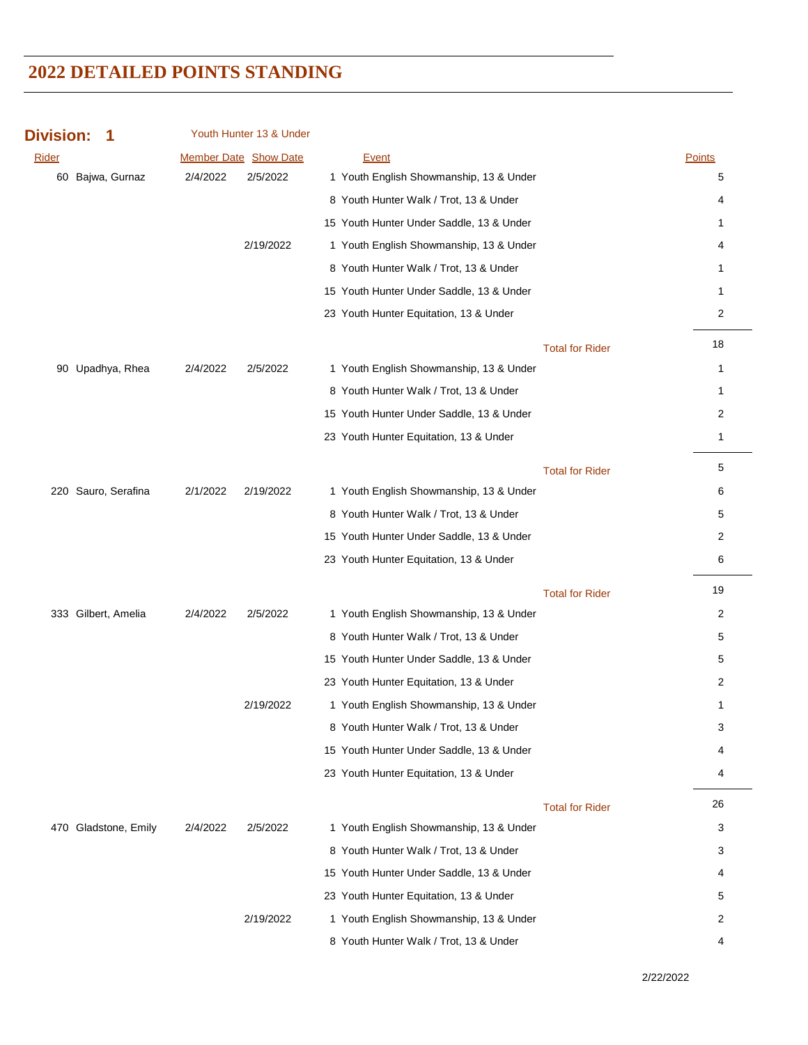| <b>Division:</b><br>1 | Youth Hunter 13 & Under |                                          |                |
|-----------------------|-------------------------|------------------------------------------|----------------|
| <b>Rider</b>          | Member Date Show Date   | <b>Event</b>                             | Points         |
| 60 Bajwa, Gurnaz      | 2/4/2022<br>2/5/2022    | 1 Youth English Showmanship, 13 & Under  | 5              |
|                       |                         | 8 Youth Hunter Walk / Trot, 13 & Under   | 4              |
|                       |                         | 15 Youth Hunter Under Saddle, 13 & Under | 1              |
|                       | 2/19/2022               | 1 Youth English Showmanship, 13 & Under  | 4              |
|                       |                         | 8 Youth Hunter Walk / Trot, 13 & Under   | 1              |
|                       |                         | 15 Youth Hunter Under Saddle, 13 & Under | 1              |
|                       |                         | 23 Youth Hunter Equitation, 13 & Under   | 2              |
|                       |                         | <b>Total for Rider</b>                   | 18             |
| 90 Upadhya, Rhea      | 2/5/2022<br>2/4/2022    | 1 Youth English Showmanship, 13 & Under  | 1              |
|                       |                         | 8 Youth Hunter Walk / Trot, 13 & Under   | 1              |
|                       |                         | 15 Youth Hunter Under Saddle, 13 & Under | $\overline{c}$ |
|                       |                         | 23 Youth Hunter Equitation, 13 & Under   | 1              |
|                       |                         | <b>Total for Rider</b>                   | 5              |
| 220 Sauro, Serafina   | 2/1/2022<br>2/19/2022   | 1 Youth English Showmanship, 13 & Under  | 6              |
|                       |                         | 8 Youth Hunter Walk / Trot, 13 & Under   | 5              |
|                       |                         | 15 Youth Hunter Under Saddle, 13 & Under | $\overline{c}$ |
|                       |                         | 23 Youth Hunter Equitation, 13 & Under   | 6              |
|                       |                         | <b>Total for Rider</b>                   | 19             |
| 333 Gilbert, Amelia   | 2/5/2022<br>2/4/2022    | 1 Youth English Showmanship, 13 & Under  | 2              |
|                       |                         | 8 Youth Hunter Walk / Trot, 13 & Under   | 5              |
|                       |                         | 15 Youth Hunter Under Saddle, 13 & Under | 5              |
|                       |                         | 23 Youth Hunter Equitation, 13 & Under   | $\overline{c}$ |
|                       | 2/19/2022               | 1 Youth English Showmanship, 13 & Under  | 1              |
|                       |                         | 8 Youth Hunter Walk / Trot, 13 & Under   | 3              |
|                       |                         | 15 Youth Hunter Under Saddle, 13 & Under | 4              |
|                       |                         | 23 Youth Hunter Equitation, 13 & Under   | 4              |
|                       |                         | <b>Total for Rider</b>                   | 26             |
| 470 Gladstone, Emily  | 2/5/2022<br>2/4/2022    | 1 Youth English Showmanship, 13 & Under  | 3              |
|                       |                         | 8 Youth Hunter Walk / Trot, 13 & Under   | 3              |
|                       |                         | 15 Youth Hunter Under Saddle, 13 & Under | 4              |
|                       |                         | 23 Youth Hunter Equitation, 13 & Under   | 5              |
|                       | 2/19/2022               | 1 Youth English Showmanship, 13 & Under  | 2              |
|                       |                         | 8 Youth Hunter Walk / Trot, 13 & Under   | 4              |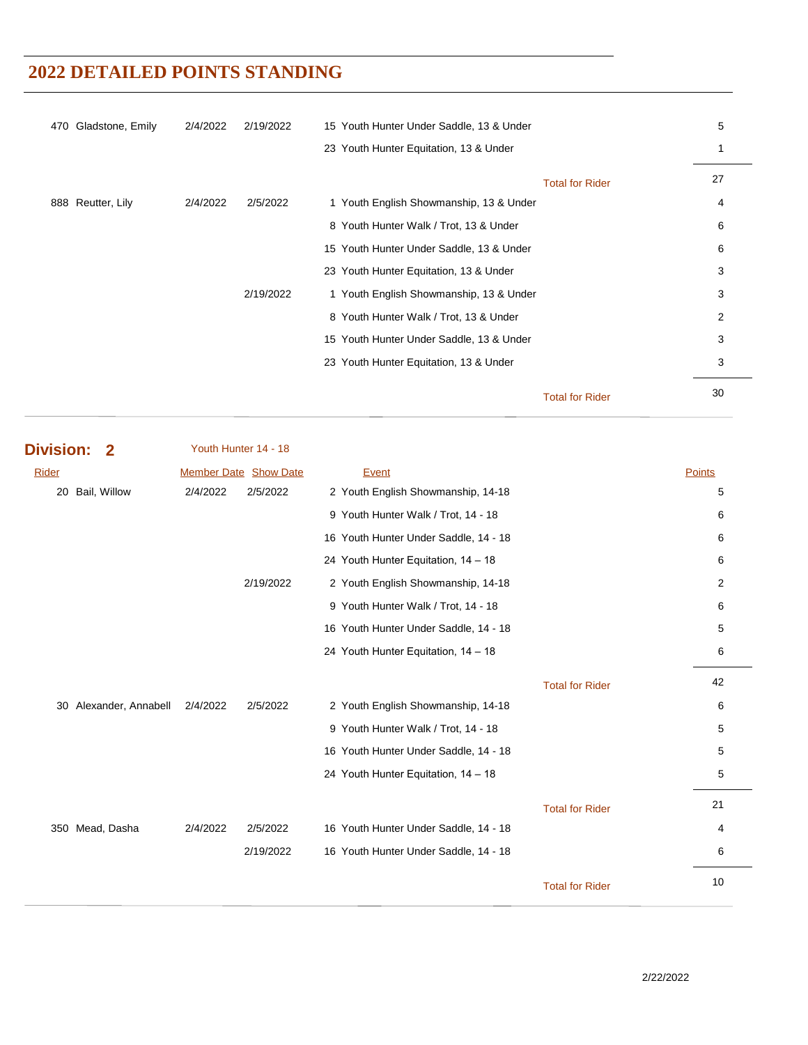| 470 | Gladstone, Emily  | 2/4/2022 | 2/19/2022 | 15 Youth Hunter Under Saddle, 13 & Under |                        | 5  |
|-----|-------------------|----------|-----------|------------------------------------------|------------------------|----|
|     |                   |          |           | 23 Youth Hunter Equitation, 13 & Under   |                        |    |
|     |                   |          |           |                                          | <b>Total for Rider</b> | 27 |
|     | 888 Reutter, Lily | 2/4/2022 | 2/5/2022  | 1 Youth English Showmanship, 13 & Under  |                        | 4  |
|     |                   |          |           | 8 Youth Hunter Walk / Trot, 13 & Under   |                        | 6  |
|     |                   |          |           | 15 Youth Hunter Under Saddle, 13 & Under |                        | 6  |
|     |                   |          |           | 23 Youth Hunter Equitation, 13 & Under   |                        | 3  |
|     |                   |          | 2/19/2022 | 1 Youth English Showmanship, 13 & Under  |                        | 3  |
|     |                   |          |           | 8 Youth Hunter Walk / Trot, 13 & Under   |                        | 2  |
|     |                   |          |           | 15 Youth Hunter Under Saddle, 13 & Under |                        | 3  |
|     |                   |          |           | 23 Youth Hunter Equitation, 13 & Under   |                        | 3  |
|     |                   |          |           |                                          | <b>Total for Rider</b> | 30 |

| <b>Division:</b> | $\mathbf 2$         | Youth Hunter 14 - 18         |           |                                       |                        |        |
|------------------|---------------------|------------------------------|-----------|---------------------------------------|------------------------|--------|
| Rider            |                     | <b>Member Date Show Date</b> |           | Event                                 |                        | Points |
| 20               | Bail, Willow        | 2/4/2022                     | 2/5/2022  | 2 Youth English Showmanship, 14-18    |                        | 5      |
|                  |                     |                              |           | 9 Youth Hunter Walk / Trot, 14 - 18   |                        | 6      |
|                  |                     |                              |           | 16 Youth Hunter Under Saddle, 14 - 18 |                        | 6      |
|                  |                     |                              |           | 24 Youth Hunter Equitation, 14 - 18   |                        | 6      |
|                  |                     |                              | 2/19/2022 | 2 Youth English Showmanship, 14-18    |                        | 2      |
|                  |                     |                              |           | 9 Youth Hunter Walk / Trot, 14 - 18   |                        | 6      |
|                  |                     |                              |           | 16 Youth Hunter Under Saddle, 14 - 18 |                        | 5      |
|                  |                     |                              |           | 24 Youth Hunter Equitation, 14 - 18   |                        | 6      |
|                  |                     |                              |           |                                       | <b>Total for Rider</b> | 42     |
| 30               | Alexander, Annabell | 2/4/2022                     | 2/5/2022  | 2 Youth English Showmanship, 14-18    |                        | 6      |
|                  |                     |                              |           | 9 Youth Hunter Walk / Trot, 14 - 18   |                        | 5      |
|                  |                     |                              |           | 16 Youth Hunter Under Saddle, 14 - 18 |                        | 5      |
|                  |                     |                              |           | 24 Youth Hunter Equitation, 14 - 18   |                        | 5      |
|                  |                     |                              |           |                                       | <b>Total for Rider</b> | 21     |
| 350 Mead, Dasha  |                     | 2/4/2022                     | 2/5/2022  | 16 Youth Hunter Under Saddle, 14 - 18 |                        | 4      |
|                  |                     |                              | 2/19/2022 | 16 Youth Hunter Under Saddle, 14 - 18 |                        | 6      |
|                  |                     |                              |           |                                       | <b>Total for Rider</b> | 10     |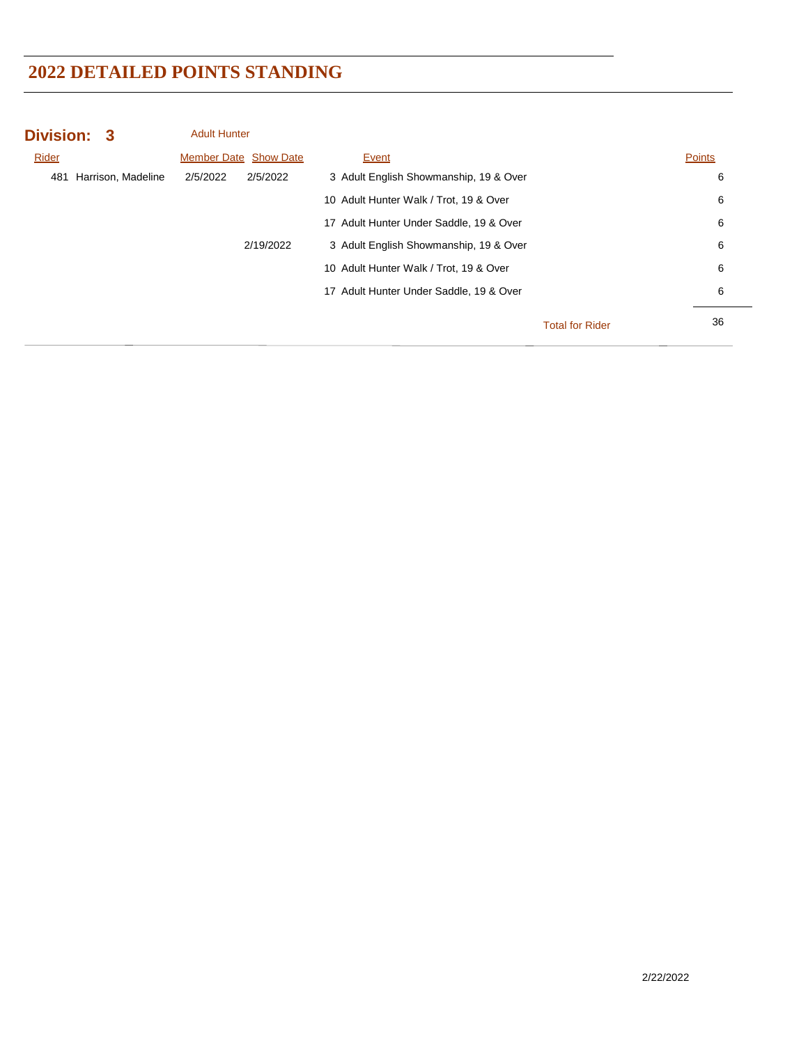| Division: 3 |                    | <b>Adult Hunter</b> |                              |                                         |                        |               |
|-------------|--------------------|---------------------|------------------------------|-----------------------------------------|------------------------|---------------|
| Rider       |                    |                     | <b>Member Date Show Date</b> | Event                                   |                        | <b>Points</b> |
| 481         | Harrison, Madeline | 2/5/2022            | 2/5/2022                     | 3 Adult English Showmanship, 19 & Over  |                        | 6             |
|             |                    |                     |                              | 10 Adult Hunter Walk / Trot, 19 & Over  |                        | 6             |
|             |                    |                     |                              | 17 Adult Hunter Under Saddle, 19 & Over |                        | 6             |
|             |                    |                     | 2/19/2022                    | 3 Adult English Showmanship, 19 & Over  |                        | 6             |
|             |                    |                     |                              | 10 Adult Hunter Walk / Trot, 19 & Over  |                        | 6             |
|             |                    |                     |                              | 17 Adult Hunter Under Saddle, 19 & Over |                        | 6             |
|             |                    |                     |                              |                                         | <b>Total for Rider</b> | 36            |
|             |                    |                     |                              |                                         |                        |               |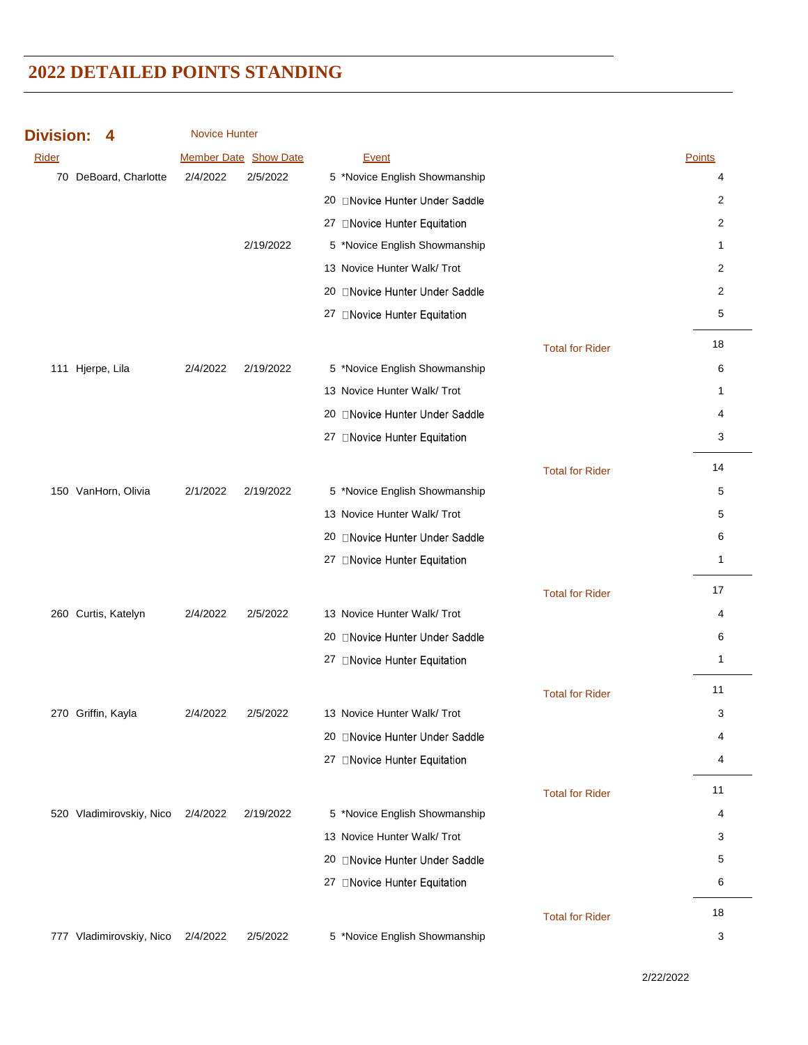| <b>Division:</b> |  |  |  |  |  |  |
|------------------|--|--|--|--|--|--|
|------------------|--|--|--|--|--|--|

Novice Hunter

| <b>Rider</b> |                          |          | <b>Member Date Show Date</b> | Event                          |                        | <b>Points</b>  |
|--------------|--------------------------|----------|------------------------------|--------------------------------|------------------------|----------------|
|              | 70 DeBoard, Charlotte    | 2/4/2022 | 2/5/2022                     | 5 *Novice English Showmanship  |                        | 4              |
|              |                          |          |                              | 20 ONovice Hunter Under Saddle |                        | 2              |
|              |                          |          |                              | 27 ONovice Hunter Equitation   |                        | 2              |
|              |                          |          | 2/19/2022                    | 5 *Novice English Showmanship  |                        | 1              |
|              |                          |          |                              | 13 Novice Hunter Walk/ Trot    |                        | $\overline{2}$ |
|              |                          |          |                              | 20 Novice Hunter Under Saddle  |                        | 2              |
|              |                          |          |                              | 27 □Novice Hunter Equitation   |                        | 5              |
|              |                          |          |                              |                                | <b>Total for Rider</b> | 18             |
|              | 111 Hjerpe, Lila         | 2/4/2022 | 2/19/2022                    | 5 *Novice English Showmanship  |                        | 6              |
|              |                          |          |                              | 13 Novice Hunter Walk/ Trot    |                        | 1              |
|              |                          |          |                              | 20 ONovice Hunter Under Saddle |                        | 4              |
|              |                          |          |                              | 27 ONovice Hunter Equitation   |                        | 3              |
|              |                          |          |                              |                                |                        |                |
|              |                          |          |                              |                                | <b>Total for Rider</b> | 14             |
|              | 150 VanHorn, Olivia      | 2/1/2022 | 2/19/2022                    | 5 *Novice English Showmanship  |                        | 5              |
|              |                          |          |                              | 13 Novice Hunter Walk/ Trot    |                        | 5              |
|              |                          |          |                              | 20 ONovice Hunter Under Saddle |                        | 6              |
|              |                          |          |                              | 27 ONovice Hunter Equitation   |                        | 1              |
|              |                          |          |                              |                                | <b>Total for Rider</b> | 17             |
|              | 260 Curtis, Katelyn      | 2/4/2022 | 2/5/2022                     | 13 Novice Hunter Walk/ Trot    |                        | 4              |
|              |                          |          |                              | 20 ONovice Hunter Under Saddle |                        | 6              |
|              |                          |          |                              | 27 □Novice Hunter Equitation   |                        | 1              |
|              |                          |          |                              |                                | <b>Total for Rider</b> | 11             |
|              | 270 Griffin, Kayla       | 2/4/2022 | 2/5/2022                     | 13 Novice Hunter Walk/ Trot    |                        | 3              |
|              |                          |          |                              | 20 Novice Hunter Under Saddle  |                        | 4              |
|              |                          |          |                              | 27 ONovice Hunter Equitation   |                        | 4              |
|              |                          |          |                              |                                |                        |                |
|              |                          |          |                              |                                | <b>Total for Rider</b> | 11             |
|              | 520 Vladimirovskiy, Nico | 2/4/2022 | 2/19/2022                    | 5 *Novice English Showmanship  |                        | 4              |
|              |                          |          |                              | 13 Novice Hunter Walk/ Trot    |                        | 3              |
|              |                          |          |                              | 20 ONovice Hunter Under Saddle |                        | 5              |
|              |                          |          |                              | 27 □Novice Hunter Equitation   |                        | 6              |
|              |                          |          |                              |                                | <b>Total for Rider</b> | 18             |
|              | 777 Vladimirovskiy, Nico | 2/4/2022 | 2/5/2022                     | 5 *Novice English Showmanship  |                        | 3              |

2/22/2022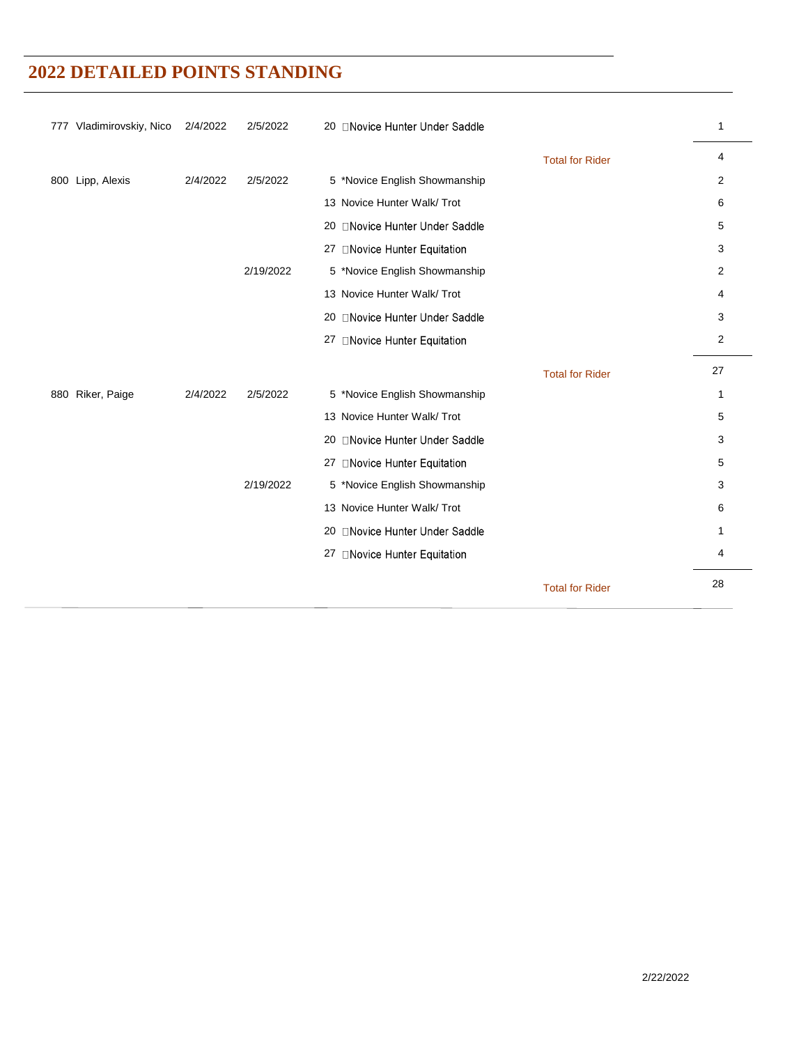| 777 Vladimirovskiy, Nico | 2/4/2022 | 2/5/2022  | 20 □ Novice Hunter Under Saddle |                        | $\mathbf{1}$ |
|--------------------------|----------|-----------|---------------------------------|------------------------|--------------|
|                          |          |           |                                 | <b>Total for Rider</b> | 4            |
| 800 Lipp, Alexis         | 2/4/2022 | 2/5/2022  | 5 *Novice English Showmanship   |                        | 2            |
|                          |          |           | 13 Novice Hunter Walk/ Trot     |                        | 6            |
|                          |          |           | 20 ONovice Hunter Under Saddle  |                        | 5            |
|                          |          |           | 27 ONovice Hunter Equitation    |                        | 3            |
|                          |          | 2/19/2022 | 5 *Novice English Showmanship   |                        | 2            |
|                          |          |           | 13 Novice Hunter Walk/ Trot     |                        | 4            |
|                          |          |           | 20 ONovice Hunter Under Saddle  |                        | 3            |
|                          |          |           | 27 ONovice Hunter Equitation    |                        | 2            |
|                          |          |           |                                 | <b>Total for Rider</b> | 27           |
| 880 Riker, Paige         | 2/4/2022 | 2/5/2022  | 5 *Novice English Showmanship   |                        | 1            |
|                          |          |           | 13 Novice Hunter Walk/ Trot     |                        | 5            |
|                          |          |           | 20 ONovice Hunter Under Saddle  |                        | 3            |
|                          |          |           | 27 □Novice Hunter Equitation    |                        | 5            |
|                          |          | 2/19/2022 | 5 *Novice English Showmanship   |                        | 3            |
|                          |          |           | 13 Novice Hunter Walk/ Trot     |                        | 6            |
|                          |          |           | 20 □ Novice Hunter Under Saddle |                        | 1            |
|                          |          |           | 27 ONovice Hunter Equitation    |                        | 4            |
|                          |          |           |                                 |                        |              |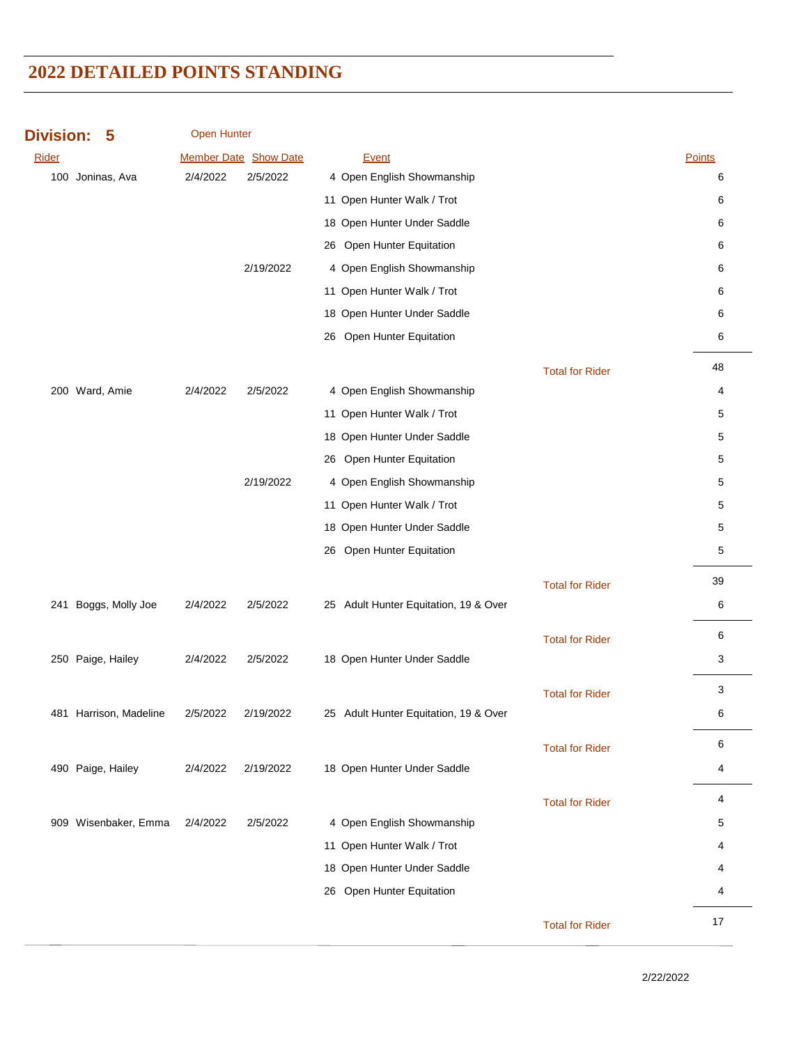| <b>Division:</b> | 5                      | <b>Open Hunter</b> |                       |                                       |                        |        |
|------------------|------------------------|--------------------|-----------------------|---------------------------------------|------------------------|--------|
| Rider            |                        |                    | Member Date Show Date | Event                                 |                        | Points |
|                  | 100 Joninas, Ava       | 2/4/2022           | 2/5/2022              | 4 Open English Showmanship            |                        | 6      |
|                  |                        |                    |                       | 11 Open Hunter Walk / Trot            |                        | 6      |
|                  |                        |                    |                       | 18 Open Hunter Under Saddle           |                        | 6      |
|                  |                        |                    |                       | 26 Open Hunter Equitation             |                        | 6      |
|                  |                        |                    | 2/19/2022             | 4 Open English Showmanship            |                        | 6      |
|                  |                        |                    |                       | 11 Open Hunter Walk / Trot            |                        | 6      |
|                  |                        |                    |                       | 18 Open Hunter Under Saddle           |                        | 6      |
|                  |                        |                    |                       | 26 Open Hunter Equitation             |                        | 6      |
|                  |                        |                    |                       |                                       | <b>Total for Rider</b> | 48     |
|                  | 200 Ward, Amie         | 2/4/2022           | 2/5/2022              | 4 Open English Showmanship            |                        | 4      |
|                  |                        |                    |                       | 11 Open Hunter Walk / Trot            |                        | 5      |
|                  |                        |                    |                       | 18 Open Hunter Under Saddle           |                        | 5      |
|                  |                        |                    |                       | 26 Open Hunter Equitation             |                        | 5      |
|                  |                        |                    | 2/19/2022             | 4 Open English Showmanship            |                        | 5      |
|                  |                        |                    |                       | 11 Open Hunter Walk / Trot            |                        | 5      |
|                  |                        |                    |                       | 18 Open Hunter Under Saddle           |                        | 5      |
|                  |                        |                    |                       | 26 Open Hunter Equitation             |                        | 5      |
|                  |                        |                    |                       |                                       |                        |        |
|                  |                        |                    |                       |                                       | <b>Total for Rider</b> | 39     |
|                  | 241 Boggs, Molly Joe   | 2/4/2022           | 2/5/2022              | 25 Adult Hunter Equitation, 19 & Over |                        | 6      |
|                  |                        |                    |                       |                                       | <b>Total for Rider</b> | 6      |
|                  | 250 Paige, Hailey      | 2/4/2022           | 2/5/2022              | 18 Open Hunter Under Saddle           |                        | 3      |
|                  |                        |                    |                       |                                       | <b>Total for Rider</b> | 3      |
|                  | 481 Harrison, Madeline | 2/5/2022           | 2/19/2022             | 25 Adult Hunter Equitation, 19 & Over |                        | 6      |
|                  |                        |                    |                       |                                       |                        |        |
|                  |                        |                    |                       |                                       | <b>Total for Rider</b> | 6      |
|                  | 490 Paige, Hailey      | 2/4/2022           | 2/19/2022             | 18 Open Hunter Under Saddle           |                        | 4      |
|                  |                        |                    |                       |                                       | <b>Total for Rider</b> | 4      |
|                  | 909 Wisenbaker, Emma   | 2/4/2022           | 2/5/2022              | 4 Open English Showmanship            |                        | 5      |
|                  |                        |                    |                       | 11 Open Hunter Walk / Trot            |                        | 4      |
|                  |                        |                    |                       | 18 Open Hunter Under Saddle           |                        | 4      |
|                  |                        |                    |                       | 26 Open Hunter Equitation             |                        | 4      |
|                  |                        |                    |                       |                                       | <b>Total for Rider</b> | 17     |
|                  |                        |                    |                       |                                       |                        |        |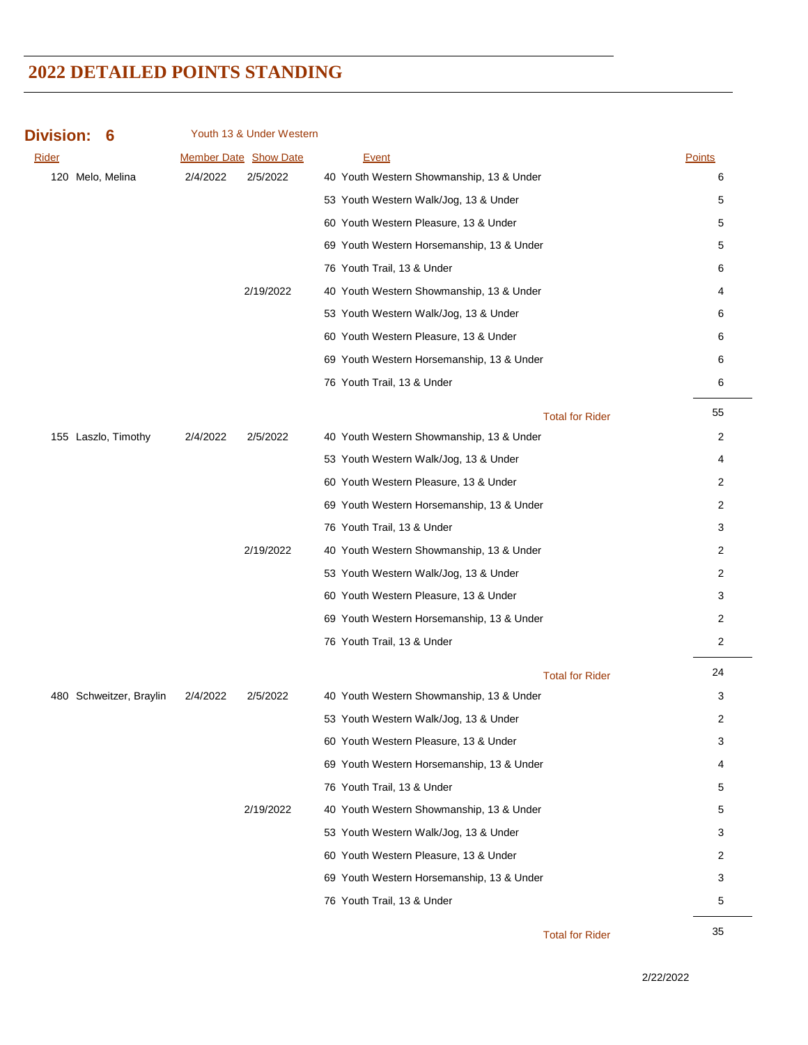| <b>Division:</b><br>6   |          | Youth 13 & Under Western |                                           |                |
|-------------------------|----------|--------------------------|-------------------------------------------|----------------|
| <b>Rider</b>            |          | Member Date Show Date    | <b>Event</b>                              | <b>Points</b>  |
| 120 Melo, Melina        | 2/4/2022 | 2/5/2022                 | 40 Youth Western Showmanship, 13 & Under  | 6              |
|                         |          |                          | 53 Youth Western Walk/Jog, 13 & Under     | 5              |
|                         |          |                          | 60 Youth Western Pleasure, 13 & Under     | 5              |
|                         |          |                          | 69 Youth Western Horsemanship, 13 & Under | 5              |
|                         |          |                          | 76 Youth Trail, 13 & Under                | 6              |
|                         |          | 2/19/2022                | 40 Youth Western Showmanship, 13 & Under  | 4              |
|                         |          |                          | 53 Youth Western Walk/Jog, 13 & Under     | 6              |
|                         |          |                          | 60 Youth Western Pleasure, 13 & Under     | 6              |
|                         |          |                          | 69 Youth Western Horsemanship, 13 & Under | 6              |
|                         |          |                          | 76 Youth Trail, 13 & Under                | 6              |
|                         |          |                          | <b>Total for Rider</b>                    | 55             |
| 155 Laszlo, Timothy     | 2/4/2022 | 2/5/2022                 | 40 Youth Western Showmanship, 13 & Under  | 2              |
|                         |          |                          | 53 Youth Western Walk/Jog, 13 & Under     | 4              |
|                         |          |                          | 60 Youth Western Pleasure, 13 & Under     | 2              |
|                         |          |                          | 69 Youth Western Horsemanship, 13 & Under | 2              |
|                         |          |                          | 76 Youth Trail, 13 & Under                | 3              |
|                         |          | 2/19/2022                | 40 Youth Western Showmanship, 13 & Under  | 2              |
|                         |          |                          | 53 Youth Western Walk/Jog, 13 & Under     | 2              |
|                         |          |                          | 60 Youth Western Pleasure, 13 & Under     | 3              |
|                         |          |                          | 69 Youth Western Horsemanship, 13 & Under | 2              |
|                         |          |                          | 76 Youth Trail, 13 & Under                | $\overline{c}$ |
|                         |          |                          | <b>Total for Rider</b>                    | 24             |
| 480 Schweitzer, Braylin | 2/4/2022 | 2/5/2022                 | 40 Youth Western Showmanship, 13 & Under  | 3              |
|                         |          |                          | 53 Youth Western Walk/Jog, 13 & Under     | 2              |
|                         |          |                          | 60 Youth Western Pleasure, 13 & Under     | 3              |
|                         |          |                          | 69 Youth Western Horsemanship, 13 & Under | 4              |
|                         |          |                          | 76 Youth Trail, 13 & Under                | 5              |
|                         |          | 2/19/2022                | 40 Youth Western Showmanship, 13 & Under  | 5              |
|                         |          |                          | 53 Youth Western Walk/Jog, 13 & Under     | 3              |
|                         |          |                          | 60 Youth Western Pleasure, 13 & Under     | 2              |
|                         |          |                          | 69 Youth Western Horsemanship, 13 & Under | 3              |
|                         |          |                          | 76 Youth Trail, 13 & Under                | 5              |
|                         |          |                          |                                           |                |

35 Total for Rider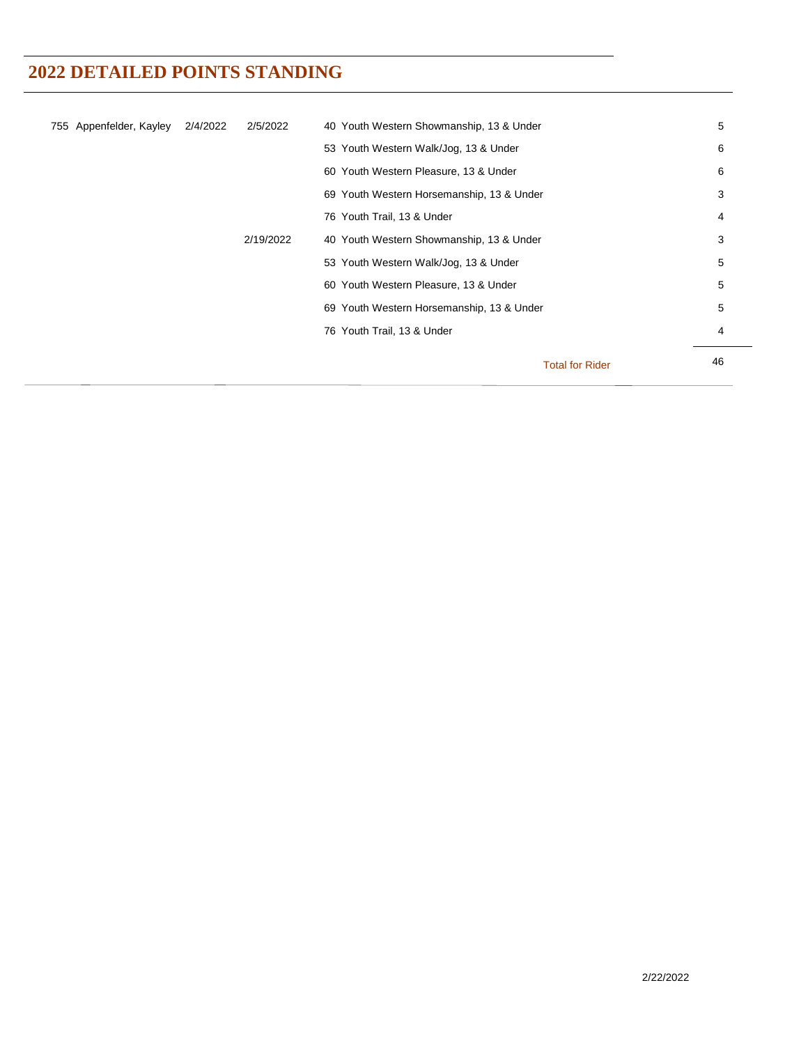| 755 Appenfelder, Kayley | 2/4/2022 | 2/5/2022  | 40 Youth Western Showmanship, 13 & Under  |                        | 5  |
|-------------------------|----------|-----------|-------------------------------------------|------------------------|----|
|                         |          |           | 53 Youth Western Walk/Jog, 13 & Under     |                        | 6  |
|                         |          |           | 60 Youth Western Pleasure, 13 & Under     |                        | 6  |
|                         |          |           | 69 Youth Western Horsemanship, 13 & Under |                        | 3  |
|                         |          |           | 76 Youth Trail, 13 & Under                |                        | 4  |
|                         |          | 2/19/2022 | 40 Youth Western Showmanship, 13 & Under  |                        | 3  |
|                         |          |           | 53 Youth Western Walk/Jog, 13 & Under     |                        | 5  |
|                         |          |           | 60 Youth Western Pleasure, 13 & Under     |                        | 5  |
|                         |          |           | 69 Youth Western Horsemanship, 13 & Under |                        | 5  |
|                         |          |           | 76 Youth Trail, 13 & Under                |                        | 4  |
|                         |          |           |                                           |                        |    |
|                         |          |           |                                           | <b>Total for Rider</b> | 46 |
|                         |          |           |                                           |                        |    |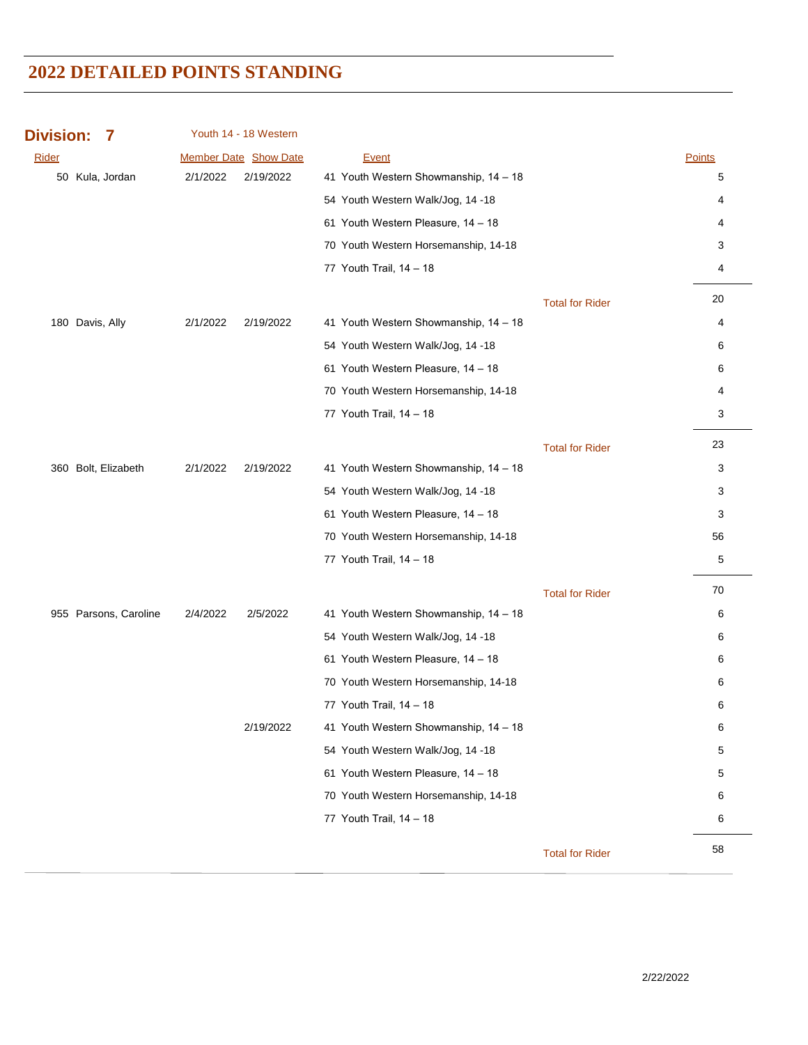| <b>Division:</b> | 7                     |          | Youth 14 - 18 Western        |                                       |                        |               |
|------------------|-----------------------|----------|------------------------------|---------------------------------------|------------------------|---------------|
| Rider            |                       |          | <b>Member Date Show Date</b> | <b>Event</b>                          |                        | <b>Points</b> |
|                  | 50 Kula, Jordan       | 2/1/2022 | 2/19/2022                    | 41 Youth Western Showmanship, 14 - 18 |                        | 5             |
|                  |                       |          |                              | 54 Youth Western Walk/Jog, 14 -18     |                        | 4             |
|                  |                       |          |                              | 61 Youth Western Pleasure, 14 - 18    |                        | 4             |
|                  |                       |          |                              | 70 Youth Western Horsemanship, 14-18  |                        | 3             |
|                  |                       |          |                              | 77 Youth Trail, 14 - 18               |                        | 4             |
|                  |                       |          |                              |                                       | <b>Total for Rider</b> | 20            |
|                  | 180 Davis, Ally       | 2/1/2022 | 2/19/2022                    | 41 Youth Western Showmanship, 14 - 18 |                        | 4             |
|                  |                       |          |                              | 54 Youth Western Walk/Jog, 14 -18     |                        | 6             |
|                  |                       |          |                              | 61 Youth Western Pleasure, 14 - 18    |                        | 6             |
|                  |                       |          |                              | 70 Youth Western Horsemanship, 14-18  |                        | 4             |
|                  |                       |          |                              | 77 Youth Trail, 14 - 18               |                        | 3             |
|                  |                       |          |                              |                                       | <b>Total for Rider</b> | 23            |
|                  | 360 Bolt, Elizabeth   | 2/1/2022 | 2/19/2022                    | 41 Youth Western Showmanship, 14 - 18 |                        | 3             |
|                  |                       |          |                              | 54 Youth Western Walk/Jog, 14 -18     |                        | 3             |
|                  |                       |          |                              | 61 Youth Western Pleasure, 14 - 18    |                        | 3             |
|                  |                       |          |                              | 70 Youth Western Horsemanship, 14-18  |                        | 56            |
|                  |                       |          |                              | 77 Youth Trail, 14 - 18               |                        | 5             |
|                  |                       |          |                              |                                       | <b>Total for Rider</b> | 70            |
|                  | 955 Parsons, Caroline | 2/4/2022 | 2/5/2022                     | 41 Youth Western Showmanship, 14 - 18 |                        | 6             |
|                  |                       |          |                              | 54 Youth Western Walk/Jog, 14 -18     |                        | 6             |
|                  |                       |          |                              | 61 Youth Western Pleasure, 14 - 18    |                        | 6             |
|                  |                       |          |                              | 70 Youth Western Horsemanship, 14-18  |                        | 6             |
|                  |                       |          |                              | 77 Youth Trail, 14 - 18               |                        | 6             |
|                  |                       |          | 2/19/2022                    | 41 Youth Western Showmanship, 14 - 18 |                        | 6             |
|                  |                       |          |                              | 54 Youth Western Walk/Jog, 14 -18     |                        | 5             |
|                  |                       |          |                              | 61 Youth Western Pleasure, 14 - 18    |                        | 5             |
|                  |                       |          |                              | 70 Youth Western Horsemanship, 14-18  |                        | 6             |
|                  |                       |          |                              | 77 Youth Trail, 14 - 18               |                        | 6             |
|                  |                       |          |                              |                                       |                        |               |
|                  |                       |          |                              |                                       | <b>Total for Rider</b> | 58            |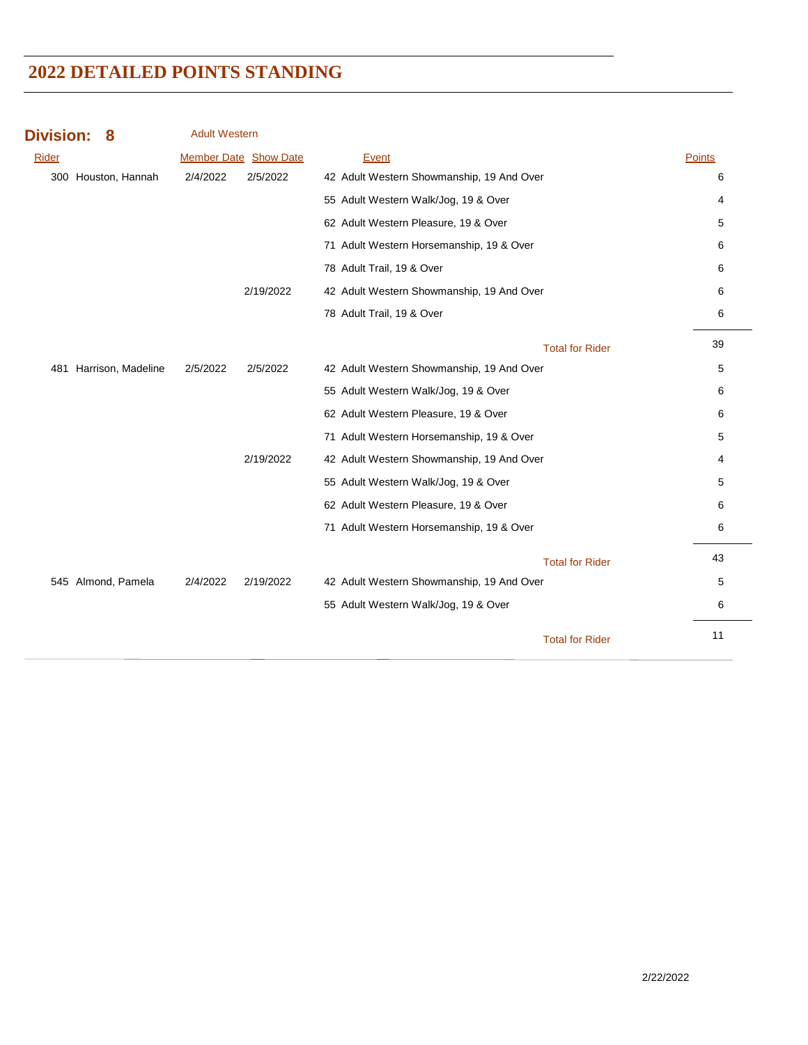| <b>Division:</b> | 8                      | <b>Adult Western</b>         |           |                                           |        |
|------------------|------------------------|------------------------------|-----------|-------------------------------------------|--------|
| Rider            |                        | <b>Member Date Show Date</b> |           | Event                                     | Points |
|                  | 300 Houston, Hannah    | 2/4/2022                     | 2/5/2022  | 42 Adult Western Showmanship, 19 And Over | 6      |
|                  |                        |                              |           | 55 Adult Western Walk/Jog, 19 & Over      | 4      |
|                  |                        |                              |           | 62 Adult Western Pleasure, 19 & Over      | 5      |
|                  |                        |                              |           | 71 Adult Western Horsemanship, 19 & Over  | 6      |
|                  |                        |                              |           | 78 Adult Trail, 19 & Over                 | 6      |
|                  |                        |                              | 2/19/2022 | 42 Adult Western Showmanship, 19 And Over | 6      |
|                  |                        |                              |           | 78 Adult Trail, 19 & Over                 | 6      |
|                  |                        |                              |           | <b>Total for Rider</b>                    | 39     |
|                  | 481 Harrison, Madeline | 2/5/2022                     | 2/5/2022  | 42 Adult Western Showmanship, 19 And Over | 5      |
|                  |                        |                              |           | 55 Adult Western Walk/Jog, 19 & Over      | 6      |
|                  |                        |                              |           | 62 Adult Western Pleasure, 19 & Over      | 6      |
|                  |                        |                              |           | 71 Adult Western Horsemanship, 19 & Over  | 5      |
|                  |                        |                              | 2/19/2022 | 42 Adult Western Showmanship, 19 And Over | 4      |
|                  |                        |                              |           | 55 Adult Western Walk/Jog, 19 & Over      | 5      |
|                  |                        |                              |           | 62 Adult Western Pleasure, 19 & Over      | 6      |
|                  |                        |                              |           | 71 Adult Western Horsemanship, 19 & Over  | 6      |
|                  |                        |                              |           | <b>Total for Rider</b>                    | 43     |
|                  | 545 Almond, Pamela     | 2/4/2022                     | 2/19/2022 | 42 Adult Western Showmanship, 19 And Over | 5      |
|                  |                        |                              |           | 55 Adult Western Walk/Jog, 19 & Over      | 6      |
|                  |                        |                              |           | <b>Total for Rider</b>                    | 11     |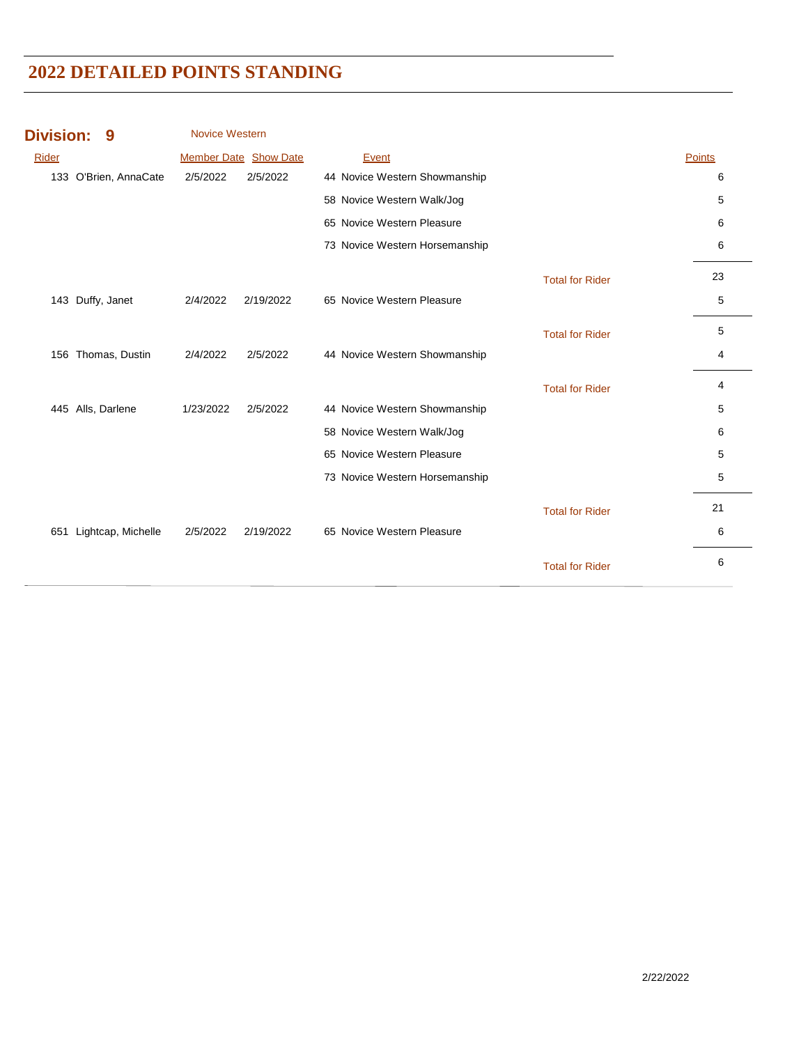| <b>Division:</b> | 9                     | <b>Novice Western</b> |                              |                                |                        |        |
|------------------|-----------------------|-----------------------|------------------------------|--------------------------------|------------------------|--------|
| Rider            |                       |                       | <b>Member Date Show Date</b> | Event                          |                        | Points |
|                  | 133 O'Brien, AnnaCate | 2/5/2022              | 2/5/2022                     | 44 Novice Western Showmanship  |                        | 6      |
|                  |                       |                       |                              | 58 Novice Western Walk/Jog     |                        | 5      |
|                  |                       |                       |                              | 65 Novice Western Pleasure     |                        | 6      |
|                  |                       |                       |                              | 73 Novice Western Horsemanship |                        | 6      |
|                  |                       |                       |                              |                                | <b>Total for Rider</b> | 23     |
|                  | 143 Duffy, Janet      | 2/4/2022              | 2/19/2022                    | 65 Novice Western Pleasure     |                        | 5      |
|                  |                       |                       |                              |                                | <b>Total for Rider</b> | 5      |
|                  | 156 Thomas, Dustin    | 2/4/2022              | 2/5/2022                     | 44 Novice Western Showmanship  |                        | 4      |
|                  |                       |                       |                              |                                | <b>Total for Rider</b> | 4      |
|                  | 445 Alls, Darlene     | 1/23/2022             | 2/5/2022                     | 44 Novice Western Showmanship  |                        | 5      |
|                  |                       |                       |                              | 58 Novice Western Walk/Jog     |                        | 6      |
|                  |                       |                       |                              | 65 Novice Western Pleasure     |                        | 5      |
|                  |                       |                       |                              | 73 Novice Western Horsemanship |                        | 5      |
|                  |                       |                       |                              |                                | <b>Total for Rider</b> | 21     |
| 651              | Lightcap, Michelle    | 2/5/2022              | 2/19/2022                    | 65 Novice Western Pleasure     |                        | 6      |
|                  |                       |                       |                              |                                | <b>Total for Rider</b> | 6      |
|                  |                       |                       |                              |                                |                        |        |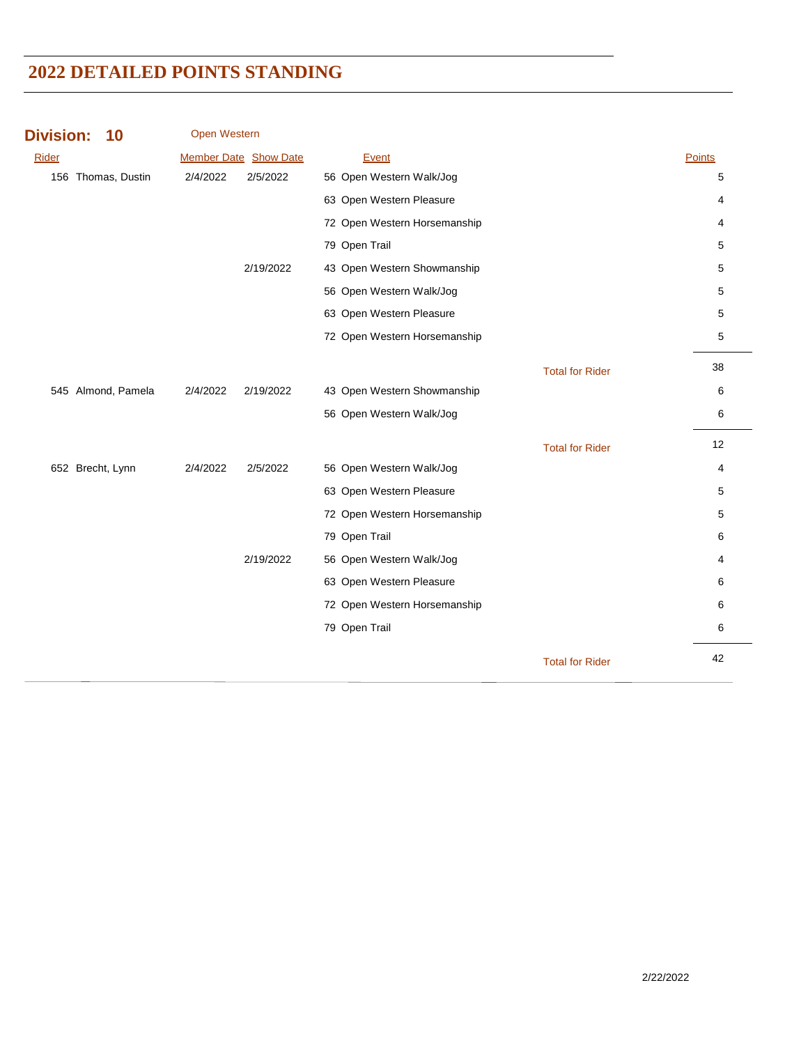| <b>Division:</b><br>10 | <b>Open Western</b> |                       |                              |                        |        |
|------------------------|---------------------|-----------------------|------------------------------|------------------------|--------|
| Rider                  |                     | Member Date Show Date | Event                        |                        | Points |
| 156 Thomas, Dustin     | 2/4/2022            | 2/5/2022              | 56 Open Western Walk/Jog     |                        | 5      |
|                        |                     |                       | 63 Open Western Pleasure     |                        | 4      |
|                        |                     |                       | 72 Open Western Horsemanship |                        | 4      |
|                        |                     |                       | 79 Open Trail                |                        | 5      |
|                        |                     | 2/19/2022             | 43 Open Western Showmanship  |                        | 5      |
|                        |                     |                       | 56 Open Western Walk/Jog     |                        | 5      |
|                        |                     |                       | 63 Open Western Pleasure     |                        | 5      |
|                        |                     |                       | 72 Open Western Horsemanship |                        | 5      |
|                        |                     |                       |                              | <b>Total for Rider</b> | 38     |
| 545 Almond, Pamela     | 2/4/2022            | 2/19/2022             | 43 Open Western Showmanship  |                        | 6      |
|                        |                     |                       | 56 Open Western Walk/Jog     |                        | 6      |
|                        |                     |                       |                              | <b>Total for Rider</b> | 12     |
| 652 Brecht, Lynn       | 2/4/2022            | 2/5/2022              | 56 Open Western Walk/Jog     |                        | 4      |
|                        |                     |                       | 63 Open Western Pleasure     |                        | 5      |
|                        |                     |                       | 72 Open Western Horsemanship |                        | 5      |
|                        |                     |                       | 79 Open Trail                |                        | 6      |
|                        |                     | 2/19/2022             | 56 Open Western Walk/Jog     |                        | 4      |
|                        |                     |                       | 63 Open Western Pleasure     |                        | 6      |
|                        |                     |                       | 72 Open Western Horsemanship |                        | 6      |
|                        |                     |                       | 79 Open Trail                |                        | 6      |
|                        |                     |                       |                              | <b>Total for Rider</b> | 42     |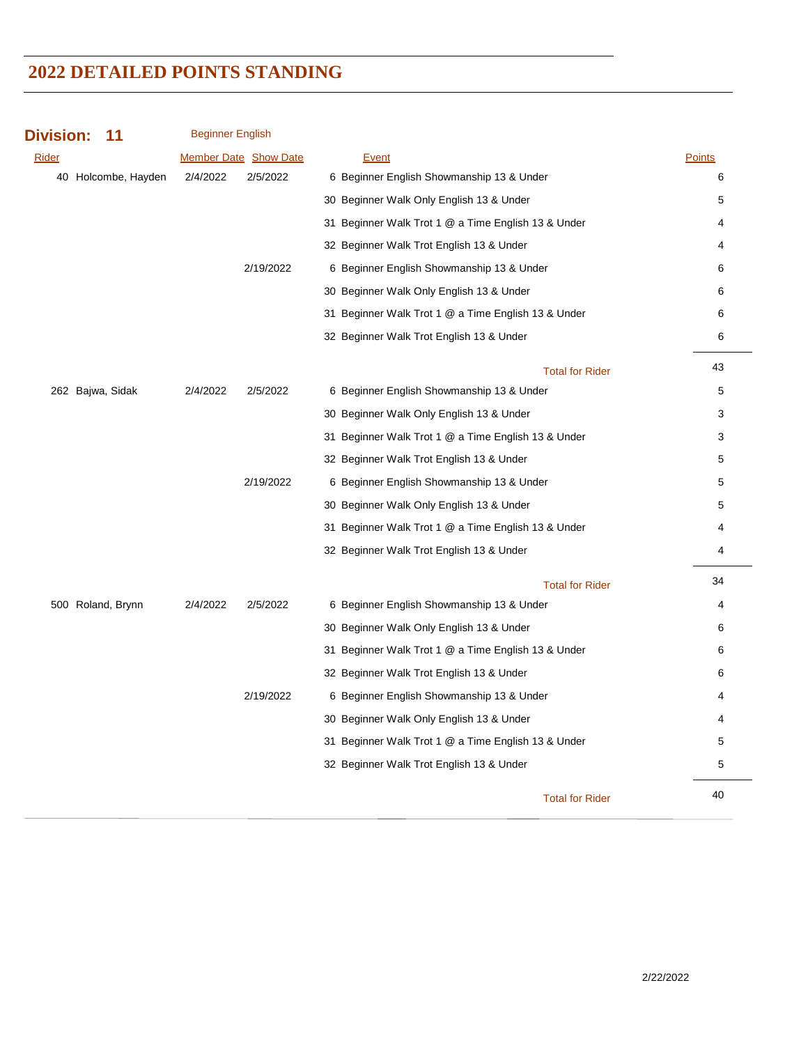| <b>Division:</b><br>11 | <b>Beginner English</b> |                              |                                                     |               |
|------------------------|-------------------------|------------------------------|-----------------------------------------------------|---------------|
| Rider                  |                         | <b>Member Date Show Date</b> | Event                                               | <b>Points</b> |
| 40 Holcombe, Hayden    | 2/4/2022                | 2/5/2022                     | 6 Beginner English Showmanship 13 & Under           | 6             |
|                        |                         |                              | 30 Beginner Walk Only English 13 & Under            | 5             |
|                        |                         |                              | 31 Beginner Walk Trot 1 @ a Time English 13 & Under | 4             |
|                        |                         |                              | 32 Beginner Walk Trot English 13 & Under            | 4             |
|                        |                         | 2/19/2022                    | 6 Beginner English Showmanship 13 & Under           | 6             |
|                        |                         |                              | 30 Beginner Walk Only English 13 & Under            | 6             |
|                        |                         |                              | 31 Beginner Walk Trot 1 @ a Time English 13 & Under | 6             |
|                        |                         |                              | 32 Beginner Walk Trot English 13 & Under            | 6             |
|                        |                         |                              | <b>Total for Rider</b>                              | 43            |
| 262 Bajwa, Sidak       | 2/4/2022                | 2/5/2022                     | 6 Beginner English Showmanship 13 & Under           | 5             |
|                        |                         |                              | 30 Beginner Walk Only English 13 & Under            | 3             |
|                        |                         |                              | 31 Beginner Walk Trot 1 @ a Time English 13 & Under | 3             |
|                        |                         |                              | 32 Beginner Walk Trot English 13 & Under            | 5             |
|                        |                         | 2/19/2022                    | 6 Beginner English Showmanship 13 & Under           | 5             |
|                        |                         |                              | 30 Beginner Walk Only English 13 & Under            | 5             |
|                        |                         |                              | 31 Beginner Walk Trot 1 @ a Time English 13 & Under | 4             |
|                        |                         |                              | 32 Beginner Walk Trot English 13 & Under            | 4             |
|                        |                         |                              | <b>Total for Rider</b>                              | 34            |
| 500 Roland, Brynn      | 2/4/2022                | 2/5/2022                     | 6 Beginner English Showmanship 13 & Under           | 4             |
|                        |                         |                              | 30 Beginner Walk Only English 13 & Under            | 6             |
|                        |                         |                              | 31 Beginner Walk Trot 1 @ a Time English 13 & Under | 6             |
|                        |                         |                              | 32 Beginner Walk Trot English 13 & Under            | 6             |
|                        |                         | 2/19/2022                    | 6 Beginner English Showmanship 13 & Under           | 4             |
|                        |                         |                              | 30 Beginner Walk Only English 13 & Under            | 4             |
|                        |                         |                              | 31 Beginner Walk Trot 1 @ a Time English 13 & Under | 5             |
|                        |                         |                              | 32 Beginner Walk Trot English 13 & Under            | $\mathbf 5$   |
|                        |                         |                              | <b>Total for Rider</b>                              | 40            |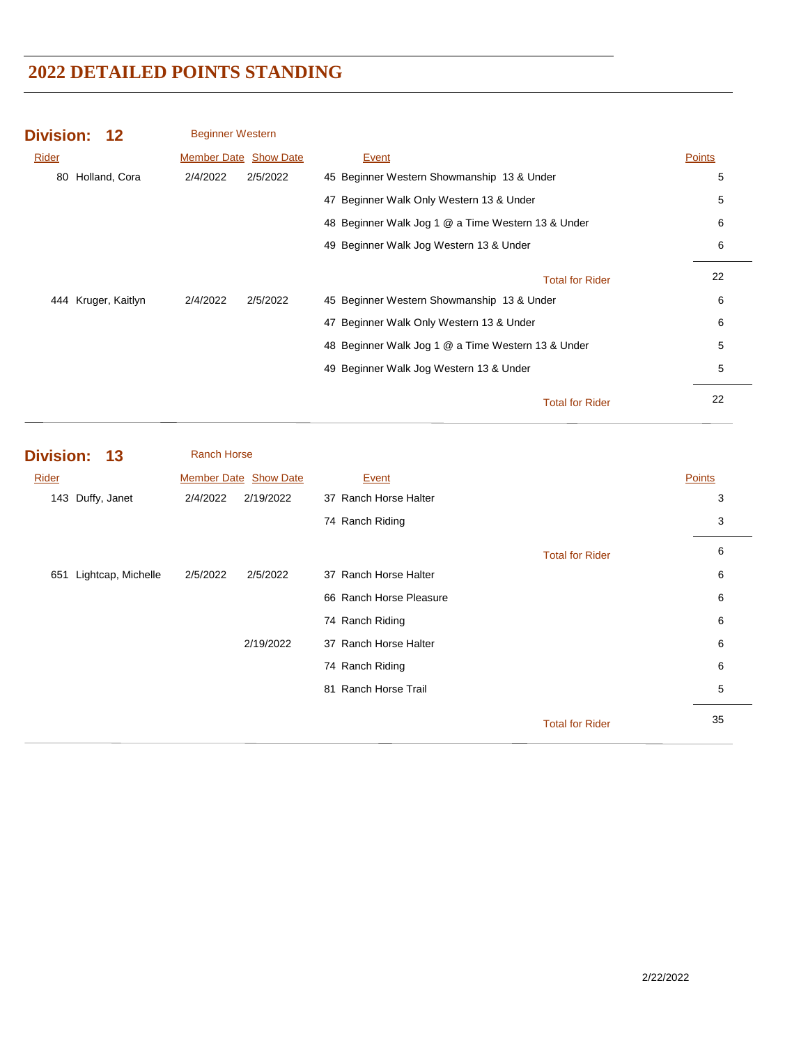| <b>Division: 12</b> |                     | <b>Beginner Western</b>      |          |                                                    |        |
|---------------------|---------------------|------------------------------|----------|----------------------------------------------------|--------|
| Rider               |                     | <b>Member Date Show Date</b> |          | Event                                              | Points |
|                     | 80 Holland, Cora    | 2/4/2022                     | 2/5/2022 | 45 Beginner Western Showmanship 13 & Under         | 5      |
|                     |                     |                              |          | 47 Beginner Walk Only Western 13 & Under           | 5      |
|                     |                     |                              |          | 48 Beginner Walk Jog 1 @ a Time Western 13 & Under | 6      |
|                     |                     |                              |          | 49 Beginner Walk Jog Western 13 & Under            | 6      |
|                     |                     |                              |          | <b>Total for Rider</b>                             | 22     |
|                     | 444 Kruger, Kaitlyn | 2/4/2022                     | 2/5/2022 | 45 Beginner Western Showmanship 13 & Under         | 6      |
|                     |                     |                              |          | 47 Beginner Walk Only Western 13 & Under           | 6      |
|                     |                     |                              |          | 48 Beginner Walk Jog 1 @ a Time Western 13 & Under | 5      |
|                     |                     |                              |          | 49 Beginner Walk Jog Western 13 & Under            | 5      |
|                     |                     |                              |          | <b>Total for Rider</b>                             | 22     |

| Division: 13           | <b>Ranch Horse</b> |                       |                         |                        |               |
|------------------------|--------------------|-----------------------|-------------------------|------------------------|---------------|
| Rider                  |                    | Member Date Show Date | Event                   |                        | <b>Points</b> |
| 143 Duffy, Janet       | 2/4/2022           | 2/19/2022             | 37 Ranch Horse Halter   |                        | 3             |
|                        |                    |                       | 74 Ranch Riding         |                        | 3             |
|                        |                    |                       |                         | <b>Total for Rider</b> | 6             |
| 651 Lightcap, Michelle | 2/5/2022           | 2/5/2022              | 37 Ranch Horse Halter   |                        | 6             |
|                        |                    |                       | 66 Ranch Horse Pleasure |                        | 6             |
|                        |                    |                       | 74 Ranch Riding         |                        | 6             |
|                        |                    | 2/19/2022             | 37 Ranch Horse Halter   |                        | 6             |
|                        |                    |                       | 74 Ranch Riding         |                        | 6             |
|                        |                    |                       | Ranch Horse Trail<br>81 |                        | 5             |
|                        |                    |                       |                         | <b>Total for Rider</b> | 35            |
|                        |                    |                       |                         |                        |               |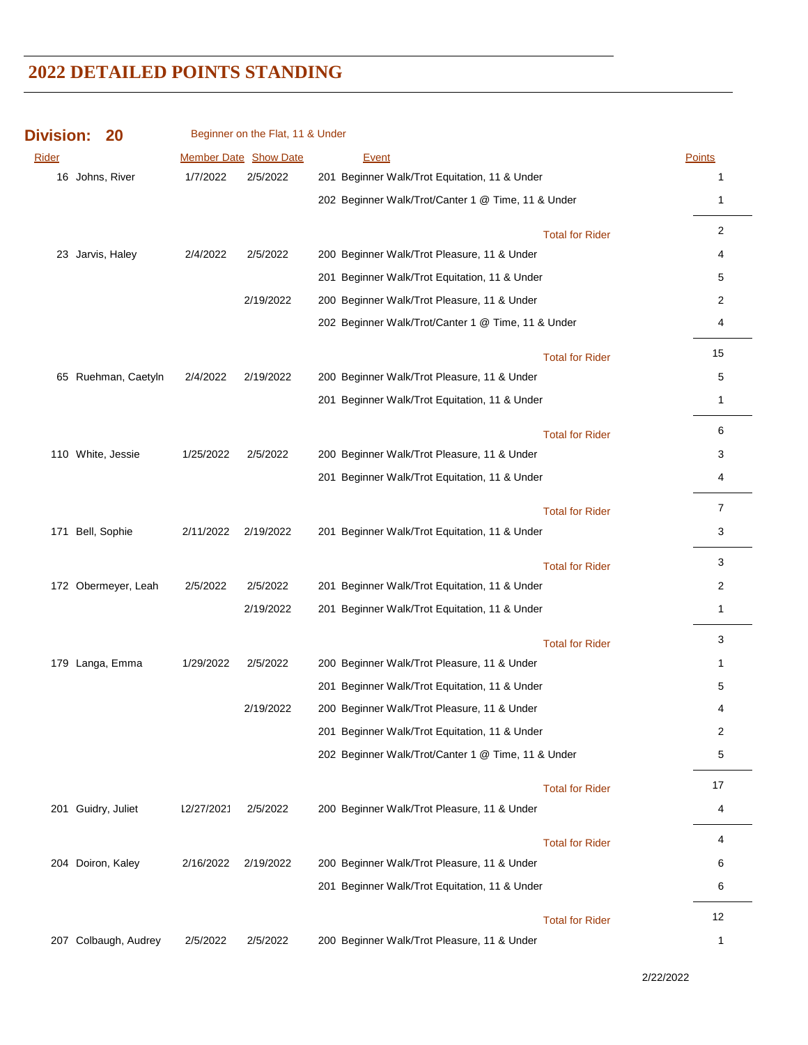| <b>Division:</b> | 20                   |            | Beginner on the Flat, 11 & Under |                                                    |                        |               |
|------------------|----------------------|------------|----------------------------------|----------------------------------------------------|------------------------|---------------|
| Rider            |                      |            | <b>Member Date Show Date</b>     | <b>Event</b>                                       |                        | <b>Points</b> |
|                  | 16 Johns, River      | 1/7/2022   | 2/5/2022                         | 201 Beginner Walk/Trot Equitation, 11 & Under      |                        | 1             |
|                  |                      |            |                                  | 202 Beginner Walk/Trot/Canter 1 @ Time, 11 & Under |                        | 1             |
|                  |                      |            |                                  |                                                    | <b>Total for Rider</b> | 2             |
|                  | 23 Jarvis, Haley     | 2/4/2022   | 2/5/2022                         | 200 Beginner Walk/Trot Pleasure, 11 & Under        |                        | 4             |
|                  |                      |            |                                  | 201 Beginner Walk/Trot Equitation, 11 & Under      |                        | 5             |
|                  |                      |            | 2/19/2022                        | 200 Beginner Walk/Trot Pleasure, 11 & Under        |                        | 2             |
|                  |                      |            |                                  | 202 Beginner Walk/Trot/Canter 1 @ Time, 11 & Under |                        | 4             |
|                  |                      |            |                                  |                                                    | <b>Total for Rider</b> | 15            |
|                  | 65 Ruehman, Caetyln  | 2/4/2022   | 2/19/2022                        | 200 Beginner Walk/Trot Pleasure, 11 & Under        |                        | 5             |
|                  |                      |            |                                  | 201 Beginner Walk/Trot Equitation, 11 & Under      |                        | 1             |
|                  |                      |            |                                  |                                                    | <b>Total for Rider</b> | 6             |
|                  | 110 White, Jessie    | 1/25/2022  | 2/5/2022                         | 200 Beginner Walk/Trot Pleasure, 11 & Under        |                        | 3             |
|                  |                      |            |                                  | 201 Beginner Walk/Trot Equitation, 11 & Under      |                        | 4             |
|                  |                      |            |                                  |                                                    | <b>Total for Rider</b> | 7             |
|                  | 171 Bell, Sophie     | 2/11/2022  | 2/19/2022                        | 201 Beginner Walk/Trot Equitation, 11 & Under      |                        | 3             |
|                  |                      |            |                                  |                                                    | <b>Total for Rider</b> | 3             |
|                  | 172 Obermeyer, Leah  | 2/5/2022   | 2/5/2022                         | 201 Beginner Walk/Trot Equitation, 11 & Under      |                        | 2             |
|                  |                      |            | 2/19/2022                        | 201 Beginner Walk/Trot Equitation, 11 & Under      |                        | 1             |
|                  |                      |            |                                  |                                                    | <b>Total for Rider</b> | 3             |
|                  | 179 Langa, Emma      | 1/29/2022  | 2/5/2022                         | 200 Beginner Walk/Trot Pleasure, 11 & Under        |                        | $\mathbf 1$   |
|                  |                      |            |                                  | 201 Beginner Walk/Trot Equitation, 11 & Under      |                        | 5             |
|                  |                      |            | 2/19/2022                        | 200 Beginner Walk/Trot Pleasure, 11 & Under        |                        | 4             |
|                  |                      |            |                                  | 201 Beginner Walk/Trot Equitation, 11 & Under      |                        | 2             |
|                  |                      |            |                                  | 202 Beginner Walk/Trot/Canter 1 @ Time, 11 & Under |                        | 5             |
|                  |                      |            |                                  |                                                    | <b>Total for Rider</b> | 17            |
|                  | 201 Guidry, Juliet   | 12/27/2021 | 2/5/2022                         | 200 Beginner Walk/Trot Pleasure, 11 & Under        |                        | 4             |
|                  |                      |            |                                  |                                                    | <b>Total for Rider</b> | 4             |
|                  | 204 Doiron, Kaley    | 2/16/2022  | 2/19/2022                        | 200 Beginner Walk/Trot Pleasure, 11 & Under        |                        | 6             |
|                  |                      |            |                                  | 201 Beginner Walk/Trot Equitation, 11 & Under      |                        | 6             |
|                  |                      |            |                                  |                                                    | <b>Total for Rider</b> | 12            |
|                  | 207 Colbaugh, Audrey | 2/5/2022   | 2/5/2022                         | 200 Beginner Walk/Trot Pleasure, 11 & Under        |                        | 1             |

2/22/2022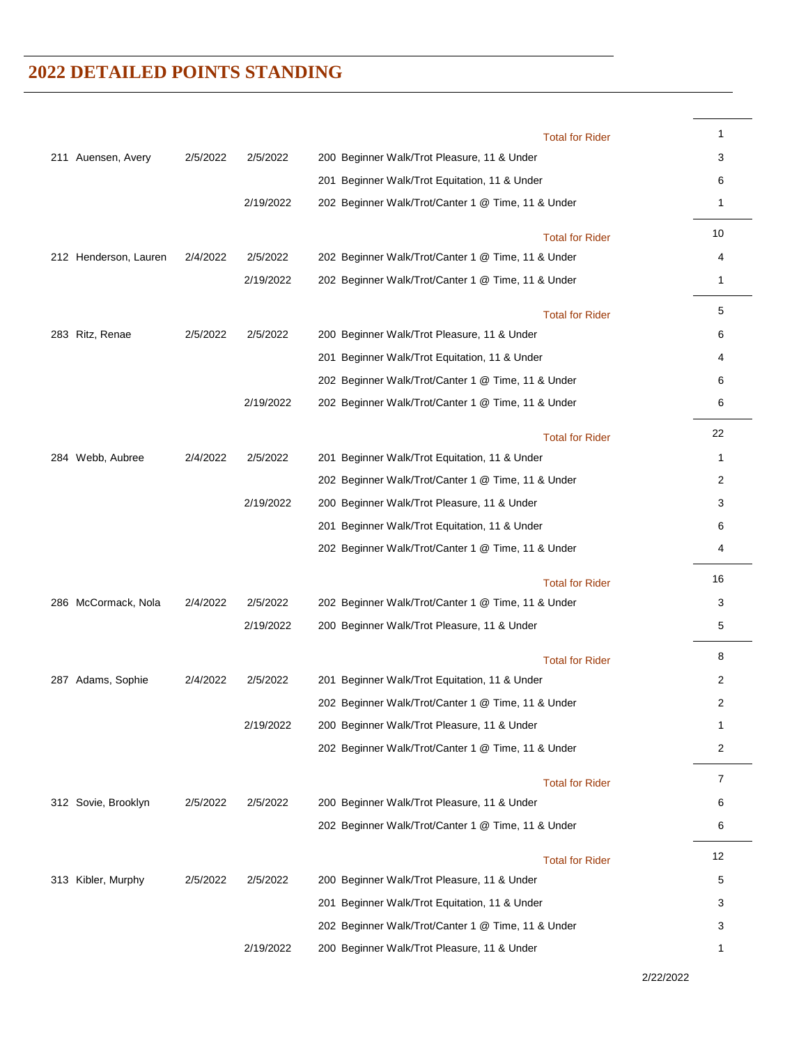|                       |          |           | <b>Total for Rider</b>                             | 1              |
|-----------------------|----------|-----------|----------------------------------------------------|----------------|
| 211 Auensen, Avery    | 2/5/2022 | 2/5/2022  | 200 Beginner Walk/Trot Pleasure, 11 & Under        | 3              |
|                       |          |           | 201 Beginner Walk/Trot Equitation, 11 & Under      | 6              |
|                       |          | 2/19/2022 | 202 Beginner Walk/Trot/Canter 1 @ Time, 11 & Under | 1              |
|                       |          |           | <b>Total for Rider</b>                             | 10             |
| 212 Henderson, Lauren | 2/4/2022 | 2/5/2022  | 202 Beginner Walk/Trot/Canter 1 @ Time, 11 & Under | 4              |
|                       |          | 2/19/2022 | 202 Beginner Walk/Trot/Canter 1 @ Time, 11 & Under | 1              |
|                       |          |           | <b>Total for Rider</b>                             | 5              |
| 283 Ritz, Renae       | 2/5/2022 | 2/5/2022  | 200 Beginner Walk/Trot Pleasure, 11 & Under        | 6              |
|                       |          |           | 201 Beginner Walk/Trot Equitation, 11 & Under      | 4              |
|                       |          |           | 202 Beginner Walk/Trot/Canter 1 @ Time, 11 & Under | 6              |
|                       |          | 2/19/2022 | 202 Beginner Walk/Trot/Canter 1 @ Time, 11 & Under | 6              |
|                       |          |           | <b>Total for Rider</b>                             | 22             |
| 284 Webb, Aubree      | 2/4/2022 | 2/5/2022  | 201 Beginner Walk/Trot Equitation, 11 & Under      | 1              |
|                       |          |           | 202 Beginner Walk/Trot/Canter 1 @ Time, 11 & Under | 2              |
|                       |          | 2/19/2022 | 200 Beginner Walk/Trot Pleasure, 11 & Under        | 3              |
|                       |          |           | 201 Beginner Walk/Trot Equitation, 11 & Under      | 6              |
|                       |          |           | 202 Beginner Walk/Trot/Canter 1 @ Time, 11 & Under | 4              |
|                       |          |           | <b>Total for Rider</b>                             | 16             |
| 286 McCormack, Nola   | 2/4/2022 | 2/5/2022  | 202 Beginner Walk/Trot/Canter 1 @ Time, 11 & Under | 3              |
|                       |          | 2/19/2022 | 200 Beginner Walk/Trot Pleasure, 11 & Under        | 5              |
|                       |          |           | <b>Total for Rider</b>                             | 8              |
| 287 Adams, Sophie     | 2/4/2022 | 2/5/2022  | 201 Beginner Walk/Trot Equitation, 11 & Under      | 2              |
|                       |          |           | 202 Beginner Walk/Trot/Canter 1 @ Time, 11 & Under | 2              |
|                       |          | 2/19/2022 | 200 Beginner Walk/Trot Pleasure, 11 & Under        | 1              |
|                       |          |           | 202 Beginner Walk/Trot/Canter 1 @ Time, 11 & Under | $\overline{c}$ |
|                       |          |           | <b>Total for Rider</b>                             | 7              |
| 312 Sovie, Brooklyn   | 2/5/2022 | 2/5/2022  | 200 Beginner Walk/Trot Pleasure, 11 & Under        | 6              |
|                       |          |           | 202 Beginner Walk/Trot/Canter 1 @ Time, 11 & Under | 6              |
|                       |          |           | <b>Total for Rider</b>                             | 12             |
| 313 Kibler, Murphy    | 2/5/2022 | 2/5/2022  | 200 Beginner Walk/Trot Pleasure, 11 & Under        | 5              |
|                       |          |           | 201 Beginner Walk/Trot Equitation, 11 & Under      | 3              |
|                       |          |           | 202 Beginner Walk/Trot/Canter 1 @ Time, 11 & Under | 3              |
|                       |          | 2/19/2022 | 200 Beginner Walk/Trot Pleasure, 11 & Under        | 1              |

2/22/2022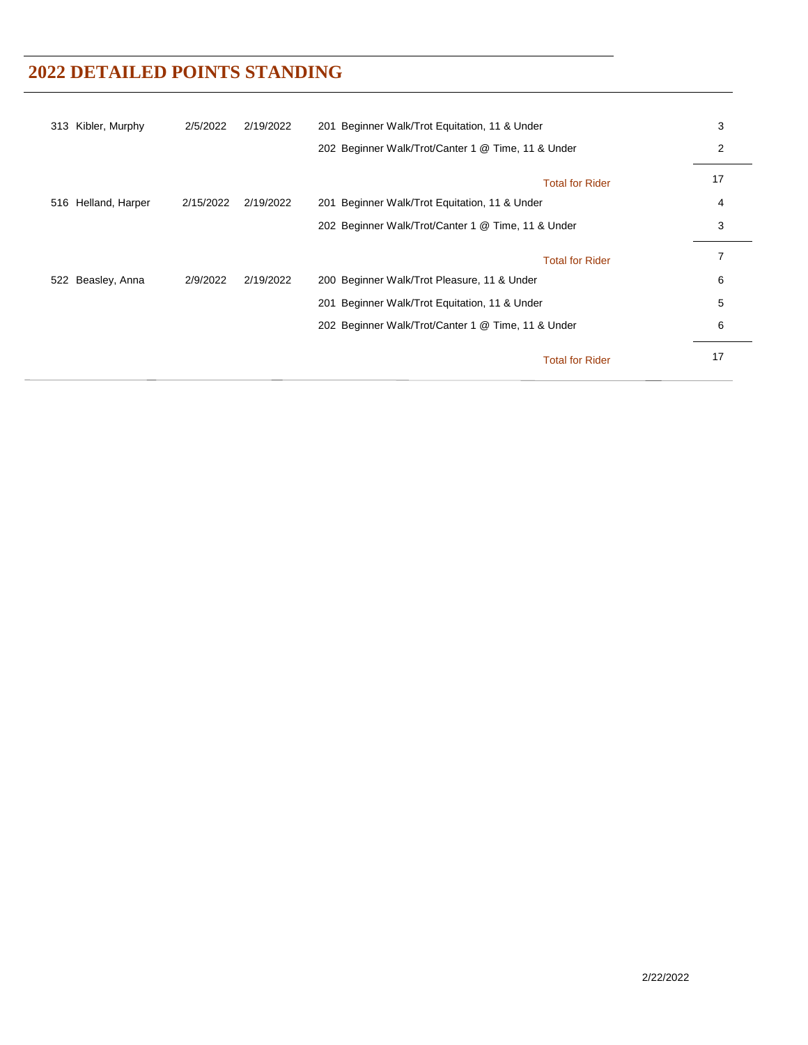| 313 Kibler, Murphy  | 2/5/2022  | 2/19/2022 | 201 Beginner Walk/Trot Equitation, 11 & Under      | 3  |
|---------------------|-----------|-----------|----------------------------------------------------|----|
|                     |           |           | 202 Beginner Walk/Trot/Canter 1 @ Time, 11 & Under | 2  |
|                     |           |           | <b>Total for Rider</b>                             | 17 |
| 516 Helland, Harper | 2/15/2022 | 2/19/2022 | 201 Beginner Walk/Trot Equitation, 11 & Under      | 4  |
|                     |           |           | 202 Beginner Walk/Trot/Canter 1 @ Time, 11 & Under | 3  |
|                     |           |           | <b>Total for Rider</b>                             | 7  |
| 522 Beasley, Anna   | 2/9/2022  | 2/19/2022 | 200 Beginner Walk/Trot Pleasure, 11 & Under        | 6  |
|                     |           |           | 201 Beginner Walk/Trot Equitation, 11 & Under      | 5  |
|                     |           |           | 202 Beginner Walk/Trot/Canter 1 @ Time, 11 & Under | 6  |
|                     |           |           | <b>Total for Rider</b>                             | 17 |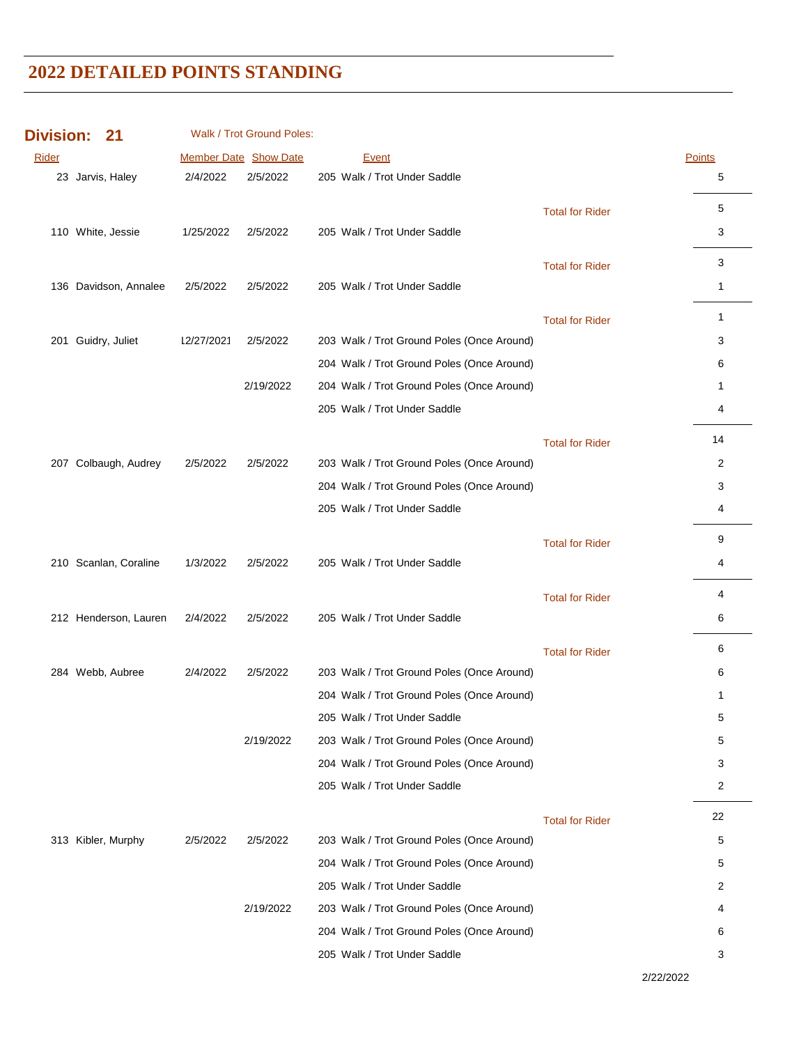| <b>Division:</b> | 21                    |            | Walk / Trot Ground Poles: |                                            |                        |               |
|------------------|-----------------------|------------|---------------------------|--------------------------------------------|------------------------|---------------|
| Rider            |                       |            | Member Date Show Date     | <b>Event</b>                               |                        | <b>Points</b> |
|                  | 23 Jarvis, Haley      | 2/4/2022   | 2/5/2022                  | 205 Walk / Trot Under Saddle               |                        | 5             |
|                  |                       |            |                           |                                            | <b>Total for Rider</b> | 5             |
|                  | 110 White, Jessie     | 1/25/2022  | 2/5/2022                  | 205 Walk / Trot Under Saddle               |                        | 3             |
|                  |                       |            |                           |                                            | <b>Total for Rider</b> | 3             |
|                  | 136 Davidson, Annalee | 2/5/2022   | 2/5/2022                  | 205 Walk / Trot Under Saddle               |                        | $\mathbf{1}$  |
|                  |                       |            |                           |                                            |                        |               |
|                  |                       |            |                           |                                            | <b>Total for Rider</b> | $\mathbf{1}$  |
|                  | 201 Guidry, Juliet    | 12/27/2021 | 2/5/2022                  | 203 Walk / Trot Ground Poles (Once Around) |                        | 3             |
|                  |                       |            |                           | 204 Walk / Trot Ground Poles (Once Around) |                        | 6             |
|                  |                       |            | 2/19/2022                 | 204 Walk / Trot Ground Poles (Once Around) |                        | 1             |
|                  |                       |            |                           | 205 Walk / Trot Under Saddle               |                        | 4             |
|                  |                       |            |                           |                                            | <b>Total for Rider</b> | 14            |
|                  | 207 Colbaugh, Audrey  | 2/5/2022   | 2/5/2022                  | 203 Walk / Trot Ground Poles (Once Around) |                        | 2             |
|                  |                       |            |                           | 204 Walk / Trot Ground Poles (Once Around) |                        | 3             |
|                  |                       |            |                           | 205 Walk / Trot Under Saddle               |                        | 4             |
|                  |                       |            |                           |                                            | <b>Total for Rider</b> | 9             |
|                  | 210 Scanlan, Coraline | 1/3/2022   | 2/5/2022                  | 205 Walk / Trot Under Saddle               |                        | 4             |
|                  |                       |            |                           |                                            | <b>Total for Rider</b> | 4             |
|                  | 212 Henderson, Lauren | 2/4/2022   | 2/5/2022                  | 205 Walk / Trot Under Saddle               |                        | 6             |
|                  |                       |            |                           |                                            |                        |               |
|                  |                       |            |                           |                                            | <b>Total for Rider</b> | 6             |
|                  | 284 Webb, Aubree      | 2/4/2022   | 2/5/2022                  | 203 Walk / Trot Ground Poles (Once Around) |                        | 6             |
|                  |                       |            |                           | 204 Walk / Trot Ground Poles (Once Around) |                        | 1             |
|                  |                       |            |                           | 205 Walk / Trot Under Saddle               |                        | 5             |
|                  |                       |            | 2/19/2022                 | 203 Walk / Trot Ground Poles (Once Around) |                        | 5             |
|                  |                       |            |                           | 204 Walk / Trot Ground Poles (Once Around) |                        | 3             |
|                  |                       |            |                           | 205 Walk / Trot Under Saddle               |                        | 2             |
|                  |                       |            |                           |                                            | <b>Total for Rider</b> | 22            |
|                  | 313 Kibler, Murphy    | 2/5/2022   | 2/5/2022                  | 203 Walk / Trot Ground Poles (Once Around) |                        | 5             |
|                  |                       |            |                           | 204 Walk / Trot Ground Poles (Once Around) |                        | 5             |
|                  |                       |            |                           | 205 Walk / Trot Under Saddle               |                        | 2             |
|                  |                       |            | 2/19/2022                 | 203 Walk / Trot Ground Poles (Once Around) |                        | 4             |
|                  |                       |            |                           | 204 Walk / Trot Ground Poles (Once Around) |                        | 6             |
|                  |                       |            |                           | 205 Walk / Trot Under Saddle               |                        | 3             |

2/22/2022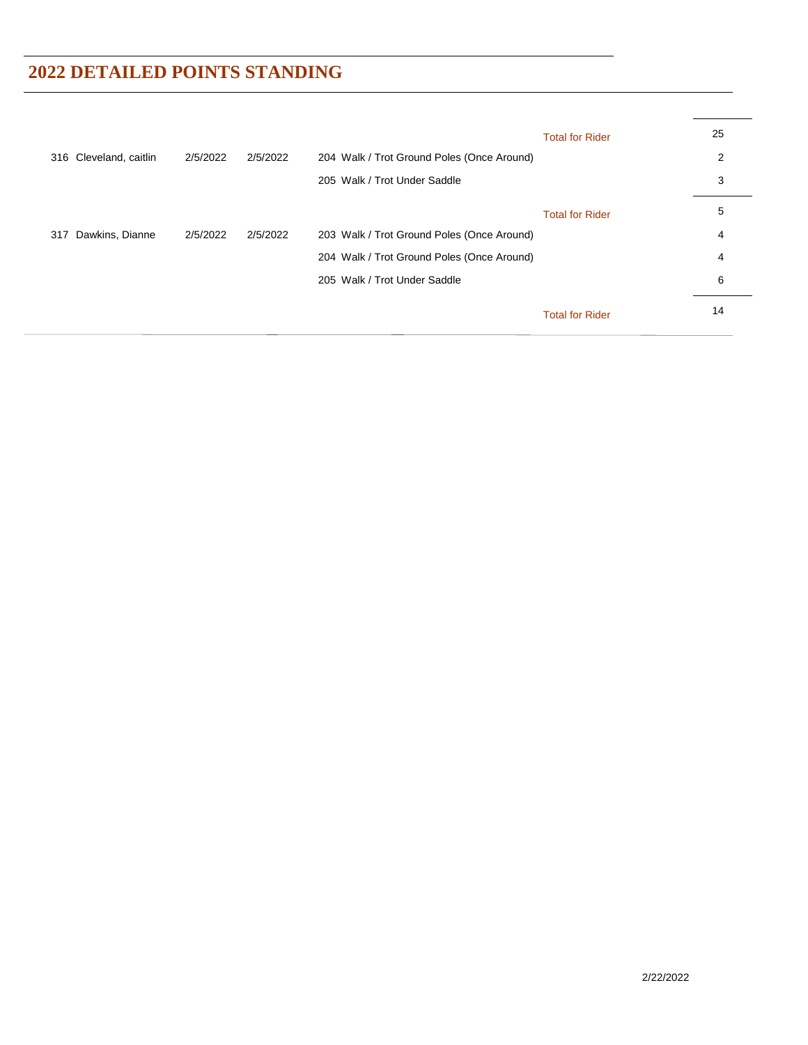|     |                        |          |          |                                            | <b>Total for Rider</b> | 25 |
|-----|------------------------|----------|----------|--------------------------------------------|------------------------|----|
|     | 316 Cleveland, caitlin | 2/5/2022 | 2/5/2022 | 204 Walk / Trot Ground Poles (Once Around) |                        | 2  |
|     |                        |          |          | 205 Walk / Trot Under Saddle               |                        | 3  |
|     |                        |          |          |                                            | <b>Total for Rider</b> | 5  |
| 317 | Dawkins, Dianne        | 2/5/2022 | 2/5/2022 | 203 Walk / Trot Ground Poles (Once Around) |                        | 4  |
|     |                        |          |          | 204 Walk / Trot Ground Poles (Once Around) |                        | 4  |
|     |                        |          |          | 205 Walk / Trot Under Saddle               |                        | 6  |
|     |                        |          |          |                                            | <b>Total for Rider</b> | 14 |
|     |                        |          |          |                                            |                        |    |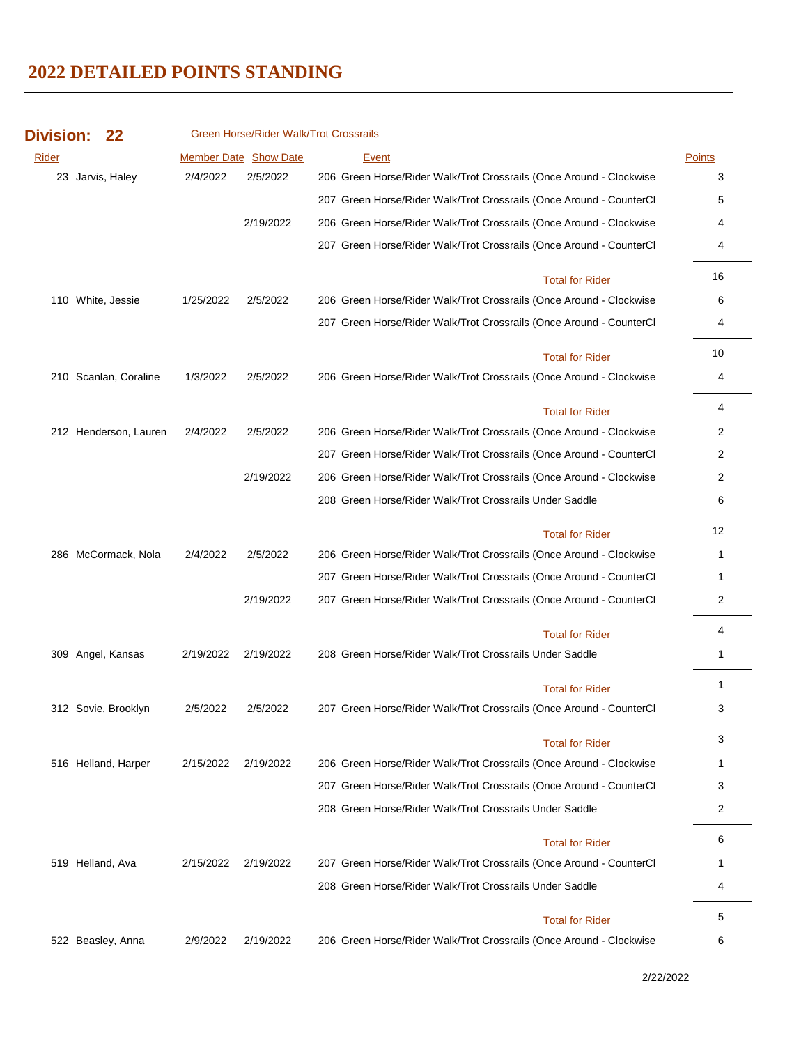| <b>Division:</b> |                       |           | Green Horse/Rider Walk/Trot Crossrails |                                                                     |               |
|------------------|-----------------------|-----------|----------------------------------------|---------------------------------------------------------------------|---------------|
| Rider            |                       |           | <b>Member Date Show Date</b>           | <b>Event</b>                                                        | <b>Points</b> |
|                  | 23 Jarvis, Haley      | 2/4/2022  | 2/5/2022                               | 206 Green Horse/Rider Walk/Trot Crossrails (Once Around - Clockwise | 3             |
|                  |                       |           |                                        | 207 Green Horse/Rider Walk/Trot Crossrails (Once Around - CounterCl | 5             |
|                  |                       |           | 2/19/2022                              | 206 Green Horse/Rider Walk/Trot Crossrails (Once Around - Clockwise | 4             |
|                  |                       |           |                                        | 207 Green Horse/Rider Walk/Trot Crossrails (Once Around - CounterCl | 4             |
|                  |                       |           |                                        | <b>Total for Rider</b>                                              | 16            |
|                  | 110 White, Jessie     | 1/25/2022 | 2/5/2022                               | 206 Green Horse/Rider Walk/Trot Crossrails (Once Around - Clockwise | 6             |
|                  |                       |           |                                        | 207 Green Horse/Rider Walk/Trot Crossrails (Once Around - CounterCl | 4             |
|                  |                       |           |                                        | <b>Total for Rider</b>                                              | 10            |
|                  | 210 Scanlan, Coraline | 1/3/2022  | 2/5/2022                               | 206 Green Horse/Rider Walk/Trot Crossrails (Once Around - Clockwise | 4             |
|                  |                       |           |                                        | <b>Total for Rider</b>                                              | 4             |
|                  | 212 Henderson, Lauren | 2/4/2022  | 2/5/2022                               | 206 Green Horse/Rider Walk/Trot Crossrails (Once Around - Clockwise | 2             |
|                  |                       |           |                                        | 207 Green Horse/Rider Walk/Trot Crossrails (Once Around - CounterCl | 2             |
|                  |                       |           | 2/19/2022                              | 206 Green Horse/Rider Walk/Trot Crossrails (Once Around - Clockwise | 2             |
|                  |                       |           |                                        | 208 Green Horse/Rider Walk/Trot Crossrails Under Saddle             | 6             |
|                  |                       |           |                                        | <b>Total for Rider</b>                                              | 12            |
|                  | 286 McCormack, Nola   | 2/4/2022  | 2/5/2022                               | 206 Green Horse/Rider Walk/Trot Crossrails (Once Around - Clockwise | 1             |
|                  |                       |           |                                        | 207 Green Horse/Rider Walk/Trot Crossrails (Once Around - CounterCl | 1             |
|                  |                       |           | 2/19/2022                              | 207 Green Horse/Rider Walk/Trot Crossrails (Once Around - CounterCl | 2             |
|                  |                       |           |                                        | <b>Total for Rider</b>                                              | 4             |
|                  | 309 Angel, Kansas     | 2/19/2022 | 2/19/2022                              | 208 Green Horse/Rider Walk/Trot Crossrails Under Saddle             | 1             |
|                  |                       |           |                                        | <b>Total for Rider</b>                                              | 1             |
|                  | 312 Sovie, Brooklyn   | 2/5/2022  | 2/5/2022                               | 207 Green Horse/Rider Walk/Trot Crossrails (Once Around - CounterCl | 3             |
|                  |                       |           |                                        | <b>Total for Rider</b>                                              | 3             |
|                  | 516 Helland, Harper   | 2/15/2022 | 2/19/2022                              | 206 Green Horse/Rider Walk/Trot Crossrails (Once Around - Clockwise | 1             |
|                  |                       |           |                                        | 207 Green Horse/Rider Walk/Trot Crossrails (Once Around - CounterCl | 3             |
|                  |                       |           |                                        | 208 Green Horse/Rider Walk/Trot Crossrails Under Saddle             | 2             |
|                  |                       |           |                                        | <b>Total for Rider</b>                                              | 6             |
|                  | 519 Helland, Ava      | 2/15/2022 | 2/19/2022                              | 207 Green Horse/Rider Walk/Trot Crossrails (Once Around - CounterCl | 1             |
|                  |                       |           |                                        | 208 Green Horse/Rider Walk/Trot Crossrails Under Saddle             | 4             |
|                  |                       |           |                                        | <b>Total for Rider</b>                                              | 5             |
|                  | 522 Beasley, Anna     | 2/9/2022  | 2/19/2022                              | 206 Green Horse/Rider Walk/Trot Crossrails (Once Around - Clockwise | 6             |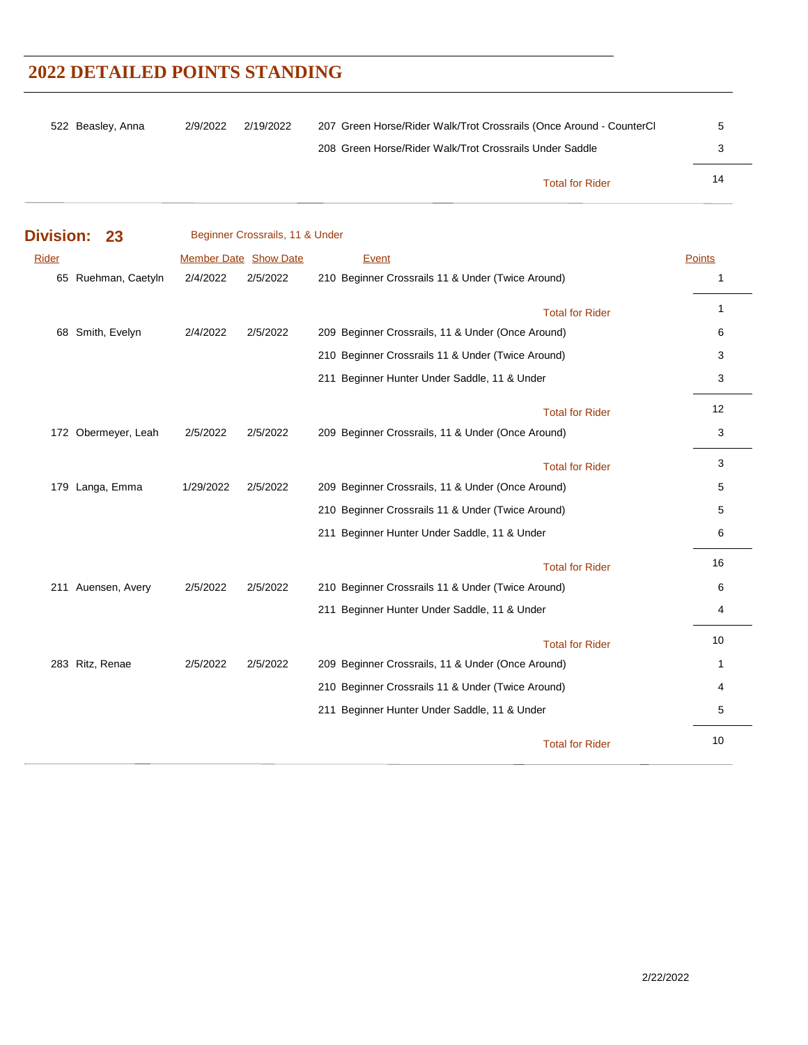| 522 Beasley, Anna | 2/9/2022 | 2/19/2022 | 207 Green Horse/Rider Walk/Trot Crossrails (Once Around - CounterCl |    |
|-------------------|----------|-----------|---------------------------------------------------------------------|----|
|                   |          |           | 208 Green Horse/Rider Walk/Trot Crossrails Under Saddle             |    |
|                   |          |           | <b>Total for Rider</b>                                              | 14 |

| <b>Division:</b> | 23                  |                       | Beginner Crossrails, 11 & Under |                                                   |              |
|------------------|---------------------|-----------------------|---------------------------------|---------------------------------------------------|--------------|
| Rider            |                     | Member Date Show Date |                                 | Event                                             | Points       |
|                  | 65 Ruehman, Caetyln | 2/4/2022              | 2/5/2022                        | 210 Beginner Crossrails 11 & Under (Twice Around) | $\mathbf{1}$ |
|                  |                     |                       |                                 | <b>Total for Rider</b>                            | $\mathbf{1}$ |
|                  | 68 Smith, Evelyn    | 2/4/2022              | 2/5/2022                        | 209 Beginner Crossrails, 11 & Under (Once Around) | 6            |
|                  |                     |                       |                                 | 210 Beginner Crossrails 11 & Under (Twice Around) | 3            |
|                  |                     |                       |                                 | 211 Beginner Hunter Under Saddle, 11 & Under      | 3            |
|                  |                     |                       |                                 | <b>Total for Rider</b>                            | 12           |
|                  | 172 Obermeyer, Leah | 2/5/2022              | 2/5/2022                        | 209 Beginner Crossrails, 11 & Under (Once Around) | 3            |
|                  |                     |                       |                                 | <b>Total for Rider</b>                            | 3            |
|                  | 179 Langa, Emma     | 1/29/2022             | 2/5/2022                        | 209 Beginner Crossrails, 11 & Under (Once Around) | 5            |
|                  |                     |                       |                                 | 210 Beginner Crossrails 11 & Under (Twice Around) | 5            |
|                  |                     |                       |                                 | 211 Beginner Hunter Under Saddle, 11 & Under      | 6            |
|                  |                     |                       |                                 | <b>Total for Rider</b>                            | 16           |
|                  | 211 Auensen, Avery  | 2/5/2022              | 2/5/2022                        | 210 Beginner Crossrails 11 & Under (Twice Around) | 6            |
|                  |                     |                       |                                 | 211 Beginner Hunter Under Saddle, 11 & Under      | 4            |
|                  |                     |                       |                                 | <b>Total for Rider</b>                            | 10           |
|                  | 283 Ritz, Renae     | 2/5/2022              | 2/5/2022                        | 209 Beginner Crossrails, 11 & Under (Once Around) | $\mathbf{1}$ |
|                  |                     |                       |                                 | 210 Beginner Crossrails 11 & Under (Twice Around) | 4            |
|                  |                     |                       |                                 | 211 Beginner Hunter Under Saddle, 11 & Under      | 5            |
|                  |                     |                       |                                 | <b>Total for Rider</b>                            | 10           |

 $\overline{a}$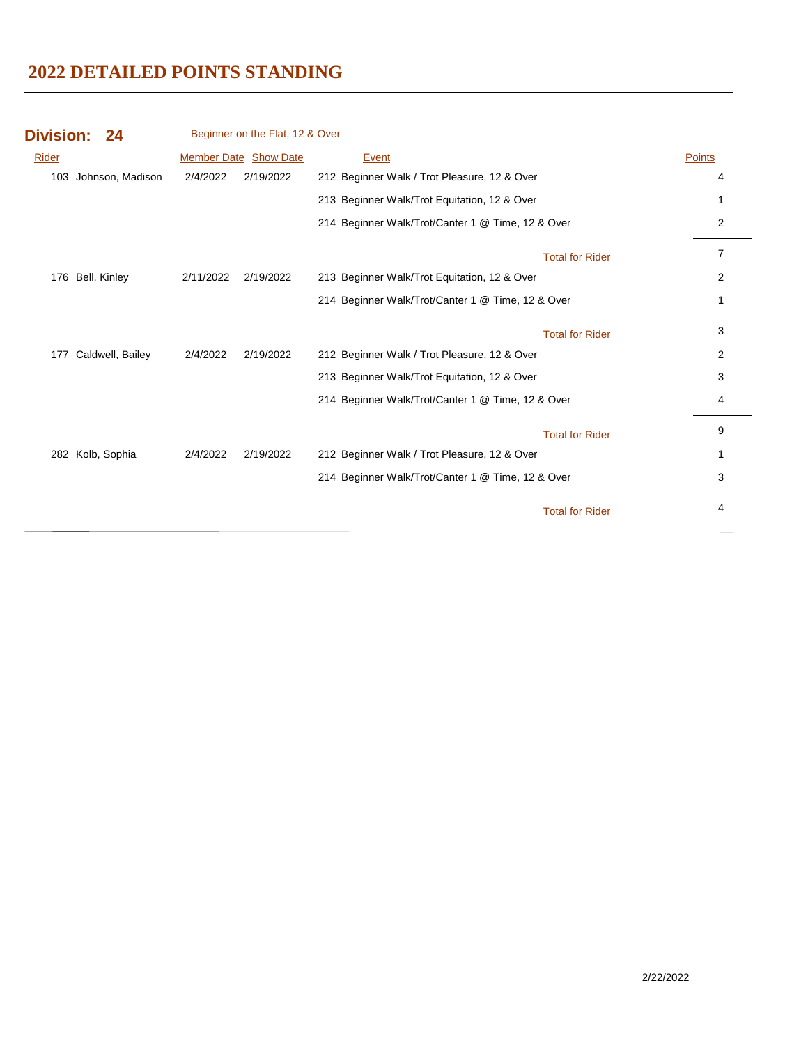| <b>Division: 24</b>     |           | Beginner on the Flat, 12 & Over |                                                   |                        |        |
|-------------------------|-----------|---------------------------------|---------------------------------------------------|------------------------|--------|
| Rider                   |           | <b>Member Date Show Date</b>    | Event                                             |                        | Points |
| 103 Johnson, Madison    | 2/4/2022  | 2/19/2022                       | 212 Beginner Walk / Trot Pleasure, 12 & Over      |                        | 4      |
|                         |           |                                 | 213 Beginner Walk/Trot Equitation, 12 & Over      |                        |        |
|                         |           |                                 | 214 Beginner Walk/Trot/Canter 1 @ Time, 12 & Over |                        | 2      |
|                         |           |                                 |                                                   | <b>Total for Rider</b> | 7      |
| Bell, Kinley<br>176     | 2/11/2022 | 2/19/2022                       | 213 Beginner Walk/Trot Equitation, 12 & Over      |                        | 2      |
|                         |           |                                 | 214 Beginner Walk/Trot/Canter 1 @ Time, 12 & Over |                        |        |
|                         |           |                                 |                                                   | <b>Total for Rider</b> | 3      |
| Caldwell, Bailey<br>177 | 2/4/2022  | 2/19/2022                       | 212 Beginner Walk / Trot Pleasure, 12 & Over      |                        | 2      |
|                         |           |                                 | 213 Beginner Walk/Trot Equitation, 12 & Over      |                        | 3      |
|                         |           |                                 | 214 Beginner Walk/Trot/Canter 1 @ Time, 12 & Over |                        | 4      |
|                         |           |                                 |                                                   | <b>Total for Rider</b> | 9      |
| Kolb, Sophia<br>282     | 2/4/2022  | 2/19/2022                       | 212 Beginner Walk / Trot Pleasure, 12 & Over      |                        |        |
|                         |           |                                 | 214 Beginner Walk/Trot/Canter 1 @ Time, 12 & Over |                        | 3      |
|                         |           |                                 |                                                   | <b>Total for Rider</b> | 4      |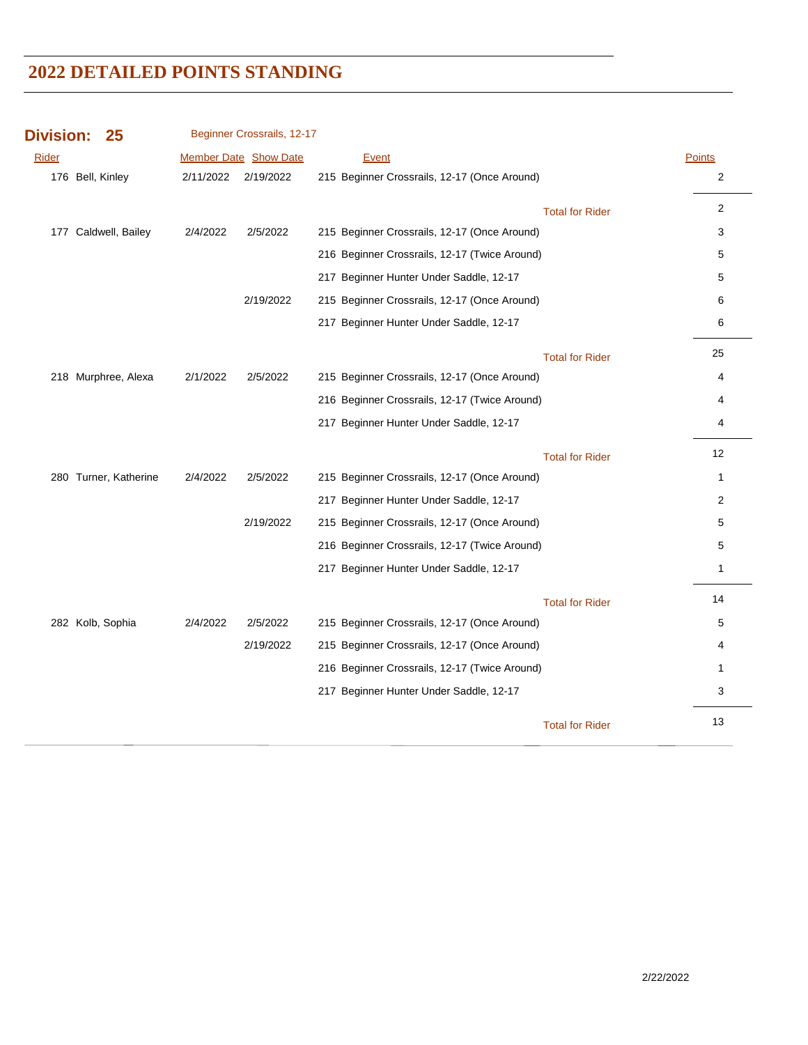| <b>Division:</b><br>25 |           | Beginner Crossrails, 12-17 |                                               |                        |                |
|------------------------|-----------|----------------------------|-----------------------------------------------|------------------------|----------------|
| <b>Rider</b>           |           | Member Date Show Date      | <b>Event</b>                                  |                        | <b>Points</b>  |
| 176 Bell, Kinley       | 2/11/2022 | 2/19/2022                  | 215 Beginner Crossrails, 12-17 (Once Around)  |                        | $\overline{c}$ |
|                        |           |                            |                                               | <b>Total for Rider</b> | 2              |
| 177 Caldwell, Bailey   | 2/4/2022  | 2/5/2022                   | 215 Beginner Crossrails, 12-17 (Once Around)  |                        | 3              |
|                        |           |                            | 216 Beginner Crossrails, 12-17 (Twice Around) |                        | 5              |
|                        |           |                            | 217 Beginner Hunter Under Saddle, 12-17       |                        | 5              |
|                        |           | 2/19/2022                  | 215 Beginner Crossrails, 12-17 (Once Around)  |                        | 6              |
|                        |           |                            | 217 Beginner Hunter Under Saddle, 12-17       |                        | 6              |
|                        |           |                            |                                               | <b>Total for Rider</b> | 25             |
| 218 Murphree, Alexa    | 2/1/2022  | 2/5/2022                   | 215 Beginner Crossrails, 12-17 (Once Around)  |                        | 4              |
|                        |           |                            | 216 Beginner Crossrails, 12-17 (Twice Around) |                        | 4              |
|                        |           |                            | 217 Beginner Hunter Under Saddle, 12-17       |                        | 4              |
|                        |           |                            |                                               | <b>Total for Rider</b> | 12             |
| 280 Turner, Katherine  | 2/4/2022  | 2/5/2022                   | 215 Beginner Crossrails, 12-17 (Once Around)  |                        | 1              |
|                        |           |                            | 217 Beginner Hunter Under Saddle, 12-17       |                        | 2              |
|                        |           | 2/19/2022                  | 215 Beginner Crossrails, 12-17 (Once Around)  |                        | 5              |
|                        |           |                            | 216 Beginner Crossrails, 12-17 (Twice Around) |                        | 5              |
|                        |           |                            | 217 Beginner Hunter Under Saddle, 12-17       |                        | 1              |
|                        |           |                            |                                               | <b>Total for Rider</b> | 14             |
| 282 Kolb, Sophia       | 2/4/2022  | 2/5/2022                   | 215 Beginner Crossrails, 12-17 (Once Around)  |                        | 5              |
|                        |           | 2/19/2022                  | 215 Beginner Crossrails, 12-17 (Once Around)  |                        | 4              |
|                        |           |                            | 216 Beginner Crossrails, 12-17 (Twice Around) |                        | 1              |
|                        |           |                            | 217 Beginner Hunter Under Saddle, 12-17       |                        | 3              |
|                        |           |                            |                                               | <b>Total for Rider</b> | 13             |
|                        |           |                            |                                               |                        |                |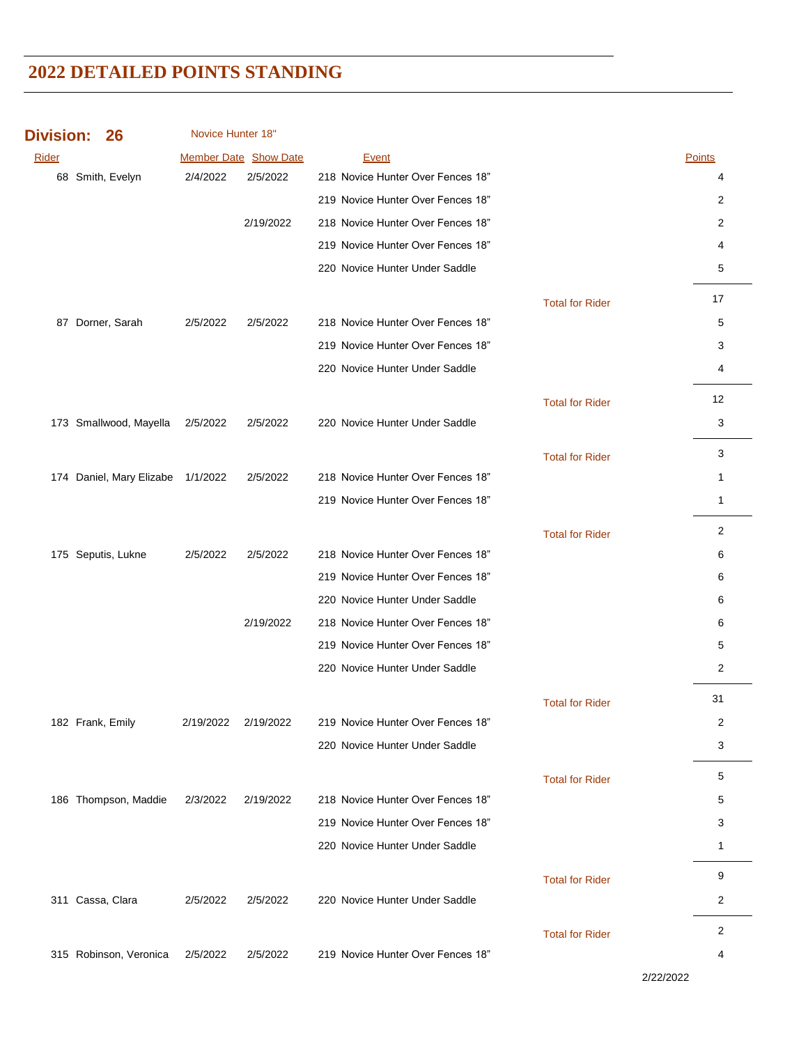| <b>Division:</b> | 26                       | Novice Hunter 18" |                       |                                   |                        |                |
|------------------|--------------------------|-------------------|-----------------------|-----------------------------------|------------------------|----------------|
| Rider            |                          |                   | Member Date Show Date | <b>Event</b>                      |                        | Points         |
|                  | 68 Smith, Evelyn         | 2/4/2022          | 2/5/2022              | 218 Novice Hunter Over Fences 18" |                        | 4              |
|                  |                          |                   |                       | 219 Novice Hunter Over Fences 18" |                        | 2              |
|                  |                          |                   | 2/19/2022             | 218 Novice Hunter Over Fences 18" |                        | 2              |
|                  |                          |                   |                       | 219 Novice Hunter Over Fences 18" |                        | 4              |
|                  |                          |                   |                       | 220 Novice Hunter Under Saddle    |                        | 5              |
|                  |                          |                   |                       |                                   | <b>Total for Rider</b> | 17             |
|                  | 87 Dorner, Sarah         | 2/5/2022          | 2/5/2022              | 218 Novice Hunter Over Fences 18" |                        | 5              |
|                  |                          |                   |                       | 219 Novice Hunter Over Fences 18" |                        | 3              |
|                  |                          |                   |                       | 220 Novice Hunter Under Saddle    |                        | 4              |
|                  |                          |                   |                       |                                   | <b>Total for Rider</b> | 12             |
|                  | 173 Smallwood, Mayella   | 2/5/2022          | 2/5/2022              | 220 Novice Hunter Under Saddle    |                        | 3              |
|                  |                          |                   |                       |                                   | <b>Total for Rider</b> | 3              |
|                  | 174 Daniel, Mary Elizabe | 1/1/2022          | 2/5/2022              | 218 Novice Hunter Over Fences 18" |                        | $\mathbf{1}$   |
|                  |                          |                   |                       | 219 Novice Hunter Over Fences 18" |                        | $\mathbf{1}$   |
|                  |                          |                   |                       |                                   | <b>Total for Rider</b> | 2              |
|                  | 175 Seputis, Lukne       | 2/5/2022          | 2/5/2022              | 218 Novice Hunter Over Fences 18" |                        | 6              |
|                  |                          |                   |                       | 219 Novice Hunter Over Fences 18" |                        | 6              |
|                  |                          |                   |                       | 220 Novice Hunter Under Saddle    |                        | 6              |
|                  |                          |                   | 2/19/2022             | 218 Novice Hunter Over Fences 18" |                        | 6              |
|                  |                          |                   |                       | 219 Novice Hunter Over Fences 18" |                        | 5              |
|                  |                          |                   |                       | 220 Novice Hunter Under Saddle    |                        | 2              |
|                  |                          |                   |                       |                                   | <b>Total for Rider</b> | 31             |
|                  | 182 Frank, Emily         | 2/19/2022         | 2/19/2022             | 219 Novice Hunter Over Fences 18" |                        | 2              |
|                  |                          |                   |                       | 220 Novice Hunter Under Saddle    |                        | 3              |
|                  |                          |                   |                       |                                   | <b>Total for Rider</b> | 5              |
|                  | 186 Thompson, Maddie     | 2/3/2022          | 2/19/2022             | 218 Novice Hunter Over Fences 18" |                        | 5              |
|                  |                          |                   |                       | 219 Novice Hunter Over Fences 18" |                        | 3              |
|                  |                          |                   |                       | 220 Novice Hunter Under Saddle    |                        | 1              |
|                  |                          |                   |                       |                                   | <b>Total for Rider</b> | 9              |
|                  | 311 Cassa, Clara         | 2/5/2022          | 2/5/2022              | 220 Novice Hunter Under Saddle    |                        | $\overline{c}$ |
|                  |                          |                   |                       |                                   | <b>Total for Rider</b> | $\overline{c}$ |
|                  | 315 Robinson, Veronica   | 2/5/2022          | 2/5/2022              | 219 Novice Hunter Over Fences 18" |                        | 4              |

2/22/2022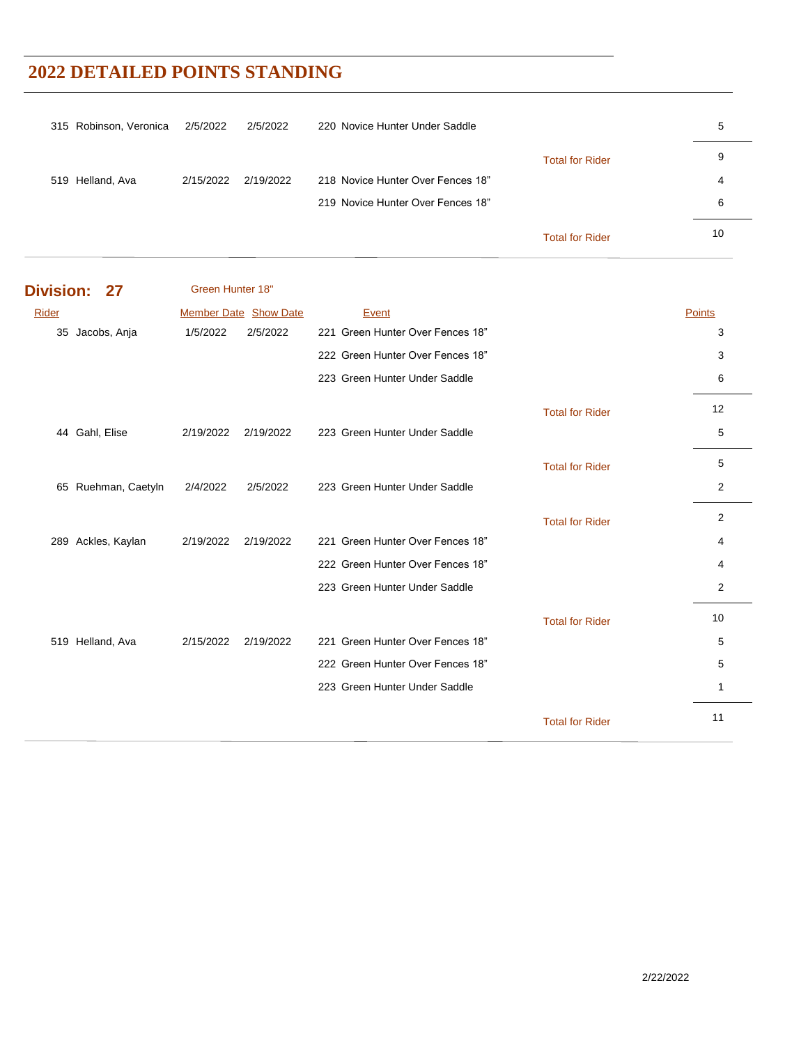| 315 Robinson, Veronica | 2/5/2022  | 2/5/2022  | 220 Novice Hunter Under Saddle    |                        | 5  |
|------------------------|-----------|-----------|-----------------------------------|------------------------|----|
|                        |           |           |                                   | <b>Total for Rider</b> | 9  |
| 519 Helland, Ava       | 2/15/2022 | 2/19/2022 | 218 Novice Hunter Over Fences 18" |                        | 4  |
|                        |           |           | 219 Novice Hunter Over Fences 18" |                        | 6  |
|                        |           |           |                                   | <b>Total for Rider</b> | 10 |

| <b>Division:</b><br>27 | Green Hunter 18" |                              |                                  |                        |                |
|------------------------|------------------|------------------------------|----------------------------------|------------------------|----------------|
| Rider                  |                  | <b>Member Date Show Date</b> | Event                            |                        | <b>Points</b>  |
| Jacobs, Anja<br>35     | 1/5/2022         | 2/5/2022                     | 221 Green Hunter Over Fences 18" |                        | 3              |
|                        |                  |                              | 222 Green Hunter Over Fences 18" |                        | 3              |
|                        |                  |                              | 223 Green Hunter Under Saddle    |                        | 6              |
|                        |                  |                              |                                  | <b>Total for Rider</b> | 12             |
| 44 Gahl, Elise         | 2/19/2022        | 2/19/2022                    | 223 Green Hunter Under Saddle    |                        | 5              |
|                        |                  |                              |                                  | <b>Total for Rider</b> | 5              |
| 65 Ruehman, Caetyln    | 2/4/2022         | 2/5/2022                     | 223 Green Hunter Under Saddle    |                        | $\overline{2}$ |
|                        |                  |                              |                                  | <b>Total for Rider</b> | $\overline{2}$ |
| 289 Ackles, Kaylan     | 2/19/2022        | 2/19/2022                    | 221 Green Hunter Over Fences 18" |                        | 4              |
|                        |                  |                              | 222 Green Hunter Over Fences 18" |                        | 4              |
|                        |                  |                              | 223 Green Hunter Under Saddle    |                        | $\overline{2}$ |
|                        |                  |                              |                                  | <b>Total for Rider</b> | 10             |
| 519 Helland, Ava       | 2/15/2022        | 2/19/2022                    | 221 Green Hunter Over Fences 18" |                        | 5              |
|                        |                  |                              | 222 Green Hunter Over Fences 18" |                        | 5              |
|                        |                  |                              | 223 Green Hunter Under Saddle    |                        | 1              |
|                        |                  |                              |                                  | <b>Total for Rider</b> | 11             |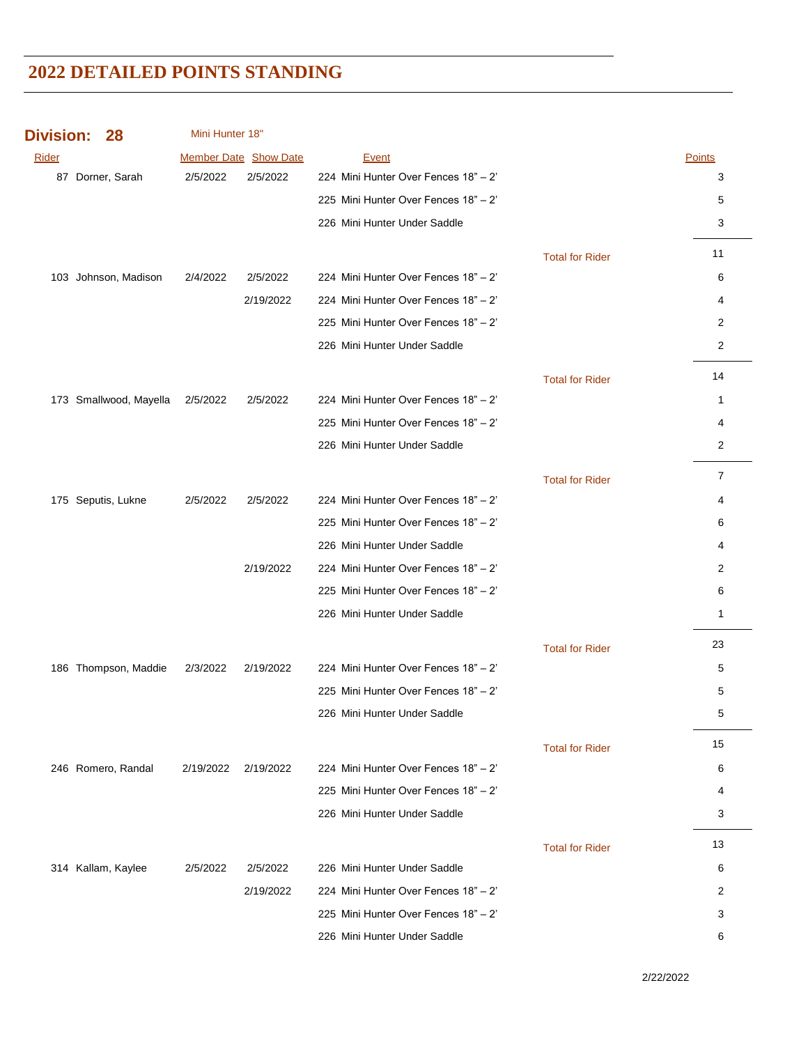| <b>Division:</b> | 28                     | Mini Hunter 18"       |           |                                      |                        |                |
|------------------|------------------------|-----------------------|-----------|--------------------------------------|------------------------|----------------|
| Rider            |                        | Member Date Show Date |           | <b>Event</b>                         |                        | <b>Points</b>  |
|                  | 87 Dorner, Sarah       | 2/5/2022              | 2/5/2022  | 224 Mini Hunter Over Fences 18" - 2" |                        | 3              |
|                  |                        |                       |           | 225 Mini Hunter Over Fences 18" - 2" |                        | 5              |
|                  |                        |                       |           | 226 Mini Hunter Under Saddle         |                        | 3              |
|                  |                        |                       |           |                                      | <b>Total for Rider</b> | 11             |
|                  | 103 Johnson, Madison   | 2/4/2022              | 2/5/2022  | 224 Mini Hunter Over Fences 18" - 2" |                        | 6              |
|                  |                        |                       | 2/19/2022 | 224 Mini Hunter Over Fences 18" - 2" |                        | 4              |
|                  |                        |                       |           | 225 Mini Hunter Over Fences 18" - 2" |                        | 2              |
|                  |                        |                       |           | 226 Mini Hunter Under Saddle         |                        | $\overline{c}$ |
|                  |                        |                       |           |                                      | <b>Total for Rider</b> | 14             |
|                  | 173 Smallwood, Mayella | 2/5/2022              | 2/5/2022  | 224 Mini Hunter Over Fences 18" - 2" |                        | $\mathbf{1}$   |
|                  |                        |                       |           | 225 Mini Hunter Over Fences 18" - 2" |                        | 4              |
|                  |                        |                       |           | 226 Mini Hunter Under Saddle         |                        | 2              |
|                  |                        |                       |           |                                      | <b>Total for Rider</b> | $\overline{7}$ |
|                  | 175 Seputis, Lukne     | 2/5/2022              | 2/5/2022  | 224 Mini Hunter Over Fences 18" - 2" |                        | 4              |
|                  |                        |                       |           | 225 Mini Hunter Over Fences 18" - 2" |                        | 6              |
|                  |                        |                       |           | 226 Mini Hunter Under Saddle         |                        | 4              |
|                  |                        |                       | 2/19/2022 | 224 Mini Hunter Over Fences 18" - 2" |                        | 2              |
|                  |                        |                       |           | 225 Mini Hunter Over Fences 18" - 2" |                        | 6              |
|                  |                        |                       |           | 226 Mini Hunter Under Saddle         |                        | $\mathbf{1}$   |
|                  |                        |                       |           |                                      | <b>Total for Rider</b> | 23             |
|                  | 186 Thompson, Maddie   | 2/3/2022              | 2/19/2022 | 224 Mini Hunter Over Fences 18" - 2" |                        | 5              |
|                  |                        |                       |           | 225 Mini Hunter Over Fences 18" - 2" |                        | 5              |
|                  |                        |                       |           | 226 Mini Hunter Under Saddle         |                        | 5              |
|                  |                        |                       |           |                                      | <b>Total for Rider</b> | 15             |
|                  | 246 Romero, Randal     | 2/19/2022             | 2/19/2022 | 224 Mini Hunter Over Fences 18" - 2" |                        | 6              |
|                  |                        |                       |           | 225 Mini Hunter Over Fences 18" - 2" |                        | 4              |
|                  |                        |                       |           | 226 Mini Hunter Under Saddle         |                        | 3              |
|                  |                        |                       |           |                                      | <b>Total for Rider</b> | 13             |
|                  | 314 Kallam, Kaylee     | 2/5/2022              | 2/5/2022  | 226 Mini Hunter Under Saddle         |                        | 6              |
|                  |                        |                       | 2/19/2022 | 224 Mini Hunter Over Fences 18" - 2" |                        | 2              |
|                  |                        |                       |           | 225 Mini Hunter Over Fences 18" - 2" |                        | 3              |
|                  |                        |                       |           | 226 Mini Hunter Under Saddle         |                        | 6              |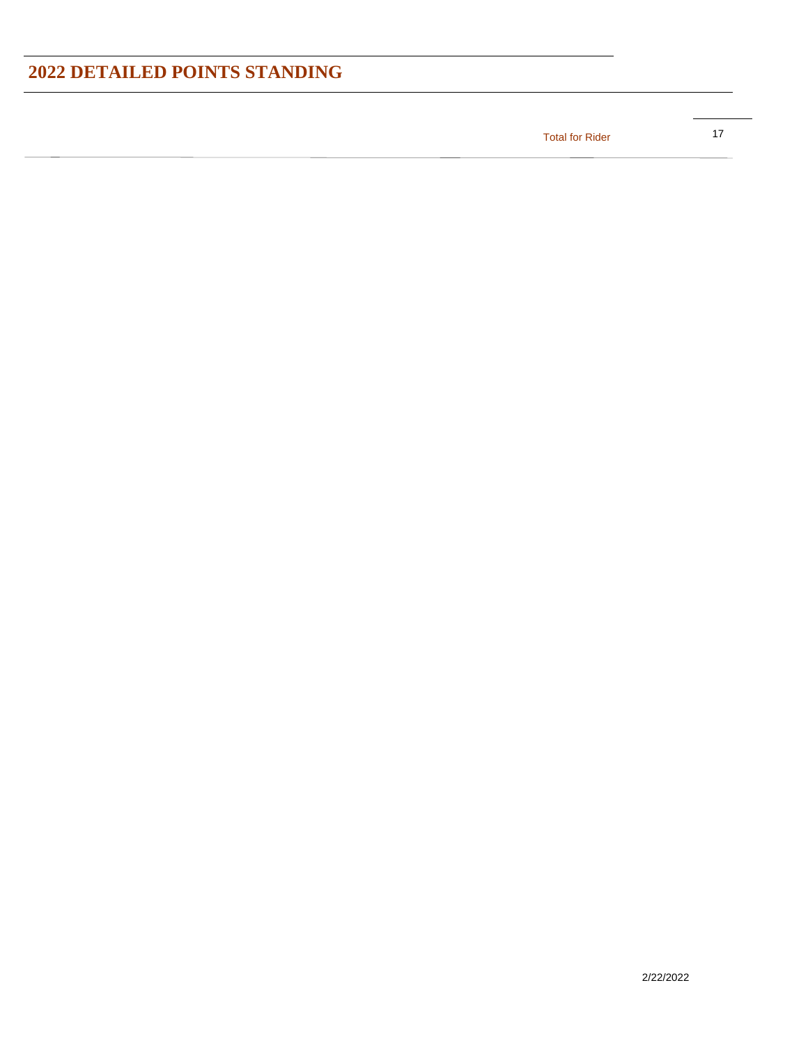17 Total for Rider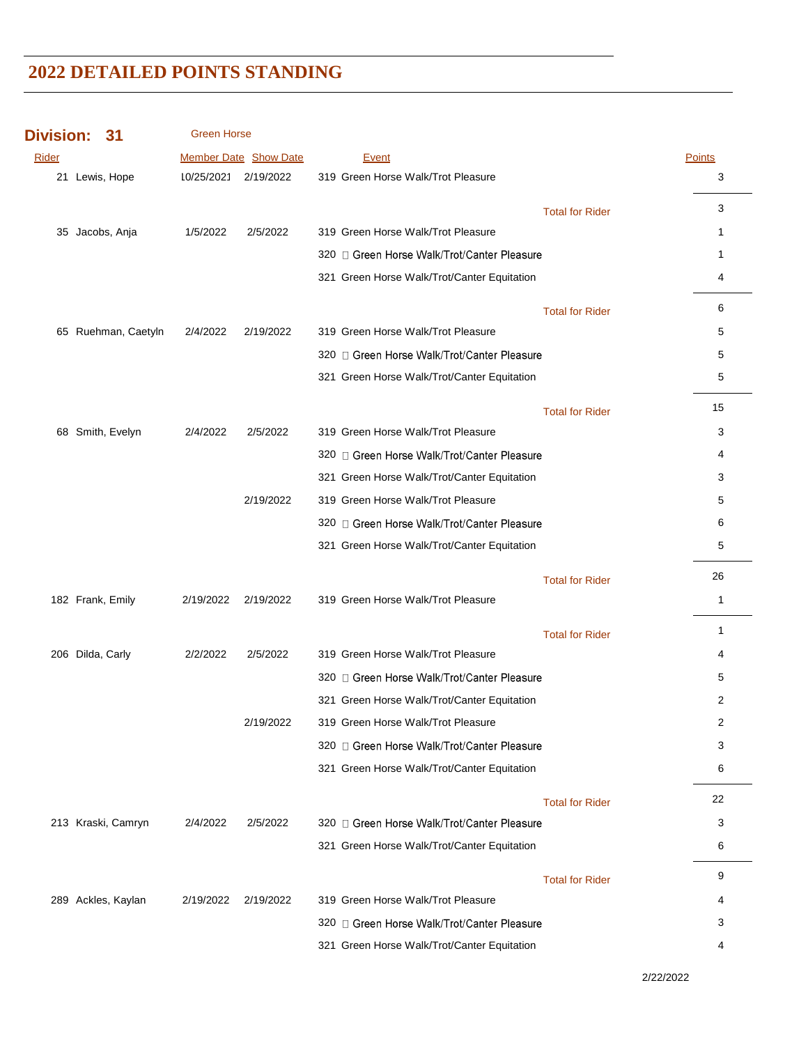| <b>Division:</b> | 31                  | <b>Green Horse</b> |                              |                                             |                        |              |
|------------------|---------------------|--------------------|------------------------------|---------------------------------------------|------------------------|--------------|
| Rider            |                     |                    | <b>Member Date Show Date</b> | <b>Event</b>                                |                        | Points       |
|                  | 21 Lewis, Hope      |                    | 10/25/2021 2/19/2022         | 319 Green Horse Walk/Trot Pleasure          |                        | 3            |
|                  |                     |                    |                              |                                             | <b>Total for Rider</b> | 3            |
|                  | 35 Jacobs, Anja     | 1/5/2022           | 2/5/2022                     | 319 Green Horse Walk/Trot Pleasure          |                        | 1            |
|                  |                     |                    |                              | 320 □ Green Horse Walk/Trot/Canter Pleasure |                        | 1            |
|                  |                     |                    |                              | 321 Green Horse Walk/Trot/Canter Equitation |                        | 4            |
|                  |                     |                    |                              |                                             | <b>Total for Rider</b> | 6            |
|                  | 65 Ruehman, Caetyln | 2/4/2022           | 2/19/2022                    | 319 Green Horse Walk/Trot Pleasure          |                        | 5            |
|                  |                     |                    |                              | 320 □ Green Horse Walk/Trot/Canter Pleasure |                        | 5            |
|                  |                     |                    |                              | 321 Green Horse Walk/Trot/Canter Equitation |                        | 5            |
|                  |                     |                    |                              |                                             | <b>Total for Rider</b> | 15           |
|                  | 68 Smith, Evelyn    | 2/4/2022           | 2/5/2022                     | 319 Green Horse Walk/Trot Pleasure          |                        | 3            |
|                  |                     |                    |                              | 320 □ Green Horse Walk/Trot/Canter Pleasure |                        | 4            |
|                  |                     |                    |                              | 321 Green Horse Walk/Trot/Canter Equitation |                        | 3            |
|                  |                     |                    | 2/19/2022                    | 319 Green Horse Walk/Trot Pleasure          |                        | 5            |
|                  |                     |                    |                              | 320 □ Green Horse Walk/Trot/Canter Pleasure |                        | 6            |
|                  |                     |                    |                              | 321 Green Horse Walk/Trot/Canter Equitation |                        | 5            |
|                  |                     |                    |                              |                                             | <b>Total for Rider</b> | 26           |
|                  | 182 Frank, Emily    | 2/19/2022          | 2/19/2022                    | 319 Green Horse Walk/Trot Pleasure          |                        | $\mathbf{1}$ |
|                  |                     |                    |                              |                                             | <b>Total for Rider</b> | 1            |
|                  | 206 Dilda, Carly    | 2/2/2022           | 2/5/2022                     | 319 Green Horse Walk/Trot Pleasure          |                        | 4            |
|                  |                     |                    |                              | 320 □ Green Horse Walk/Trot/Canter Pleasure |                        | 5            |
|                  |                     |                    |                              | 321 Green Horse Walk/Trot/Canter Equitation |                        | 2            |
|                  |                     |                    | 2/19/2022                    | 319 Green Horse Walk/Trot Pleasure          |                        | 2            |
|                  |                     |                    |                              | 320 □ Green Horse Walk/Trot/Canter Pleasure |                        | 3            |
|                  |                     |                    |                              | 321 Green Horse Walk/Trot/Canter Equitation |                        | 6            |
|                  |                     |                    |                              |                                             | <b>Total for Rider</b> | 22           |
|                  | 213 Kraski, Camryn  | 2/4/2022           | 2/5/2022                     | 320 n Green Horse Walk/Trot/Canter Pleasure |                        | 3            |
|                  |                     |                    |                              | 321 Green Horse Walk/Trot/Canter Equitation |                        | 6            |
|                  |                     |                    |                              |                                             | <b>Total for Rider</b> | 9            |
|                  | 289 Ackles, Kaylan  | 2/19/2022          | 2/19/2022                    | 319 Green Horse Walk/Trot Pleasure          |                        | 4            |
|                  |                     |                    |                              | 320 □ Green Horse Walk/Trot/Canter Pleasure |                        | 3            |
|                  |                     |                    |                              | 321 Green Horse Walk/Trot/Canter Equitation |                        | 4            |

2/22/2022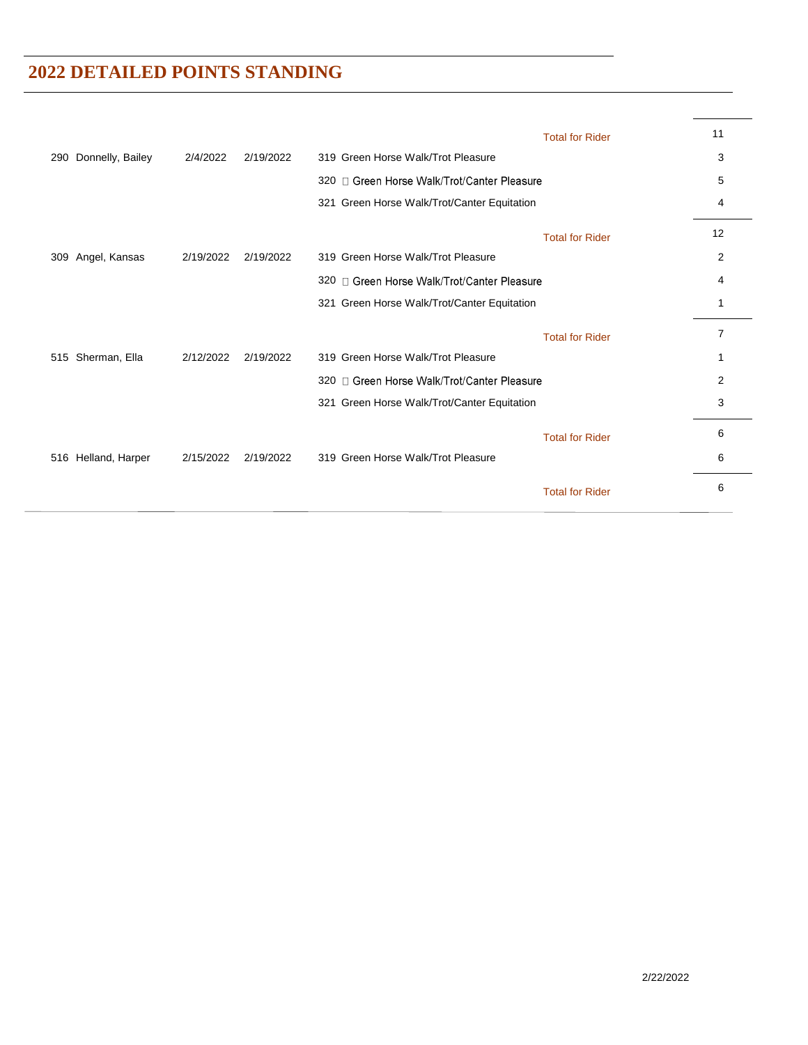|                         |           |           |                                             | <b>Total for Rider</b> | 11 |
|-------------------------|-----------|-----------|---------------------------------------------|------------------------|----|
| Donnelly, Bailey<br>290 | 2/4/2022  | 2/19/2022 | 319 Green Horse Walk/Trot Pleasure          |                        | 3  |
|                         |           |           | 320 □ Green Horse Walk/Trot/Canter Pleasure |                        | 5  |
|                         |           |           | 321 Green Horse Walk/Trot/Canter Equitation |                        | 4  |
|                         |           |           |                                             | <b>Total for Rider</b> | 12 |
| Angel, Kansas<br>309    | 2/19/2022 | 2/19/2022 | 319 Green Horse Walk/Trot Pleasure          |                        | 2  |
|                         |           |           | 320 □ Green Horse Walk/Trot/Canter Pleasure |                        | 4  |
|                         |           |           | 321 Green Horse Walk/Trot/Canter Equitation |                        |    |
|                         |           |           |                                             | <b>Total for Rider</b> | 7  |
| Sherman, Ella<br>515    | 2/12/2022 | 2/19/2022 | 319 Green Horse Walk/Trot Pleasure          |                        | 1  |
|                         |           |           | 320 n Green Horse Walk/Trot/Canter Pleasure |                        | 2  |
|                         |           |           | 321 Green Horse Walk/Trot/Canter Equitation |                        | 3  |
|                         |           |           |                                             | <b>Total for Rider</b> | 6  |
| Helland, Harper<br>516  | 2/15/2022 | 2/19/2022 | 319 Green Horse Walk/Trot Pleasure          |                        | 6  |
|                         |           |           |                                             | <b>Total for Rider</b> | 6  |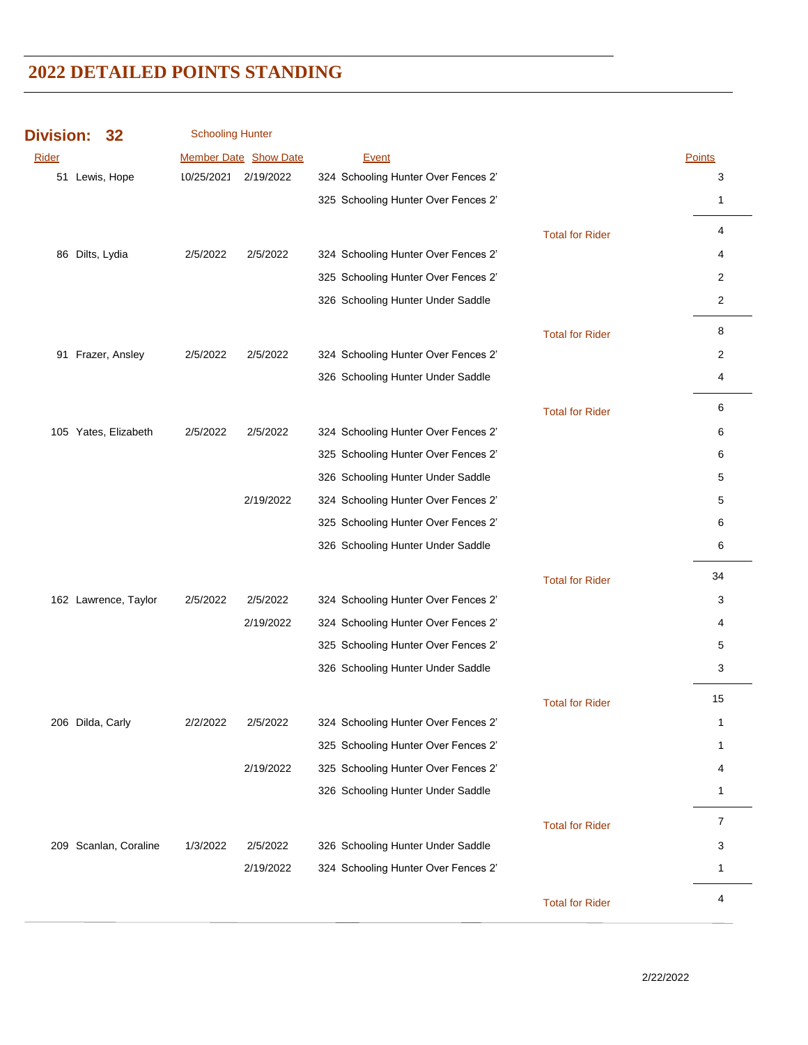| <b>Division:</b> |                  | 32                    | <b>Schooling Hunter</b> |                              |                                     |                        |              |
|------------------|------------------|-----------------------|-------------------------|------------------------------|-------------------------------------|------------------------|--------------|
| Rider            |                  |                       |                         | <b>Member Date Show Date</b> | Event                               |                        | Points       |
|                  | 51 Lewis, Hope   |                       | 10/25/2021              | 2/19/2022                    | 324 Schooling Hunter Over Fences 2' |                        | 3            |
|                  |                  |                       |                         |                              | 325 Schooling Hunter Over Fences 2' |                        | 1            |
|                  |                  |                       |                         |                              |                                     | <b>Total for Rider</b> | 4            |
|                  | 86 Dilts, Lydia  |                       | 2/5/2022                | 2/5/2022                     | 324 Schooling Hunter Over Fences 2' |                        | 4            |
|                  |                  |                       |                         |                              | 325 Schooling Hunter Over Fences 2' |                        | 2            |
|                  |                  |                       |                         |                              | 326 Schooling Hunter Under Saddle   |                        | 2            |
|                  |                  |                       |                         |                              |                                     | <b>Total for Rider</b> | 8            |
|                  |                  | 91 Frazer, Ansley     | 2/5/2022                | 2/5/2022                     | 324 Schooling Hunter Over Fences 2' |                        | 2            |
|                  |                  |                       |                         |                              | 326 Schooling Hunter Under Saddle   |                        | 4            |
|                  |                  |                       |                         |                              |                                     | <b>Total for Rider</b> | 6            |
|                  |                  | 105 Yates, Elizabeth  | 2/5/2022                | 2/5/2022                     | 324 Schooling Hunter Over Fences 2' |                        | 6            |
|                  |                  |                       |                         |                              | 325 Schooling Hunter Over Fences 2' |                        | 6            |
|                  |                  |                       |                         |                              | 326 Schooling Hunter Under Saddle   |                        | 5            |
|                  |                  |                       |                         | 2/19/2022                    | 324 Schooling Hunter Over Fences 2' |                        | 5            |
|                  |                  |                       |                         |                              | 325 Schooling Hunter Over Fences 2' |                        | 6            |
|                  |                  |                       |                         |                              | 326 Schooling Hunter Under Saddle   |                        | 6            |
|                  |                  |                       |                         |                              |                                     | <b>Total for Rider</b> | 34           |
|                  |                  | 162 Lawrence, Taylor  | 2/5/2022                | 2/5/2022                     | 324 Schooling Hunter Over Fences 2' |                        | 3            |
|                  |                  |                       |                         | 2/19/2022                    | 324 Schooling Hunter Over Fences 2' |                        | 4            |
|                  |                  |                       |                         |                              | 325 Schooling Hunter Over Fences 2' |                        | 5            |
|                  |                  |                       |                         |                              | 326 Schooling Hunter Under Saddle   |                        | 3            |
|                  |                  |                       |                         |                              |                                     | <b>Total for Rider</b> | 15           |
|                  | 206 Dilda, Carly |                       | 2/2/2022                | 2/5/2022                     | 324 Schooling Hunter Over Fences 2' |                        | $\mathbf{1}$ |
|                  |                  |                       |                         |                              | 325 Schooling Hunter Over Fences 2' |                        | 1            |
|                  |                  |                       |                         | 2/19/2022                    | 325 Schooling Hunter Over Fences 2' |                        | 4            |
|                  |                  |                       |                         |                              | 326 Schooling Hunter Under Saddle   |                        | 1            |
|                  |                  |                       |                         |                              |                                     | <b>Total for Rider</b> | 7            |
|                  |                  | 209 Scanlan, Coraline | 1/3/2022                | 2/5/2022                     | 326 Schooling Hunter Under Saddle   |                        | 3            |
|                  |                  |                       |                         | 2/19/2022                    | 324 Schooling Hunter Over Fences 2' |                        | 1            |
|                  |                  |                       |                         |                              |                                     | <b>Total for Rider</b> | 4            |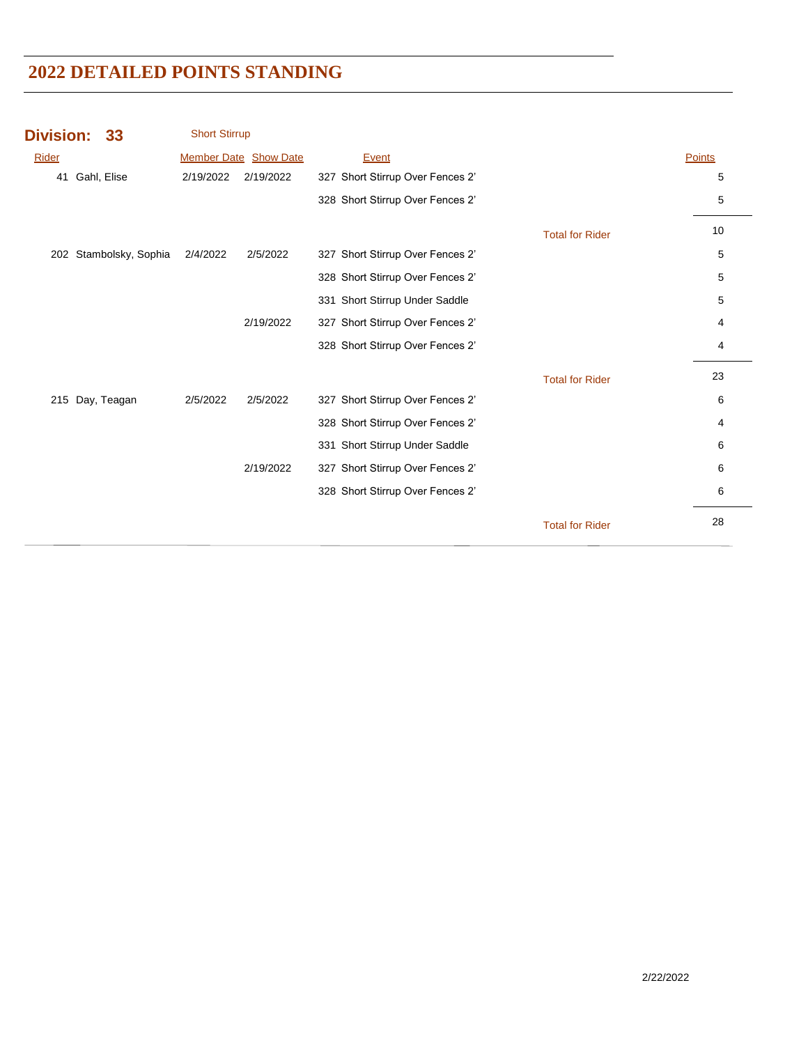| Division: 33      |                        | <b>Short Stirrup</b> |                       |                                  |               |
|-------------------|------------------------|----------------------|-----------------------|----------------------------------|---------------|
| <b>Rider</b>      |                        |                      | Member Date Show Date | Event                            | <b>Points</b> |
| Gahl, Elise<br>41 |                        | 2/19/2022            | 2/19/2022             | 327 Short Stirrup Over Fences 2' | 5             |
|                   |                        |                      |                       | 328 Short Stirrup Over Fences 2' | 5             |
|                   |                        |                      |                       | <b>Total for Rider</b>           | 10            |
|                   | 202 Stambolsky, Sophia | 2/4/2022             | 2/5/2022              | 327 Short Stirrup Over Fences 2' | 5             |
|                   |                        |                      |                       | 328 Short Stirrup Over Fences 2' | 5             |
|                   |                        |                      |                       | 331 Short Stirrup Under Saddle   | 5             |
|                   |                        |                      | 2/19/2022             | 327 Short Stirrup Over Fences 2' | 4             |
|                   |                        |                      |                       | 328 Short Stirrup Over Fences 2' | 4             |
|                   |                        |                      |                       | <b>Total for Rider</b>           | 23            |
| 215 Day, Teagan   |                        | 2/5/2022             | 2/5/2022              | 327 Short Stirrup Over Fences 2' | 6             |
|                   |                        |                      |                       | 328 Short Stirrup Over Fences 2' | 4             |
|                   |                        |                      |                       | 331 Short Stirrup Under Saddle   | 6             |
|                   |                        |                      | 2/19/2022             | 327 Short Stirrup Over Fences 2' | 6             |
|                   |                        |                      |                       | 328 Short Stirrup Over Fences 2' | 6             |
|                   |                        |                      |                       | <b>Total for Rider</b>           | 28            |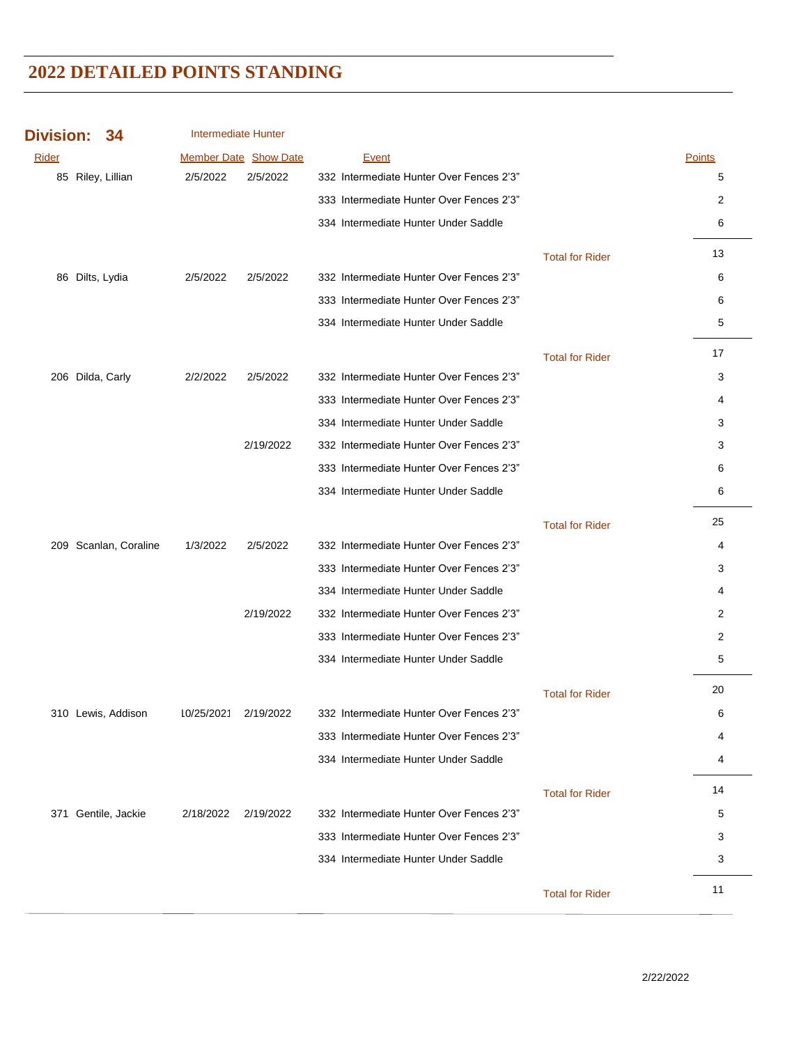| <b>Division:</b> | 34                    | <b>Intermediate Hunter</b> |                       |                                          |                        |        |
|------------------|-----------------------|----------------------------|-----------------------|------------------------------------------|------------------------|--------|
| Rider            |                       |                            | Member Date Show Date | <b>Event</b>                             |                        | Points |
|                  | 85 Riley, Lillian     | 2/5/2022                   | 2/5/2022              | 332 Intermediate Hunter Over Fences 2'3" |                        | 5      |
|                  |                       |                            |                       | 333 Intermediate Hunter Over Fences 2'3" |                        | 2      |
|                  |                       |                            |                       | 334 Intermediate Hunter Under Saddle     |                        | 6      |
|                  |                       |                            |                       |                                          | <b>Total for Rider</b> | 13     |
|                  | 86 Dilts, Lydia       | 2/5/2022                   | 2/5/2022              | 332 Intermediate Hunter Over Fences 2'3" |                        | 6      |
|                  |                       |                            |                       | 333 Intermediate Hunter Over Fences 2'3" |                        | 6      |
|                  |                       |                            |                       | 334 Intermediate Hunter Under Saddle     |                        | 5      |
|                  |                       |                            |                       |                                          | <b>Total for Rider</b> | 17     |
|                  | 206 Dilda, Carly      | 2/2/2022                   | 2/5/2022              | 332 Intermediate Hunter Over Fences 2'3" |                        | 3      |
|                  |                       |                            |                       | 333 Intermediate Hunter Over Fences 2'3" |                        | 4      |
|                  |                       |                            |                       | 334 Intermediate Hunter Under Saddle     |                        | 3      |
|                  |                       |                            | 2/19/2022             | 332 Intermediate Hunter Over Fences 2'3" |                        | 3      |
|                  |                       |                            |                       | 333 Intermediate Hunter Over Fences 2'3" |                        | 6      |
|                  |                       |                            |                       | 334 Intermediate Hunter Under Saddle     |                        | 6      |
|                  |                       |                            |                       |                                          | <b>Total for Rider</b> | 25     |
|                  | 209 Scanlan, Coraline | 1/3/2022                   | 2/5/2022              | 332 Intermediate Hunter Over Fences 2'3" |                        | 4      |
|                  |                       |                            |                       | 333 Intermediate Hunter Over Fences 2'3" |                        | 3      |
|                  |                       |                            |                       | 334 Intermediate Hunter Under Saddle     |                        | 4      |
|                  |                       |                            | 2/19/2022             | 332 Intermediate Hunter Over Fences 2'3" |                        | 2      |
|                  |                       |                            |                       | 333 Intermediate Hunter Over Fences 2'3" |                        | 2      |
|                  |                       |                            |                       | 334 Intermediate Hunter Under Saddle     |                        | 5      |
|                  |                       |                            |                       |                                          | <b>Total for Rider</b> | 20     |
|                  | 310 Lewis, Addison    | 10/25/2021                 | 2/19/2022             | 332 Intermediate Hunter Over Fences 2'3" |                        | 6      |
|                  |                       |                            |                       | 333 Intermediate Hunter Over Fences 2'3" |                        | 4      |
|                  |                       |                            |                       | 334 Intermediate Hunter Under Saddle     |                        | 4      |
|                  |                       |                            |                       |                                          | <b>Total for Rider</b> | 14     |
|                  | 371 Gentile, Jackie   | 2/18/2022                  | 2/19/2022             | 332 Intermediate Hunter Over Fences 2'3" |                        | 5      |
|                  |                       |                            |                       | 333 Intermediate Hunter Over Fences 2'3" |                        | 3      |
|                  |                       |                            |                       | 334 Intermediate Hunter Under Saddle     |                        | 3      |
|                  |                       |                            |                       |                                          | <b>Total for Rider</b> | 11     |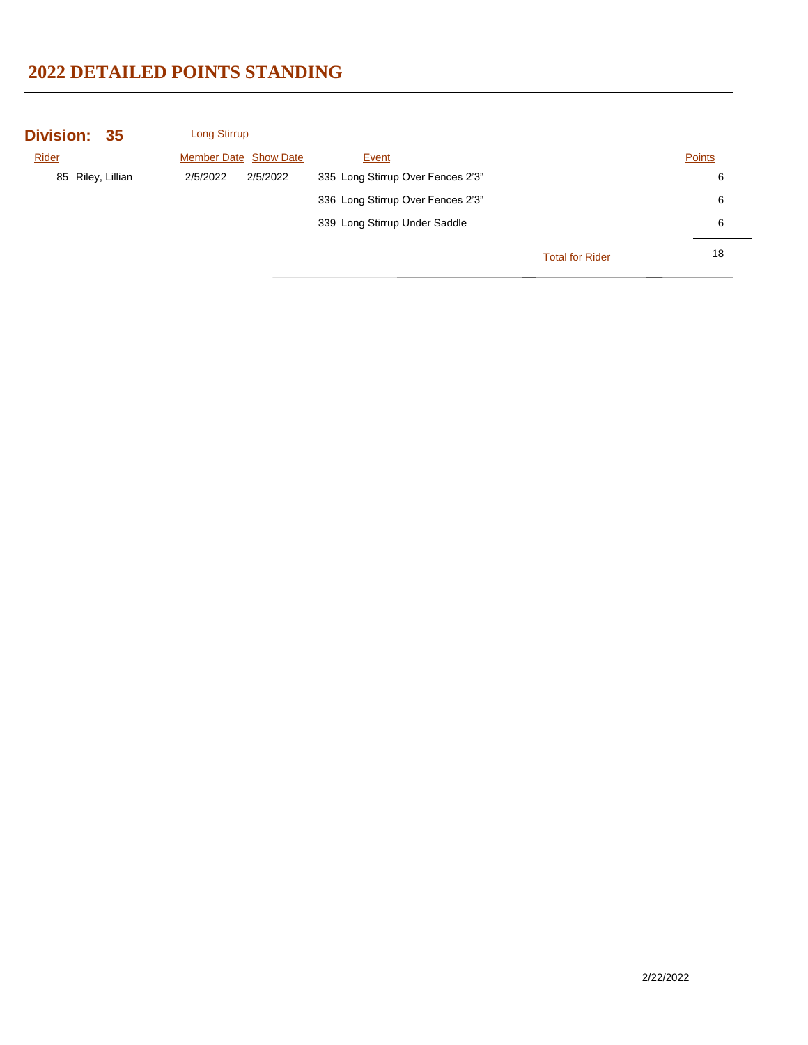| Division: 35      | Long Stirrup                 |          |                                   |                        |               |
|-------------------|------------------------------|----------|-----------------------------------|------------------------|---------------|
| Rider             | <b>Member Date Show Date</b> |          | Event                             |                        | <b>Points</b> |
| 85 Riley, Lillian | 2/5/2022                     | 2/5/2022 | 335 Long Stirrup Over Fences 2'3" |                        | 6             |
|                   |                              |          | 336 Long Stirrup Over Fences 2'3" |                        | 6             |
|                   |                              |          | 339 Long Stirrup Under Saddle     |                        | 6             |
|                   |                              |          |                                   | <b>Total for Rider</b> | 18            |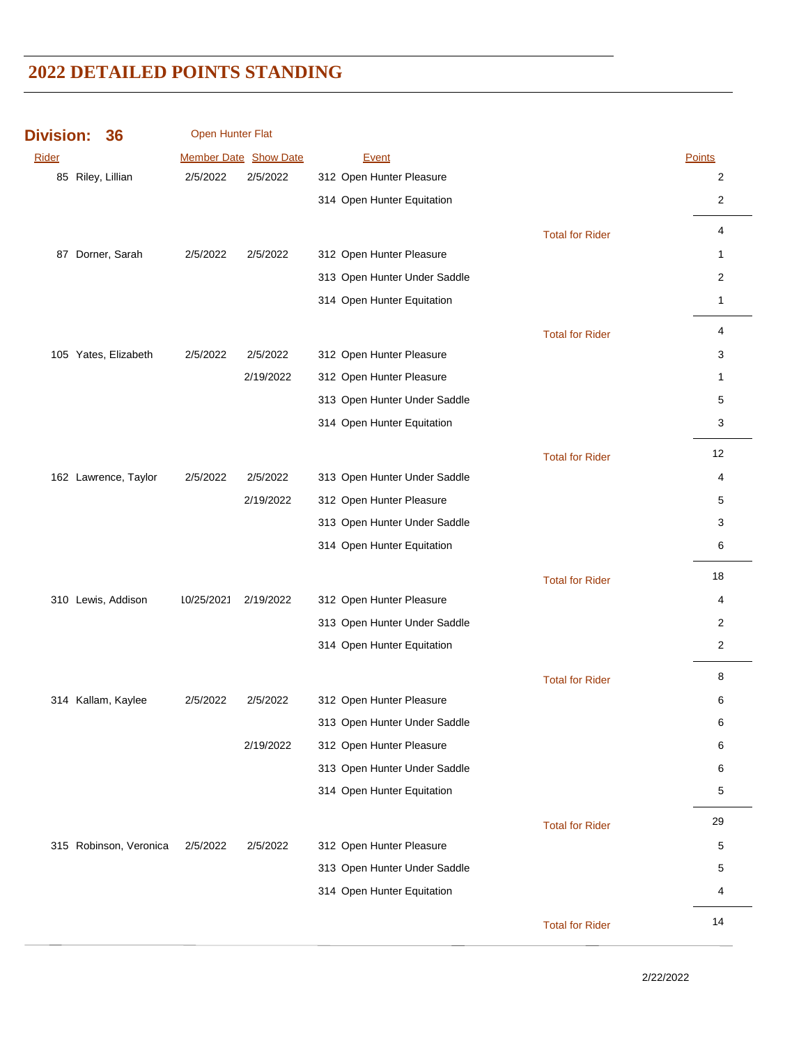| <b>Division:</b> | 36                     | Open Hunter Flat |                       |                              |                        |                |
|------------------|------------------------|------------------|-----------------------|------------------------------|------------------------|----------------|
| Rider            |                        |                  | Member Date Show Date | Event                        |                        | Points         |
|                  | 85 Riley, Lillian      | 2/5/2022         | 2/5/2022              | 312 Open Hunter Pleasure     |                        | 2              |
|                  |                        |                  |                       | 314 Open Hunter Equitation   |                        | $\overline{2}$ |
|                  |                        |                  |                       |                              | <b>Total for Rider</b> | 4              |
|                  | 87 Dorner, Sarah       | 2/5/2022         | 2/5/2022              | 312 Open Hunter Pleasure     |                        | $\mathbf{1}$   |
|                  |                        |                  |                       | 313 Open Hunter Under Saddle |                        | 2              |
|                  |                        |                  |                       | 314 Open Hunter Equitation   |                        | $\mathbf{1}$   |
|                  |                        |                  |                       |                              | <b>Total for Rider</b> | 4              |
|                  | 105 Yates, Elizabeth   | 2/5/2022         | 2/5/2022              | 312 Open Hunter Pleasure     |                        | 3              |
|                  |                        |                  | 2/19/2022             | 312 Open Hunter Pleasure     |                        | $\mathbf{1}$   |
|                  |                        |                  |                       | 313 Open Hunter Under Saddle |                        | 5              |
|                  |                        |                  |                       | 314 Open Hunter Equitation   |                        | 3              |
|                  |                        |                  |                       |                              | <b>Total for Rider</b> | 12             |
|                  | 162 Lawrence, Taylor   | 2/5/2022         | 2/5/2022              | 313 Open Hunter Under Saddle |                        | 4              |
|                  |                        |                  | 2/19/2022             | 312 Open Hunter Pleasure     |                        | 5              |
|                  |                        |                  |                       | 313 Open Hunter Under Saddle |                        | 3              |
|                  |                        |                  |                       | 314 Open Hunter Equitation   |                        | 6              |
|                  |                        |                  |                       |                              | <b>Total for Rider</b> | 18             |
|                  | 310 Lewis, Addison     | 10/25/2021       | 2/19/2022             | 312 Open Hunter Pleasure     |                        | 4              |
|                  |                        |                  |                       | 313 Open Hunter Under Saddle |                        | 2              |
|                  |                        |                  |                       | 314 Open Hunter Equitation   |                        | $\overline{2}$ |
|                  |                        |                  |                       |                              | <b>Total for Rider</b> | 8              |
|                  | 314 Kallam, Kaylee     | 2/5/2022         | 2/5/2022              | 312 Open Hunter Pleasure     |                        | 6              |
|                  |                        |                  |                       | 313 Open Hunter Under Saddle |                        | 6              |
|                  |                        |                  | 2/19/2022             | 312 Open Hunter Pleasure     |                        | 6              |
|                  |                        |                  |                       | 313 Open Hunter Under Saddle |                        | 6              |
|                  |                        |                  |                       | 314 Open Hunter Equitation   |                        | 5              |
|                  |                        |                  |                       |                              | <b>Total for Rider</b> | 29             |
|                  | 315 Robinson, Veronica | 2/5/2022         | 2/5/2022              | 312 Open Hunter Pleasure     |                        | 5              |
|                  |                        |                  |                       | 313 Open Hunter Under Saddle |                        | 5              |
|                  |                        |                  |                       | 314 Open Hunter Equitation   |                        | 4              |
|                  |                        |                  |                       |                              | <b>Total for Rider</b> | 14             |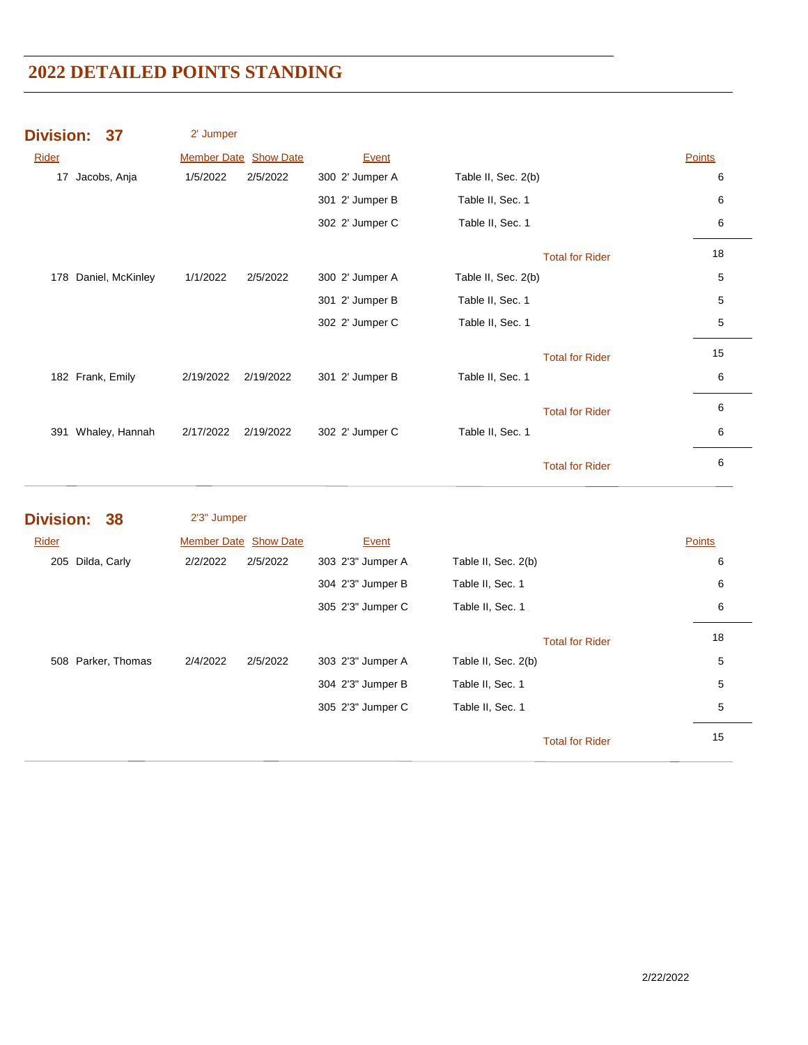|       | Division: 37     | 2' Jumper             |           |                 |                     |                        |               |  |
|-------|------------------|-----------------------|-----------|-----------------|---------------------|------------------------|---------------|--|
| Rider |                  | Member Date Show Date |           | Event           |                     |                        | <b>Points</b> |  |
| 17    | Jacobs, Anja     | 1/5/2022              | 2/5/2022  | 300 2' Jumper A | Table II, Sec. 2(b) |                        | 6             |  |
|       |                  |                       |           | 301 2' Jumper B | Table II, Sec. 1    |                        | 6             |  |
|       |                  |                       |           | 302 2' Jumper C | Table II, Sec. 1    |                        | 6             |  |
|       |                  |                       |           |                 |                     | <b>Total for Rider</b> | 18            |  |
| 178   | Daniel, McKinley | 1/1/2022              | 2/5/2022  | 300 2' Jumper A | Table II, Sec. 2(b) |                        | 5             |  |
|       |                  |                       |           | 301 2' Jumper B | Table II, Sec. 1    |                        | 5             |  |
|       |                  |                       |           | 302 2' Jumper C | Table II, Sec. 1    |                        | 5             |  |
|       |                  |                       |           |                 |                     | <b>Total for Rider</b> | 15            |  |
|       | 182 Frank, Emily | 2/19/2022             | 2/19/2022 | 301 2' Jumper B | Table II, Sec. 1    |                        | 6             |  |
|       |                  |                       |           |                 |                     | <b>Total for Rider</b> | 6             |  |
| 391   | Whaley, Hannah   | 2/17/2022             | 2/19/2022 | 302 2' Jumper C | Table II, Sec. 1    |                        | 6             |  |
|       |                  |                       |           |                 |                     | <b>Total for Rider</b> | 6             |  |

| <b>Division: 38</b> |                    | 2'3" Jumper                  |          |                   |                     |                        |               |
|---------------------|--------------------|------------------------------|----------|-------------------|---------------------|------------------------|---------------|
| Rider               |                    | <b>Member Date Show Date</b> |          | Event             |                     |                        | <b>Points</b> |
| 205                 | Dilda, Carly       | 2/2/2022                     | 2/5/2022 | 303 2'3" Jumper A | Table II, Sec. 2(b) |                        | 6             |
|                     |                    |                              |          | 304 2'3" Jumper B | Table II, Sec. 1    |                        | 6             |
|                     |                    |                              |          | 305 2'3" Jumper C | Table II, Sec. 1    |                        | 6             |
|                     |                    |                              |          |                   |                     | <b>Total for Rider</b> | 18            |
|                     | 508 Parker, Thomas | 2/4/2022                     | 2/5/2022 | 303 2'3" Jumper A | Table II, Sec. 2(b) |                        | 5             |
|                     |                    |                              |          | 304 2'3" Jumper B | Table II, Sec. 1    |                        | 5             |
|                     |                    |                              |          | 305 2'3" Jumper C | Table II, Sec. 1    |                        | 5             |
|                     |                    |                              |          |                   |                     | <b>Total for Rider</b> | 15            |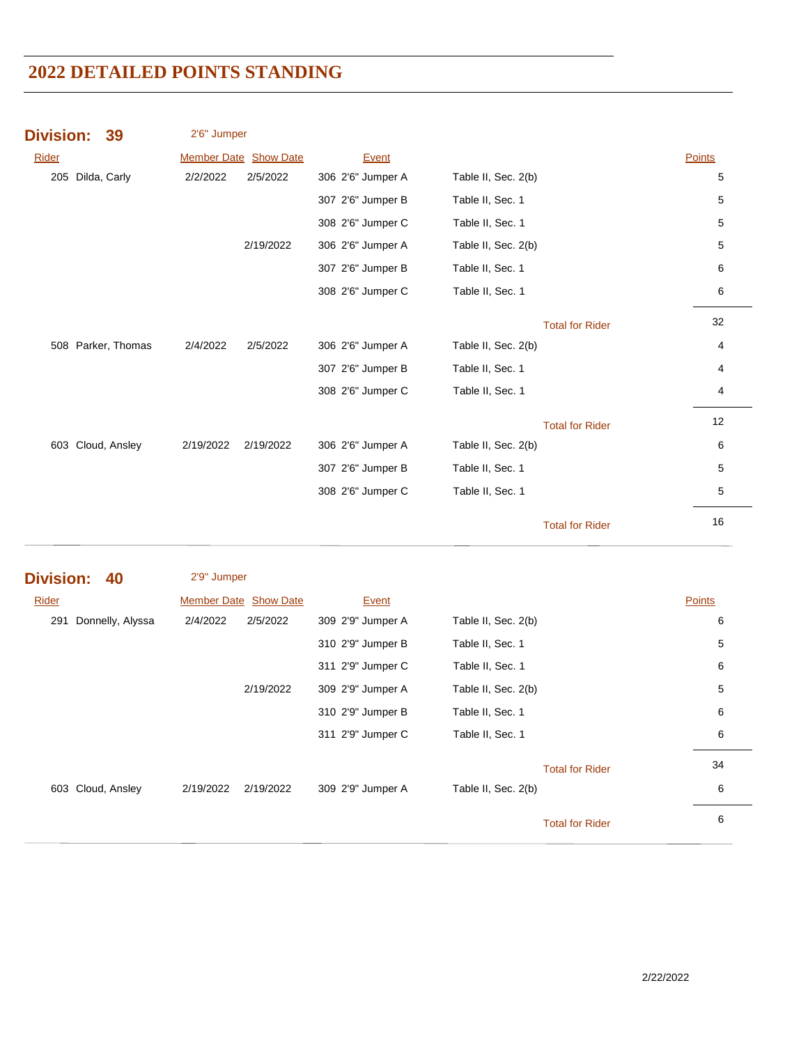| <b>Division:</b>  | 39                   | 2'6" Jumper |                       |                   |                     |                        |               |
|-------------------|----------------------|-------------|-----------------------|-------------------|---------------------|------------------------|---------------|
| <b>Rider</b>      |                      |             | Member Date Show Date | Event             |                     |                        | Points        |
| 205 Dilda, Carly  |                      | 2/2/2022    | 2/5/2022              | 306 2'6" Jumper A | Table II, Sec. 2(b) |                        | 5             |
|                   |                      |             |                       | 307 2'6" Jumper B | Table II, Sec. 1    |                        | 5             |
|                   |                      |             |                       | 308 2'6" Jumper C | Table II, Sec. 1    |                        | 5             |
|                   |                      |             | 2/19/2022             | 306 2'6" Jumper A | Table II, Sec. 2(b) |                        | 5             |
|                   |                      |             |                       | 307 2'6" Jumper B | Table II, Sec. 1    |                        | 6             |
|                   |                      |             |                       | 308 2'6" Jumper C | Table II, Sec. 1    |                        | 6             |
|                   |                      |             |                       |                   |                     | <b>Total for Rider</b> | 32            |
|                   | 508 Parker, Thomas   | 2/4/2022    | 2/5/2022              | 306 2'6" Jumper A | Table II, Sec. 2(b) |                        | 4             |
|                   |                      |             |                       | 307 2'6" Jumper B | Table II, Sec. 1    |                        | 4             |
|                   |                      |             |                       | 308 2'6" Jumper C | Table II, Sec. 1    |                        | 4             |
|                   |                      |             |                       |                   |                     | <b>Total for Rider</b> | 12            |
| 603 Cloud, Ansley |                      | 2/19/2022   | 2/19/2022             | 306 2'6" Jumper A | Table II, Sec. 2(b) |                        | 6             |
|                   |                      |             |                       | 307 2'6" Jumper B | Table II, Sec. 1    |                        | 5             |
|                   |                      |             |                       | 308 2'6" Jumper C | Table II, Sec. 1    |                        | 5             |
|                   |                      |             |                       |                   |                     | <b>Total for Rider</b> | $16\,$        |
| <b>Division:</b>  | 40                   | 2'9" Jumper |                       |                   |                     |                        |               |
| Rider             |                      |             | Member Date Show Date | Event             |                     |                        | <b>Points</b> |
|                   | 291 Donnelly, Alyssa | 2/4/2022    | 2/5/2022              | 309 2'9" Jumper A | Table II, Sec. 2(b) |                        | 6             |
|                   |                      |             |                       | 310 2'9" Jumper B | Table II, Sec. 1    |                        | 5             |
|                   |                      |             |                       | 311 2'9" Jumper C | Table II, Sec. 1    |                        | 6             |
|                   |                      |             | 2/19/2022             | 309 2'9" Jumper A | Table II, Sec. 2(b) |                        | 5             |
|                   |                      |             |                       | 310 2'9" Jumper B | Table II, Sec. 1    |                        | 6             |
|                   |                      |             |                       | 311 2'9" Jumper C | Table II, Sec. 1    |                        | 6             |
|                   |                      |             |                       |                   |                     | <b>Total for Rider</b> | 34            |
| 603 Cloud, Ansley |                      | 2/19/2022   | 2/19/2022             | 309 2'9" Jumper A | Table II, Sec. 2(b) |                        | 6             |
|                   |                      |             |                       |                   |                     | <b>Total for Rider</b> | 6             |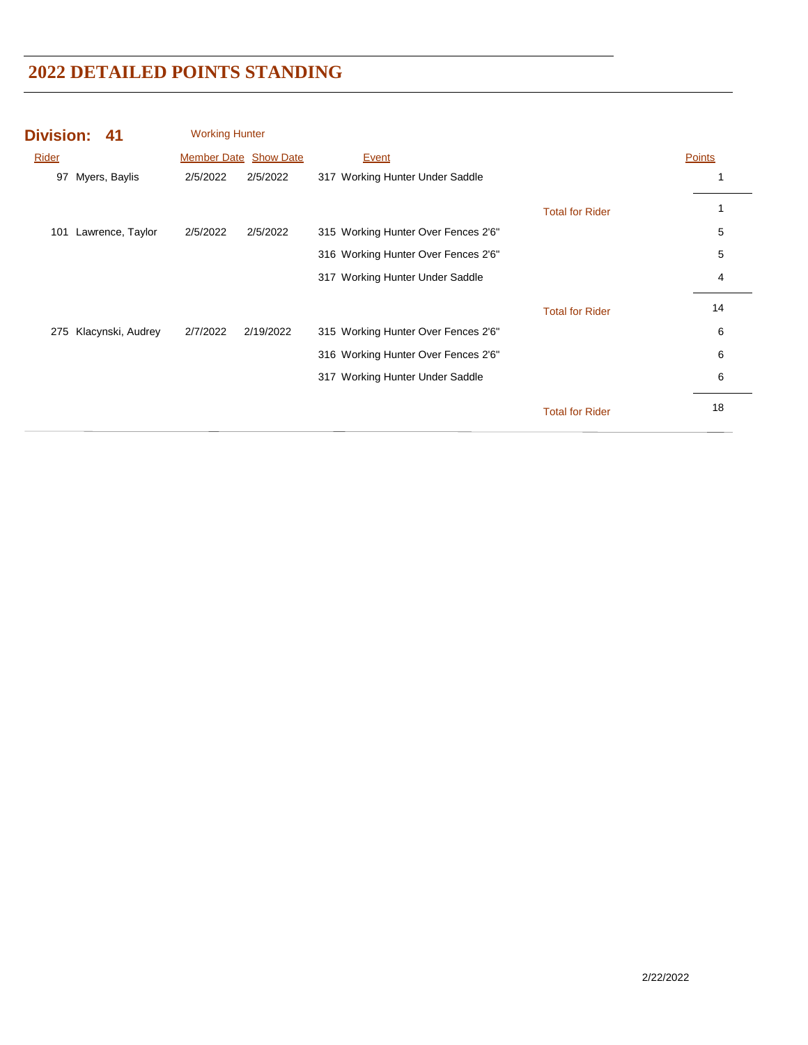| <b>Division:</b><br>41   | <b>Working Hunter</b>        |                                     |               |
|--------------------------|------------------------------|-------------------------------------|---------------|
| Rider                    | <b>Member Date Show Date</b> | Event                               | <b>Points</b> |
| Myers, Baylis<br>97      | 2/5/2022<br>2/5/2022         | 317 Working Hunter Under Saddle     | 1             |
|                          |                              | <b>Total for Rider</b>              | 1             |
| Lawrence, Taylor<br>101  | 2/5/2022<br>2/5/2022         | 315 Working Hunter Over Fences 2'6" | 5             |
|                          |                              | 316 Working Hunter Over Fences 2'6" | 5             |
|                          |                              | 317 Working Hunter Under Saddle     | 4             |
|                          |                              | <b>Total for Rider</b>              | 14            |
| Klacynski, Audrey<br>275 | 2/7/2022<br>2/19/2022        | 315 Working Hunter Over Fences 2'6" | 6             |
|                          |                              | 316 Working Hunter Over Fences 2'6" | 6             |
|                          |                              | 317 Working Hunter Under Saddle     | 6             |
|                          |                              | <b>Total for Rider</b>              | 18            |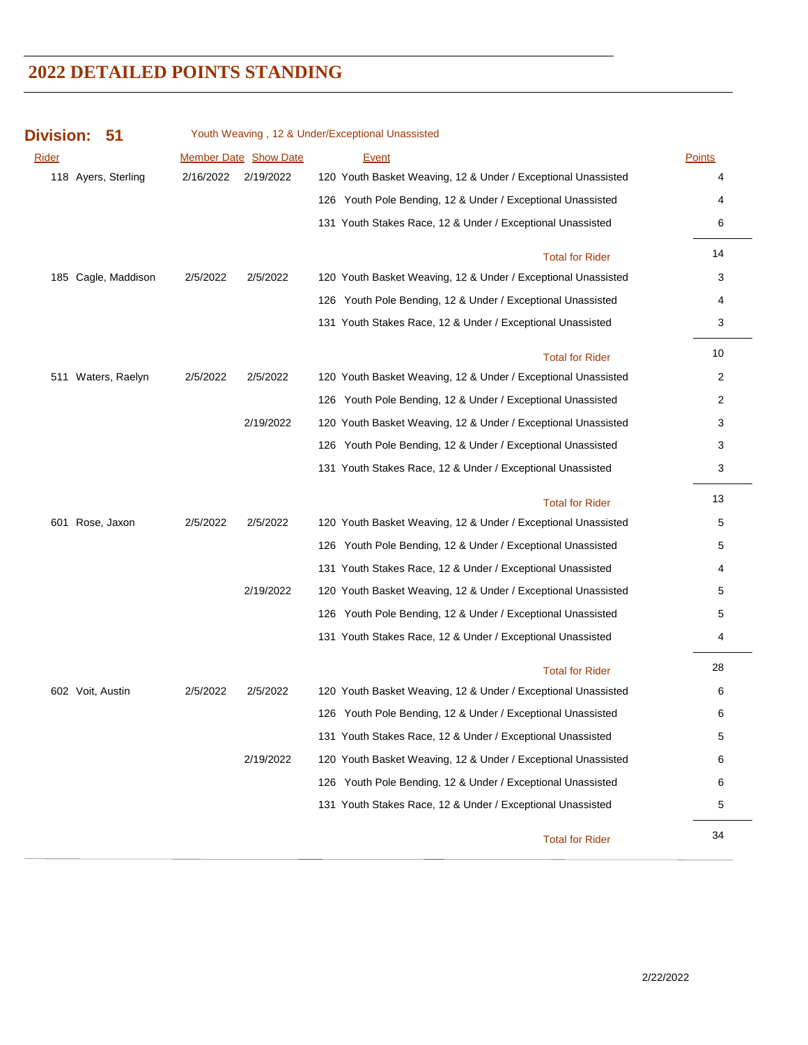| <b>Division:</b> | 51                  |           |                              | Youth Weaving, 12 & Under/Exceptional Unassisted              |               |
|------------------|---------------------|-----------|------------------------------|---------------------------------------------------------------|---------------|
| <u>Rider</u>     |                     |           | <b>Member Date Show Date</b> | <b>Event</b>                                                  | <b>Points</b> |
|                  | 118 Ayers, Sterling | 2/16/2022 | 2/19/2022                    | 120 Youth Basket Weaving, 12 & Under / Exceptional Unassisted |               |
|                  |                     |           |                              | 126 Youth Pole Bending, 12 & Under / Exceptional Unassisted   | 4             |
|                  |                     |           |                              | 131 Youth Stakes Race, 12 & Under / Exceptional Unassisted    | 6             |
|                  |                     |           |                              | <b>Total for Rider</b>                                        | 14            |
|                  | 185 Cagle, Maddison | 2/5/2022  | 2/5/2022                     | 120 Youth Basket Weaving, 12 & Under / Exceptional Unassisted | 3             |
|                  |                     |           |                              | 126 Youth Pole Bending, 12 & Under / Exceptional Unassisted   | 4             |
|                  |                     |           |                              | 131 Youth Stakes Race, 12 & Under / Exceptional Unassisted    | 3             |
|                  |                     |           |                              | <b>Total for Rider</b>                                        | 10            |
| 511              | Waters, Raelyn      | 2/5/2022  | 2/5/2022                     | 120 Youth Basket Weaving, 12 & Under / Exceptional Unassisted | 2             |
|                  |                     |           |                              | 126 Youth Pole Bending, 12 & Under / Exceptional Unassisted   | 2             |
|                  |                     |           | 2/19/2022                    | 120 Youth Basket Weaving, 12 & Under / Exceptional Unassisted | 3             |
|                  |                     |           |                              | 126 Youth Pole Bending, 12 & Under / Exceptional Unassisted   | 3             |
|                  |                     |           |                              | 131 Youth Stakes Race, 12 & Under / Exceptional Unassisted    | 3             |
|                  |                     |           |                              | <b>Total for Rider</b>                                        | 13            |
|                  | 601 Rose, Jaxon     | 2/5/2022  | 2/5/2022                     | 120 Youth Basket Weaving, 12 & Under / Exceptional Unassisted | 5             |
|                  |                     |           |                              | 126 Youth Pole Bending, 12 & Under / Exceptional Unassisted   | 5             |
|                  |                     |           |                              | 131 Youth Stakes Race, 12 & Under / Exceptional Unassisted    | 4             |
|                  |                     |           | 2/19/2022                    | 120 Youth Basket Weaving, 12 & Under / Exceptional Unassisted | 5             |
|                  |                     |           |                              | 126 Youth Pole Bending, 12 & Under / Exceptional Unassisted   | 5             |
|                  |                     |           |                              | 131 Youth Stakes Race, 12 & Under / Exceptional Unassisted    | 4             |
|                  |                     |           |                              | <b>Total for Rider</b>                                        | 28            |
|                  | 602 Voit, Austin    | 2/5/2022  | 2/5/2022                     | 120 Youth Basket Weaving, 12 & Under / Exceptional Unassisted | 6             |
|                  |                     |           |                              | 126 Youth Pole Bending, 12 & Under / Exceptional Unassisted   | 6             |
|                  |                     |           |                              | 131 Youth Stakes Race, 12 & Under / Exceptional Unassisted    | 5             |
|                  |                     |           | 2/19/2022                    | 120 Youth Basket Weaving, 12 & Under / Exceptional Unassisted | 6             |
|                  |                     |           |                              | 126 Youth Pole Bending, 12 & Under / Exceptional Unassisted   | 6             |
|                  |                     |           |                              | 131 Youth Stakes Race, 12 & Under / Exceptional Unassisted    | 5             |
|                  |                     |           |                              | <b>Total for Rider</b>                                        | 34            |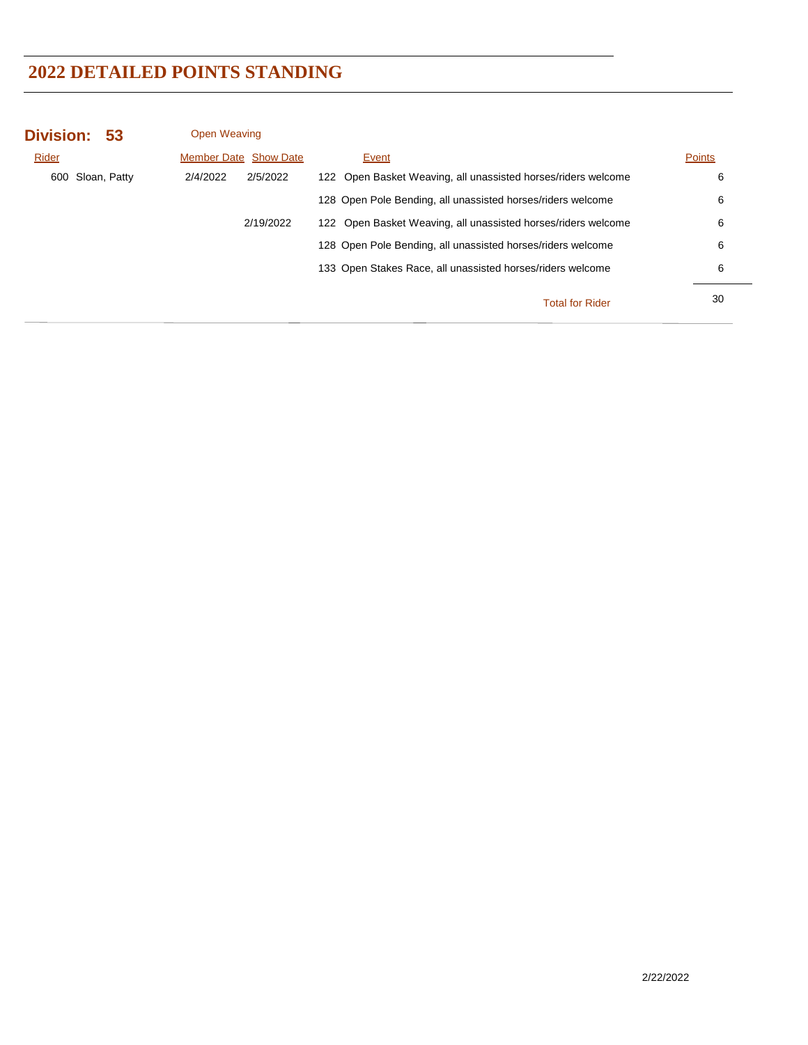| Division: 53     | <b>Open Weaving</b>          |           |                                                               |               |
|------------------|------------------------------|-----------|---------------------------------------------------------------|---------------|
| Rider            | <b>Member Date Show Date</b> |           | Event                                                         | <b>Points</b> |
| 600 Sloan, Patty | 2/4/2022                     | 2/5/2022  | 122 Open Basket Weaving, all unassisted horses/riders welcome | 6             |
|                  |                              |           | 128 Open Pole Bending, all unassisted horses/riders welcome   | 6             |
|                  |                              | 2/19/2022 | 122 Open Basket Weaving, all unassisted horses/riders welcome | 6             |
|                  |                              |           | 128 Open Pole Bending, all unassisted horses/riders welcome   | 6             |
|                  |                              |           | 133 Open Stakes Race, all unassisted horses/riders welcome    | 6             |
|                  |                              |           | <b>Total for Rider</b>                                        | 30            |
|                  |                              |           |                                                               |               |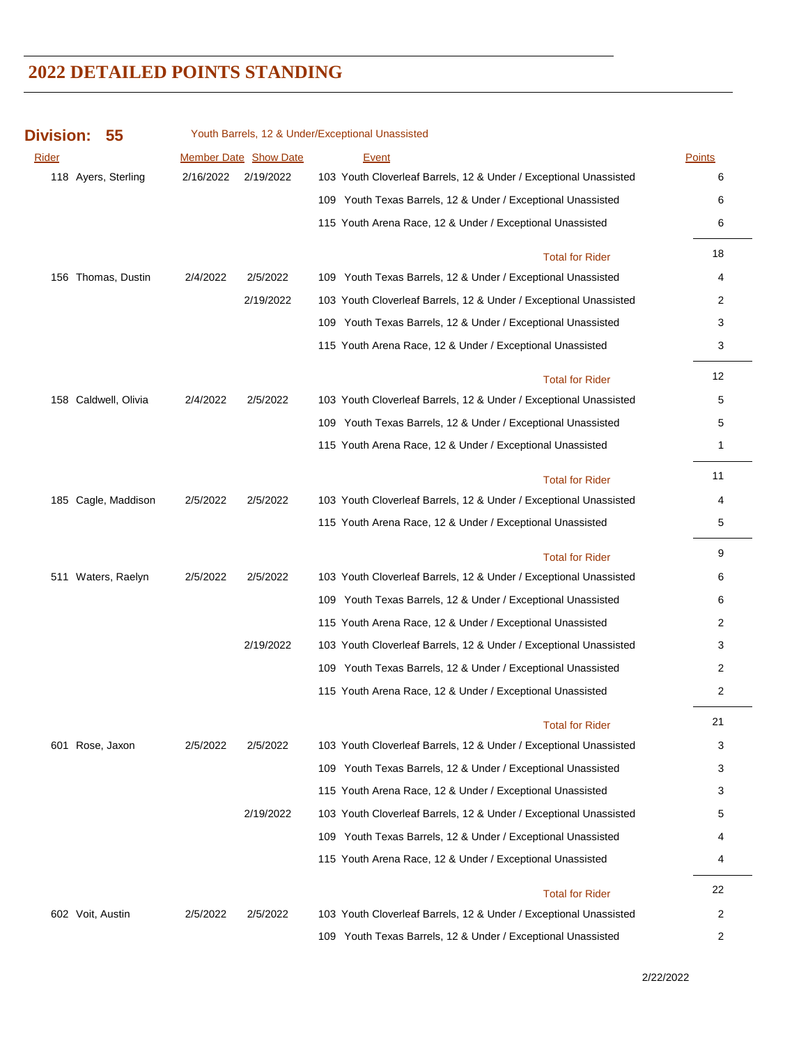| <b>Division:</b> | 55                   |           |                       | Youth Barrels, 12 & Under/Exceptional Unassisted                  |               |
|------------------|----------------------|-----------|-----------------------|-------------------------------------------------------------------|---------------|
| Rider            |                      |           | Member Date Show Date | Event                                                             | <b>Points</b> |
|                  | 118 Ayers, Sterling  | 2/16/2022 | 2/19/2022             | 103 Youth Cloverleaf Barrels, 12 & Under / Exceptional Unassisted | 6             |
|                  |                      |           |                       | 109 Youth Texas Barrels, 12 & Under / Exceptional Unassisted      | 6             |
|                  |                      |           |                       | 115 Youth Arena Race, 12 & Under / Exceptional Unassisted         | 6             |
|                  |                      |           |                       | <b>Total for Rider</b>                                            | 18            |
|                  | 156 Thomas, Dustin   | 2/4/2022  | 2/5/2022              | 109 Youth Texas Barrels, 12 & Under / Exceptional Unassisted      | 4             |
|                  |                      |           | 2/19/2022             | 103 Youth Cloverleaf Barrels, 12 & Under / Exceptional Unassisted | 2             |
|                  |                      |           |                       | 109 Youth Texas Barrels, 12 & Under / Exceptional Unassisted      | 3             |
|                  |                      |           |                       | 115 Youth Arena Race, 12 & Under / Exceptional Unassisted         | 3             |
|                  |                      |           |                       | <b>Total for Rider</b>                                            | 12            |
|                  | 158 Caldwell, Olivia | 2/4/2022  | 2/5/2022              | 103 Youth Cloverleaf Barrels, 12 & Under / Exceptional Unassisted | 5             |
|                  |                      |           |                       | 109 Youth Texas Barrels, 12 & Under / Exceptional Unassisted      | 5             |
|                  |                      |           |                       | 115 Youth Arena Race, 12 & Under / Exceptional Unassisted         | 1             |
|                  |                      |           |                       | <b>Total for Rider</b>                                            | 11            |
|                  | 185 Cagle, Maddison  | 2/5/2022  | 2/5/2022              | 103 Youth Cloverleaf Barrels, 12 & Under / Exceptional Unassisted | 4             |
|                  |                      |           |                       | 115 Youth Arena Race, 12 & Under / Exceptional Unassisted         | 5             |
|                  |                      |           |                       | <b>Total for Rider</b>                                            | 9             |
|                  | 511 Waters, Raelyn   | 2/5/2022  | 2/5/2022              | 103 Youth Cloverleaf Barrels, 12 & Under / Exceptional Unassisted | 6             |
|                  |                      |           |                       | 109 Youth Texas Barrels, 12 & Under / Exceptional Unassisted      | 6             |
|                  |                      |           |                       | 115 Youth Arena Race, 12 & Under / Exceptional Unassisted         | 2             |
|                  |                      |           | 2/19/2022             | 103 Youth Cloverleaf Barrels, 12 & Under / Exceptional Unassisted | 3             |
|                  |                      |           |                       | 109 Youth Texas Barrels, 12 & Under / Exceptional Unassisted      | 2             |
|                  |                      |           |                       | 115 Youth Arena Race, 12 & Under / Exceptional Unassisted         | 2             |
|                  |                      |           |                       | <b>Total for Rider</b>                                            | 21            |
|                  | 601 Rose, Jaxon      | 2/5/2022  | 2/5/2022              | 103 Youth Cloverleaf Barrels, 12 & Under / Exceptional Unassisted | 3             |
|                  |                      |           |                       | 109 Youth Texas Barrels, 12 & Under / Exceptional Unassisted      | 3             |
|                  |                      |           |                       | 115 Youth Arena Race, 12 & Under / Exceptional Unassisted         | 3             |
|                  |                      |           | 2/19/2022             | 103 Youth Cloverleaf Barrels, 12 & Under / Exceptional Unassisted | 5             |
|                  |                      |           |                       | 109 Youth Texas Barrels, 12 & Under / Exceptional Unassisted      | 4             |
|                  |                      |           |                       | 115 Youth Arena Race, 12 & Under / Exceptional Unassisted         | 4             |
|                  |                      |           |                       | <b>Total for Rider</b>                                            | 22            |
|                  | 602 Voit, Austin     | 2/5/2022  | 2/5/2022              | 103 Youth Cloverleaf Barrels, 12 & Under / Exceptional Unassisted | 2             |
|                  |                      |           |                       | 109 Youth Texas Barrels, 12 & Under / Exceptional Unassisted      | 2             |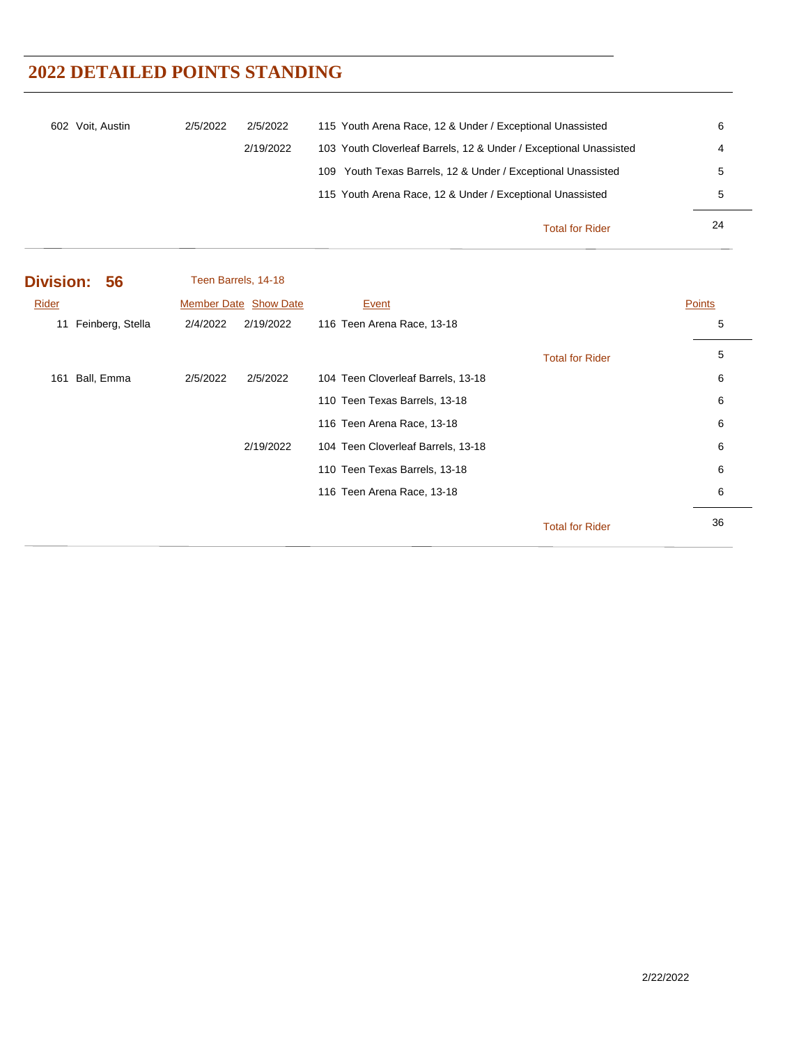| 602 Voit, Austin | 2/5/2022 | 2/5/2022  | 115 Youth Arena Race, 12 & Under / Exceptional Unassisted         | 6  |
|------------------|----------|-----------|-------------------------------------------------------------------|----|
|                  |          | 2/19/2022 | 103 Youth Cloverleaf Barrels, 12 & Under / Exceptional Unassisted | 4  |
|                  |          |           | 109 Youth Texas Barrels, 12 & Under / Exceptional Unassisted      | 5  |
|                  |          |           | 115 Youth Arena Race, 12 & Under / Exceptional Unassisted         | 5  |
|                  |          |           | <b>Total for Rider</b>                                            | 24 |

| Division: 56           |          | Teen Barrels, 14-18          |                                    |                        |        |
|------------------------|----------|------------------------------|------------------------------------|------------------------|--------|
| Rider                  |          | <b>Member Date Show Date</b> | Event                              |                        | Points |
| Feinberg, Stella<br>11 | 2/4/2022 | 2/19/2022                    | 116 Teen Arena Race, 13-18         |                        | 5      |
|                        |          |                              |                                    | <b>Total for Rider</b> | 5      |
| Ball, Emma<br>161      | 2/5/2022 | 2/5/2022                     | 104 Teen Cloverleaf Barrels, 13-18 |                        | 6      |
|                        |          |                              | 110 Teen Texas Barrels, 13-18      |                        | 6      |
|                        |          |                              | 116 Teen Arena Race, 13-18         |                        | 6      |
|                        |          | 2/19/2022                    | 104 Teen Cloverleaf Barrels, 13-18 |                        | 6      |
|                        |          |                              | 110 Teen Texas Barrels, 13-18      |                        | 6      |
|                        |          |                              | 116 Teen Arena Race, 13-18         |                        | 6      |
|                        |          |                              |                                    | <b>Total for Rider</b> | 36     |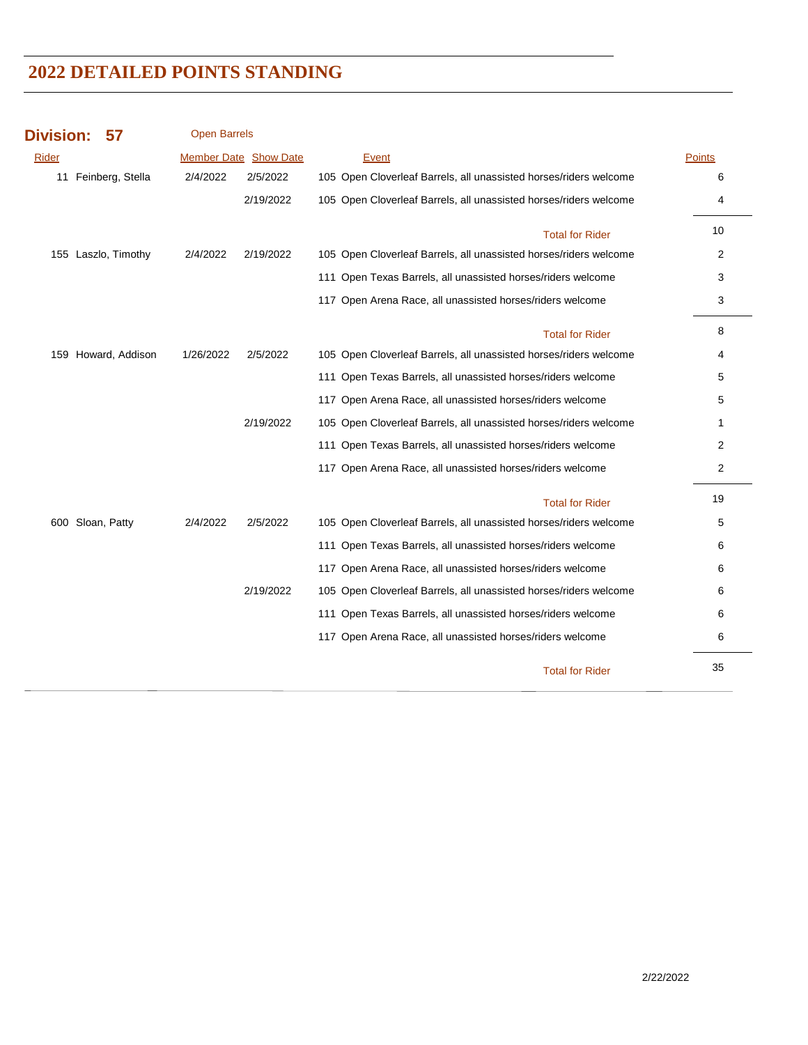| <b>Division:</b> | 57                  | <b>Open Barrels</b> |                              |                                                                   |                |
|------------------|---------------------|---------------------|------------------------------|-------------------------------------------------------------------|----------------|
| Rider            |                     |                     | <b>Member Date Show Date</b> | <b>Event</b>                                                      | <b>Points</b>  |
|                  | 11 Feinberg, Stella | 2/4/2022            | 2/5/2022                     | 105 Open Cloverleaf Barrels, all unassisted horses/riders welcome | 6              |
|                  |                     |                     | 2/19/2022                    | 105 Open Cloverleaf Barrels, all unassisted horses/riders welcome | 4              |
|                  |                     |                     |                              | <b>Total for Rider</b>                                            | 10             |
|                  | 155 Laszlo, Timothy | 2/4/2022            | 2/19/2022                    | 105 Open Cloverleaf Barrels, all unassisted horses/riders welcome | 2              |
|                  |                     |                     |                              | 111 Open Texas Barrels, all unassisted horses/riders welcome      | 3              |
|                  |                     |                     |                              | 117 Open Arena Race, all unassisted horses/riders welcome         | 3              |
|                  |                     |                     |                              | <b>Total for Rider</b>                                            | 8              |
|                  | 159 Howard, Addison | 1/26/2022           | 2/5/2022                     | 105 Open Cloverleaf Barrels, all unassisted horses/riders welcome | 4              |
|                  |                     |                     |                              | 111 Open Texas Barrels, all unassisted horses/riders welcome      | 5              |
|                  |                     |                     |                              | 117 Open Arena Race, all unassisted horses/riders welcome         | 5              |
|                  |                     |                     | 2/19/2022                    | 105 Open Cloverleaf Barrels, all unassisted horses/riders welcome | 1              |
|                  |                     |                     |                              | 111 Open Texas Barrels, all unassisted horses/riders welcome      | 2              |
|                  |                     |                     |                              | 117 Open Arena Race, all unassisted horses/riders welcome         | $\overline{c}$ |
|                  |                     |                     |                              | <b>Total for Rider</b>                                            | 19             |
|                  | 600 Sloan, Patty    | 2/4/2022            | 2/5/2022                     | 105 Open Cloverleaf Barrels, all unassisted horses/riders welcome | 5              |
|                  |                     |                     |                              | 111 Open Texas Barrels, all unassisted horses/riders welcome      | 6              |
|                  |                     |                     |                              | 117 Open Arena Race, all unassisted horses/riders welcome         | 6              |
|                  |                     |                     | 2/19/2022                    | 105 Open Cloverleaf Barrels, all unassisted horses/riders welcome | 6              |
|                  |                     |                     |                              | 111 Open Texas Barrels, all unassisted horses/riders welcome      | 6              |
|                  |                     |                     |                              | 117 Open Arena Race, all unassisted horses/riders welcome         | 6              |
|                  |                     |                     |                              | <b>Total for Rider</b>                                            | 35             |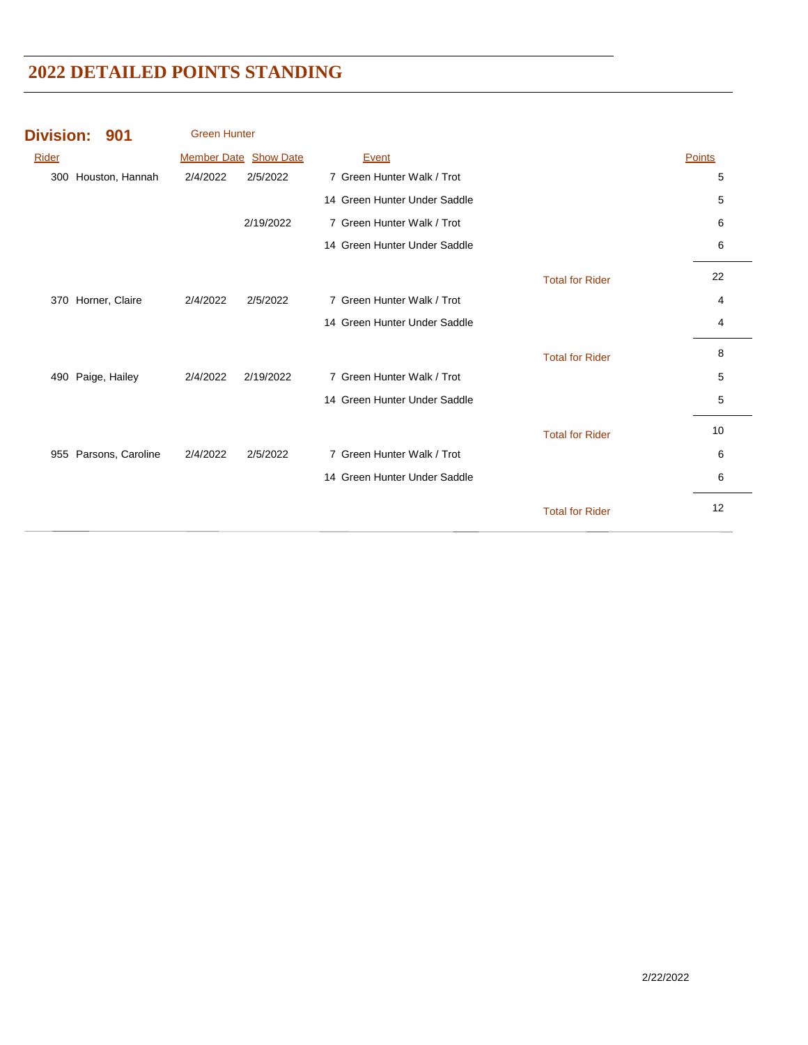| <b>Division:</b> | 901               | <b>Green Hunter</b> |                       |                              |                        |        |
|------------------|-------------------|---------------------|-----------------------|------------------------------|------------------------|--------|
| Rider            |                   |                     | Member Date Show Date | Event                        |                        | Points |
| 300              | Houston, Hannah   | 2/4/2022            | 2/5/2022              | 7 Green Hunter Walk / Trot   |                        | 5      |
|                  |                   |                     |                       | 14 Green Hunter Under Saddle |                        | 5      |
|                  |                   |                     | 2/19/2022             | 7 Green Hunter Walk / Trot   |                        | 6      |
|                  |                   |                     |                       | 14 Green Hunter Under Saddle |                        | 6      |
|                  |                   |                     |                       |                              | <b>Total for Rider</b> | 22     |
| 370              | Horner, Claire    | 2/4/2022            | 2/5/2022              | 7 Green Hunter Walk / Trot   |                        | 4      |
|                  |                   |                     |                       | 14 Green Hunter Under Saddle |                        | 4      |
|                  |                   |                     |                       |                              | <b>Total for Rider</b> | 8      |
| 490              | Paige, Hailey     | 2/4/2022            | 2/19/2022             | 7 Green Hunter Walk / Trot   |                        | 5      |
|                  |                   |                     |                       | 14 Green Hunter Under Saddle |                        | 5      |
|                  |                   |                     |                       |                              | <b>Total for Rider</b> | 10     |
| 955              | Parsons, Caroline | 2/4/2022            | 2/5/2022              | 7 Green Hunter Walk / Trot   |                        | 6      |
|                  |                   |                     |                       | 14 Green Hunter Under Saddle |                        | 6      |
|                  |                   |                     |                       |                              | <b>Total for Rider</b> | 12     |
|                  |                   |                     |                       |                              |                        |        |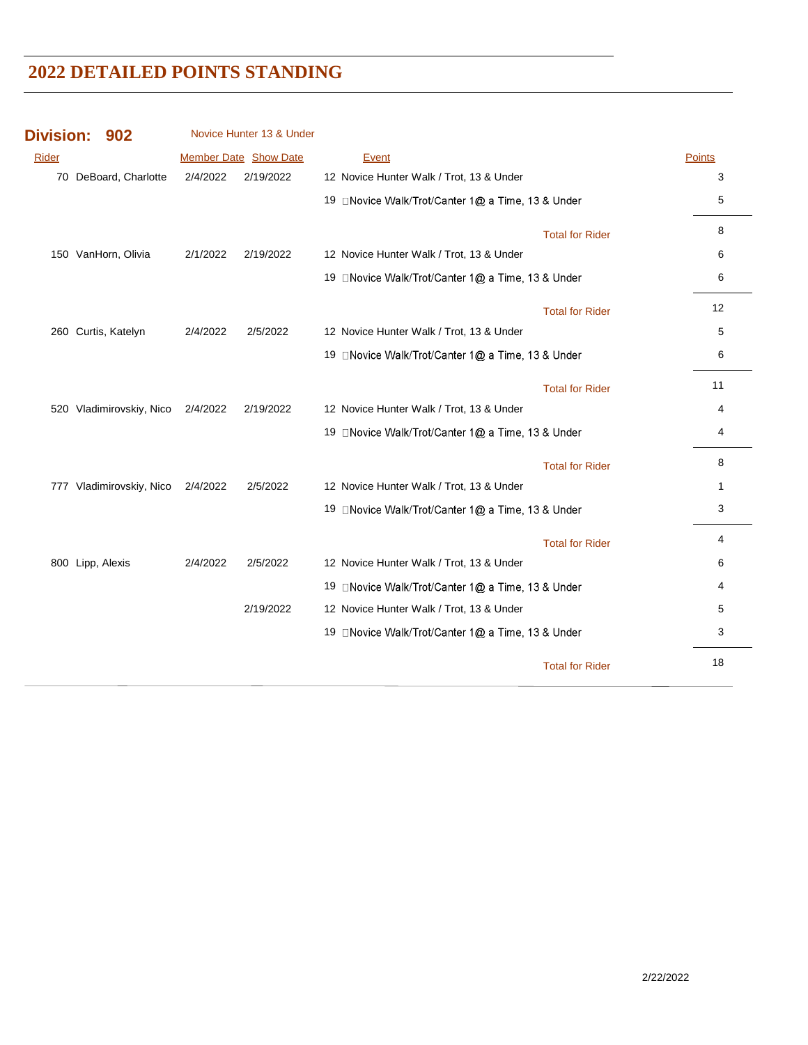| <b>Division:</b><br>902  |          | Novice Hunter 13 & Under |                                                    |                        |               |
|--------------------------|----------|--------------------------|----------------------------------------------------|------------------------|---------------|
| <b>Rider</b>             |          | Member Date Show Date    | Event                                              |                        | <b>Points</b> |
| 70 DeBoard, Charlotte    | 2/4/2022 | 2/19/2022                | 12 Novice Hunter Walk / Trot, 13 & Under           |                        | 3             |
|                          |          |                          | 19 □Novice Walk/Trot/Canter 1@ a Time, 13 & Under  |                        | 5             |
|                          |          |                          |                                                    | <b>Total for Rider</b> | 8             |
| 150 VanHorn, Olivia      | 2/1/2022 | 2/19/2022                | 12 Novice Hunter Walk / Trot, 13 & Under           |                        | 6             |
|                          |          |                          | 19 □ Novice Walk/Trot/Canter 1@ a Time, 13 & Under |                        | 6             |
|                          |          |                          |                                                    | <b>Total for Rider</b> | 12            |
| 260 Curtis, Katelyn      | 2/4/2022 | 2/5/2022                 | 12 Novice Hunter Walk / Trot, 13 & Under           |                        | 5             |
|                          |          |                          | 19 □Novice Walk/Trot/Canter 1@ a Time, 13 & Under  |                        | 6             |
|                          |          |                          |                                                    | <b>Total for Rider</b> | 11            |
| 520 Vladimirovskiy, Nico | 2/4/2022 | 2/19/2022                | 12 Novice Hunter Walk / Trot, 13 & Under           |                        | 4             |
|                          |          |                          | 19 □Novice Walk/Trot/Canter 1@ a Time, 13 & Under  |                        | 4             |
|                          |          |                          |                                                    | <b>Total for Rider</b> | 8             |
| 777 Vladimirovskiy, Nico | 2/4/2022 | 2/5/2022                 | 12 Novice Hunter Walk / Trot, 13 & Under           |                        | $\mathbf 1$   |
|                          |          |                          | 19 □Novice Walk/Trot/Canter 1@ a Time, 13 & Under  |                        | 3             |
|                          |          |                          |                                                    | <b>Total for Rider</b> | 4             |
| 800 Lipp, Alexis         | 2/4/2022 | 2/5/2022                 | 12 Novice Hunter Walk / Trot, 13 & Under           |                        | 6             |
|                          |          |                          | 19 □ Novice Walk/Trot/Canter 1@ a Time, 13 & Under |                        | 4             |
|                          |          | 2/19/2022                | 12 Novice Hunter Walk / Trot, 13 & Under           |                        | 5             |
|                          |          |                          | 19 □ Novice Walk/Trot/Canter 1@ a Time, 13 & Under |                        | 3             |
|                          |          |                          |                                                    | <b>Total for Rider</b> | 18            |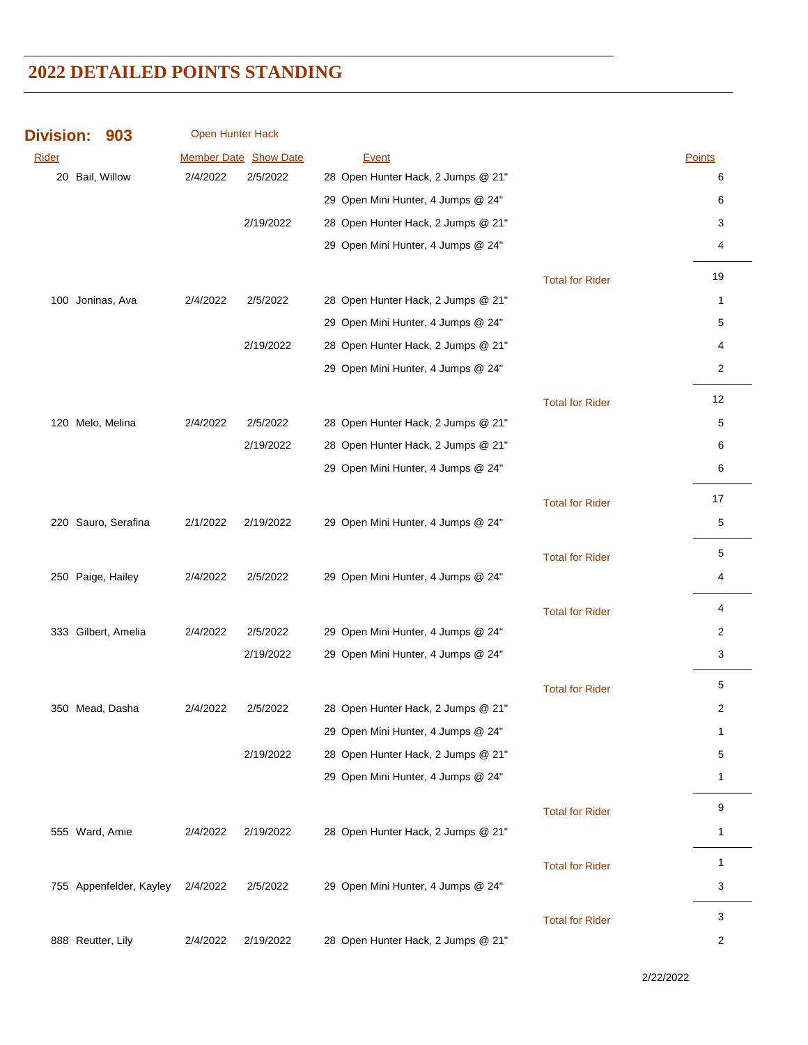| <b>Division:</b> | 903                     | Open Hunter Hack |                       |                                    |                        |                |
|------------------|-------------------------|------------------|-----------------------|------------------------------------|------------------------|----------------|
| Rider            |                         |                  | Member Date Show Date | Event                              |                        | Points         |
|                  | 20 Bail, Willow         | 2/4/2022         | 2/5/2022              | 28 Open Hunter Hack, 2 Jumps @ 21" |                        | 6              |
|                  |                         |                  |                       | 29 Open Mini Hunter, 4 Jumps @ 24" |                        | 6              |
|                  |                         |                  | 2/19/2022             | 28 Open Hunter Hack, 2 Jumps @ 21" |                        | 3              |
|                  |                         |                  |                       | 29 Open Mini Hunter, 4 Jumps @ 24" |                        | 4              |
|                  |                         |                  |                       |                                    | <b>Total for Rider</b> | 19             |
|                  | 100 Joninas, Ava        | 2/4/2022         | 2/5/2022              | 28 Open Hunter Hack, 2 Jumps @ 21" |                        | 1              |
|                  |                         |                  |                       | 29 Open Mini Hunter, 4 Jumps @ 24" |                        | 5              |
|                  |                         |                  | 2/19/2022             | 28 Open Hunter Hack, 2 Jumps @ 21" |                        | 4              |
|                  |                         |                  |                       | 29 Open Mini Hunter, 4 Jumps @ 24" |                        | $\overline{c}$ |
|                  |                         |                  |                       |                                    | <b>Total for Rider</b> | 12             |
|                  | 120 Melo, Melina        | 2/4/2022         | 2/5/2022              | 28 Open Hunter Hack, 2 Jumps @ 21" |                        | 5              |
|                  |                         |                  | 2/19/2022             | 28 Open Hunter Hack, 2 Jumps @ 21" |                        | 6              |
|                  |                         |                  |                       | 29 Open Mini Hunter, 4 Jumps @ 24" |                        | 6              |
|                  |                         |                  |                       |                                    | <b>Total for Rider</b> | 17             |
|                  | 220 Sauro, Serafina     | 2/1/2022         | 2/19/2022             | 29 Open Mini Hunter, 4 Jumps @ 24" |                        | 5              |
|                  |                         |                  |                       |                                    | <b>Total for Rider</b> | 5              |
|                  | 250 Paige, Hailey       | 2/4/2022         | 2/5/2022              | 29 Open Mini Hunter, 4 Jumps @ 24" |                        | 4              |
|                  |                         |                  |                       |                                    | <b>Total for Rider</b> | 4              |
|                  | 333 Gilbert, Amelia     | 2/4/2022         | 2/5/2022              | 29 Open Mini Hunter, 4 Jumps @ 24" |                        | 2              |
|                  |                         |                  | 2/19/2022             | 29 Open Mini Hunter, 4 Jumps @ 24" |                        | 3              |
|                  |                         |                  |                       |                                    | <b>Total for Rider</b> | 5              |
|                  | 350 Mead, Dasha         | 2/4/2022         | 2/5/2022              | 28 Open Hunter Hack, 2 Jumps @ 21" |                        | 2              |
|                  |                         |                  |                       | 29 Open Mini Hunter, 4 Jumps @ 24" |                        | $\mathbf{1}$   |
|                  |                         |                  | 2/19/2022             | 28 Open Hunter Hack, 2 Jumps @ 21" |                        | 5              |
|                  |                         |                  |                       | 29 Open Mini Hunter, 4 Jumps @ 24" |                        | $\mathbf{1}$   |
|                  |                         |                  |                       |                                    | <b>Total for Rider</b> | 9              |
|                  | 555 Ward, Amie          | 2/4/2022         | 2/19/2022             | 28 Open Hunter Hack, 2 Jumps @ 21" |                        | 1              |
|                  |                         |                  |                       |                                    | <b>Total for Rider</b> | $\mathbf{1}$   |
|                  | 755 Appenfelder, Kayley | 2/4/2022         | 2/5/2022              | 29 Open Mini Hunter, 4 Jumps @ 24" |                        | 3              |
|                  |                         |                  |                       |                                    | <b>Total for Rider</b> | 3              |
|                  | 888 Reutter, Lily       | 2/4/2022         | 2/19/2022             | 28 Open Hunter Hack, 2 Jumps @ 21" |                        | 2              |

2/22/2022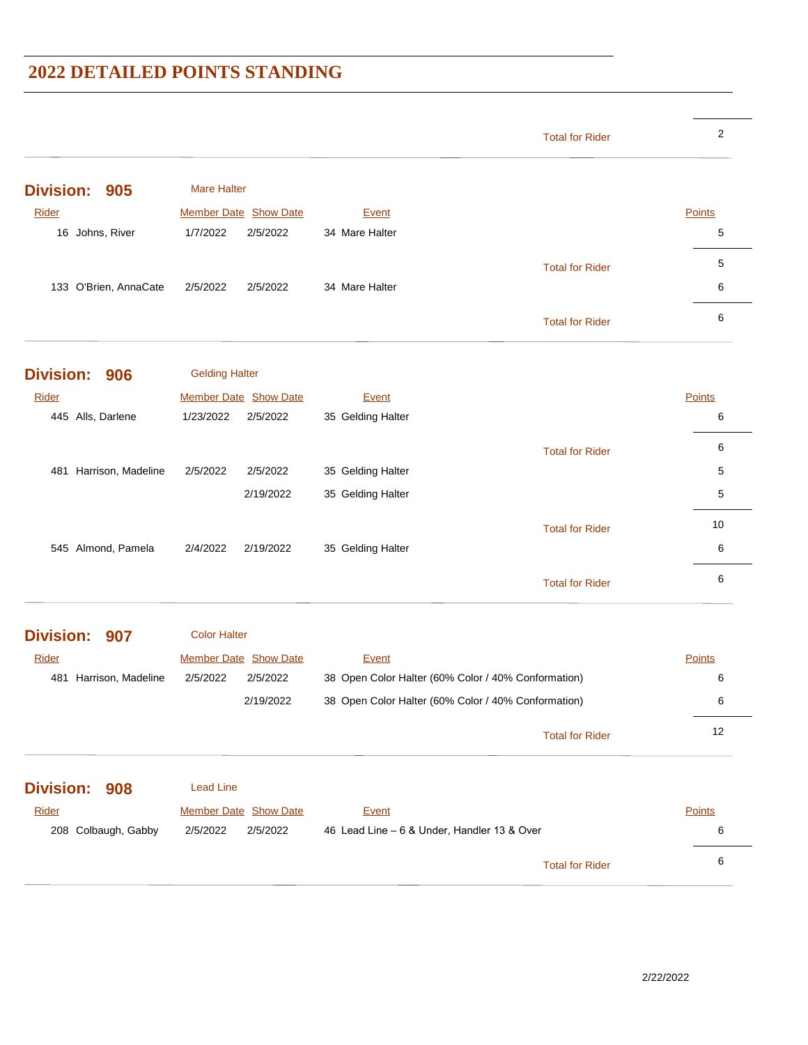|                         |                       | <b>Total for Rider</b>                              | $\overline{2}$ |
|-------------------------|-----------------------|-----------------------------------------------------|----------------|
| <b>Division:</b><br>905 | <b>Mare Halter</b>    |                                                     |                |
| <b>Rider</b>            | Member Date Show Date | <b>Event</b>                                        | Points         |
| 16 Johns, River         | 1/7/2022<br>2/5/2022  | 34 Mare Halter                                      | 5              |
|                         |                       |                                                     |                |
|                         |                       | <b>Total for Rider</b>                              | 5              |
| 133 O'Brien, AnnaCate   | 2/5/2022<br>2/5/2022  | 34 Mare Halter                                      | 6              |
|                         |                       | <b>Total for Rider</b>                              | 6              |
| <b>Division:</b><br>906 | <b>Gelding Halter</b> |                                                     |                |
| Rider                   | Member Date Show Date | Event                                               | Points         |
| 445 Alls, Darlene       | 1/23/2022<br>2/5/2022 | 35 Gelding Halter                                   | 6              |
|                         |                       |                                                     |                |
|                         |                       | <b>Total for Rider</b>                              | 6              |
| 481 Harrison, Madeline  | 2/5/2022<br>2/5/2022  | 35 Gelding Halter                                   | 5              |
|                         | 2/19/2022             | 35 Gelding Halter                                   | 5              |
|                         |                       | <b>Total for Rider</b>                              | 10             |
| 545 Almond, Pamela      | 2/4/2022<br>2/19/2022 | 35 Gelding Halter                                   | 6              |
|                         |                       |                                                     |                |
|                         |                       | <b>Total for Rider</b>                              | 6              |
| <b>Division:</b><br>907 | <b>Color Halter</b>   |                                                     |                |
| <b>Rider</b>            | Member Date Show Date | Event                                               | <b>Points</b>  |
| 481 Harrison, Madeline  | 2/5/2022<br>2/5/2022  | 38 Open Color Halter (60% Color / 40% Conformation) | 6              |
|                         | 2/19/2022             | 38 Open Color Halter (60% Color / 40% Conformation) | 6              |
|                         |                       | <b>Total for Rider</b>                              | 12             |
| <b>Division:</b><br>908 | <b>Lead Line</b>      |                                                     |                |
| Rider                   | Member Date Show Date | Event                                               | Points         |
| 208 Colbaugh, Gabby     | 2/5/2022<br>2/5/2022  | 46 Lead Line - 6 & Under, Handler 13 & Over         | 6              |
|                         |                       |                                                     |                |
|                         |                       | <b>Total for Rider</b>                              | 6              |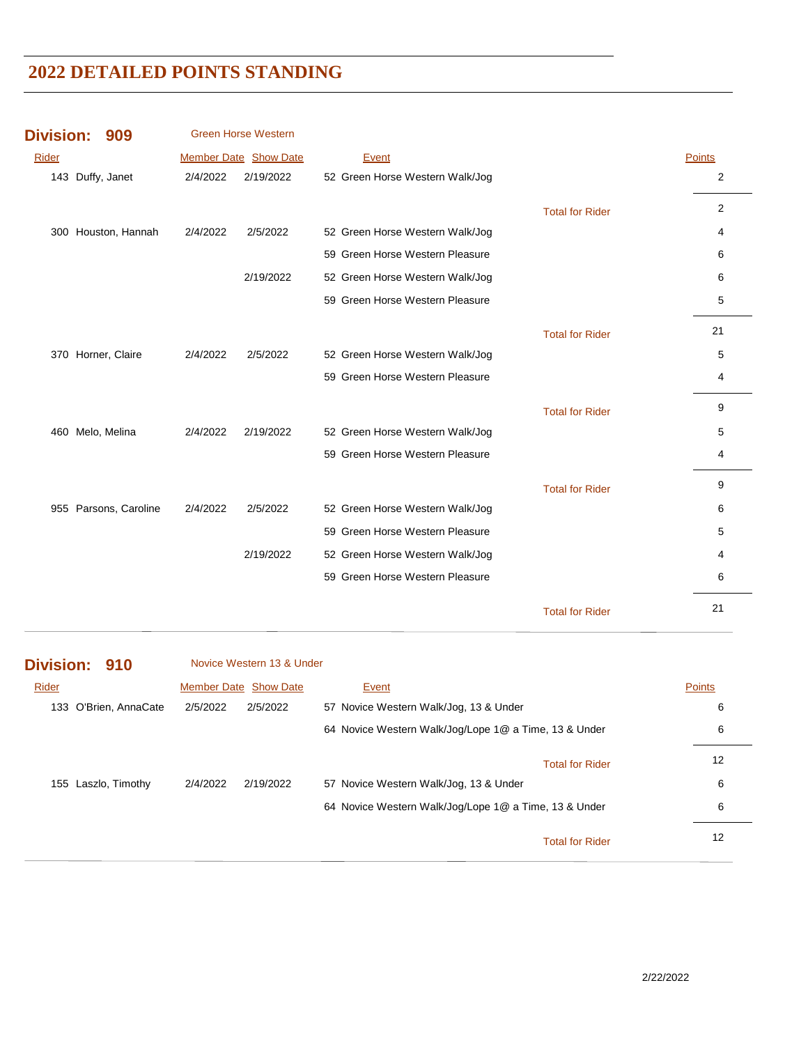| <b>Division:</b> | 909                   |          | <b>Green Horse Western</b> |                                 |                        |                |
|------------------|-----------------------|----------|----------------------------|---------------------------------|------------------------|----------------|
| <b>Rider</b>     |                       |          | Member Date Show Date      | Event                           |                        | <b>Points</b>  |
|                  | 143 Duffy, Janet      | 2/4/2022 | 2/19/2022                  | 52 Green Horse Western Walk/Jog |                        | 2              |
|                  |                       |          |                            |                                 | <b>Total for Rider</b> | $\overline{2}$ |
|                  | 300 Houston, Hannah   | 2/4/2022 | 2/5/2022                   | 52 Green Horse Western Walk/Jog |                        | 4              |
|                  |                       |          |                            | 59 Green Horse Western Pleasure |                        | 6              |
|                  |                       |          | 2/19/2022                  | 52 Green Horse Western Walk/Jog |                        | 6              |
|                  |                       |          |                            | 59 Green Horse Western Pleasure |                        | 5              |
|                  |                       |          |                            |                                 | <b>Total for Rider</b> | 21             |
|                  | 370 Horner, Claire    | 2/4/2022 | 2/5/2022                   | 52 Green Horse Western Walk/Jog |                        | 5              |
|                  |                       |          |                            | 59 Green Horse Western Pleasure |                        | 4              |
|                  |                       |          |                            |                                 | <b>Total for Rider</b> | 9              |
| 460              | Melo, Melina          | 2/4/2022 | 2/19/2022                  | 52 Green Horse Western Walk/Jog |                        | 5              |
|                  |                       |          |                            | 59 Green Horse Western Pleasure |                        | 4              |
|                  |                       |          |                            |                                 | <b>Total for Rider</b> | 9              |
|                  | 955 Parsons, Caroline | 2/4/2022 | 2/5/2022                   | 52 Green Horse Western Walk/Jog |                        | 6              |
|                  |                       |          |                            | 59 Green Horse Western Pleasure |                        | 5              |
|                  |                       |          | 2/19/2022                  | 52 Green Horse Western Walk/Jog |                        | 4              |
|                  |                       |          |                            | 59 Green Horse Western Pleasure |                        | 6              |
|                  |                       |          |                            |                                 | <b>Total for Rider</b> | 21             |

#### **Division: 910** Rider **Number Date Show Date Event Exercise Show Date Points** Novice Western 13 & Under 133 O'Brien, AnnaCate 2/5/2022 2/5/2022 57 Novice Western Walk/Jog, 13 & Under 6 64 Novice Western Walk/Jog/Lope 1@ a Time, 13 & Under 6 12 Total for Rider 155 Laszlo, Timothy 2/4/2022 2/19/2022 57 Novice Western Walk/Jog, 13 & Under 6

64 Novice Western Walk/Jog/Lope 1@ a Time, 13 & Under 6

12 Total for Rider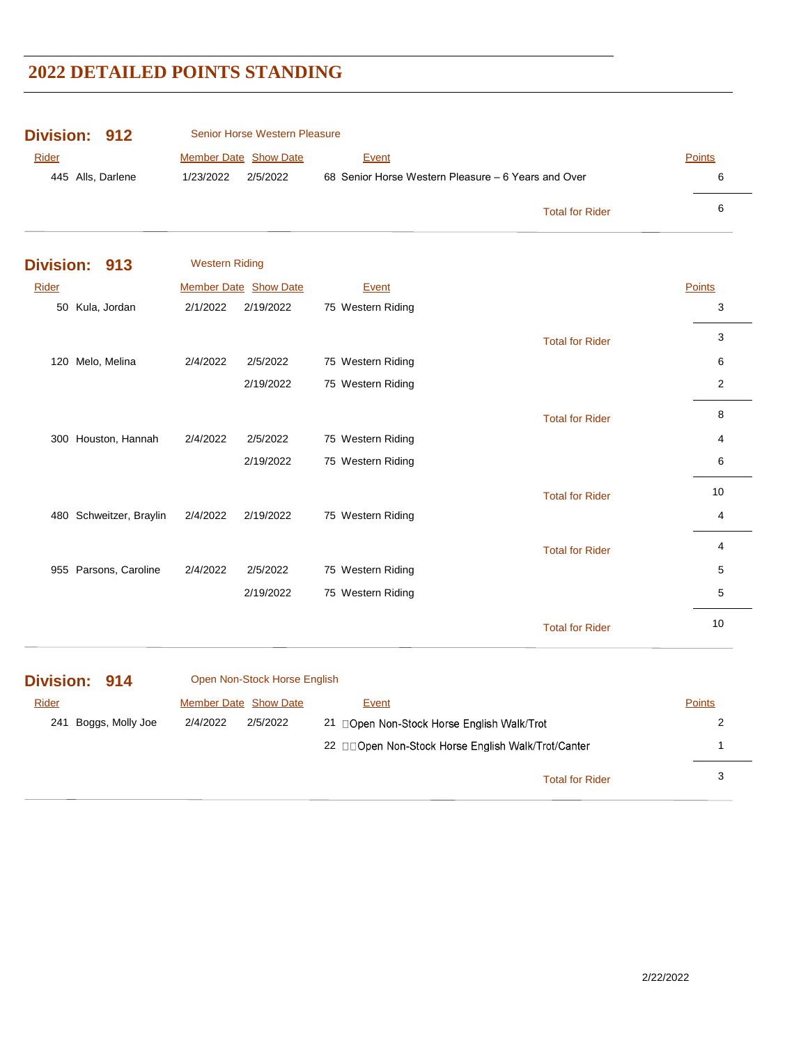| <b>Division: 912</b> | Senior Horse Western Pleasure |                                                     |               |
|----------------------|-------------------------------|-----------------------------------------------------|---------------|
| Rider                | <b>Member Date Show Date</b>  | Event                                               | <b>Points</b> |
| 445 Alls, Darlene    | 2/5/2022<br>1/23/2022         | 68 Senior Horse Western Pleasure – 6 Years and Over | 6             |
|                      |                               | <b>Total for Rider</b>                              | 6             |

|       | Division: 913         | <b>Western Riding</b> |                              |                   |                        |        |
|-------|-----------------------|-----------------------|------------------------------|-------------------|------------------------|--------|
| Rider |                       |                       | <b>Member Date Show Date</b> | Event             |                        | Points |
|       | 50 Kula, Jordan       | 2/1/2022              | 2/19/2022                    | 75 Western Riding |                        | 3      |
|       |                       |                       |                              |                   | <b>Total for Rider</b> | 3      |
| 120   | Melo, Melina          | 2/4/2022              | 2/5/2022                     | 75 Western Riding |                        | 6      |
|       |                       |                       | 2/19/2022                    | 75 Western Riding |                        | 2      |
|       |                       |                       |                              |                   | <b>Total for Rider</b> | 8      |
|       | 300 Houston, Hannah   | 2/4/2022              | 2/5/2022                     | 75 Western Riding |                        | 4      |
|       |                       |                       | 2/19/2022                    | 75 Western Riding |                        | 6      |
|       |                       |                       |                              |                   | <b>Total for Rider</b> | 10     |
| 480   | Schweitzer, Braylin   | 2/4/2022              | 2/19/2022                    | 75 Western Riding |                        | 4      |
|       |                       |                       |                              |                   | <b>Total for Rider</b> | 4      |
|       | 955 Parsons, Caroline | 2/4/2022              | 2/5/2022                     | 75 Western Riding |                        | 5      |
|       |                       |                       | 2/19/2022                    | 75 Western Riding |                        | 5      |
|       |                       |                       |                              |                   | <b>Total for Rider</b> | 10     |

| Division: 914 |                      |          | Open Non-Stock Horse English |                                                    |                        |               |
|---------------|----------------------|----------|------------------------------|----------------------------------------------------|------------------------|---------------|
| <b>Rider</b>  |                      |          | <b>Member Date Show Date</b> | Event                                              |                        | <b>Points</b> |
|               | 241 Boggs, Molly Joe | 2/4/2022 | 2/5/2022                     | 21 □Open Non-Stock Horse English Walk/Trot         |                        |               |
|               |                      |          |                              | 22 □□Open Non-Stock Horse English Walk/Trot/Canter |                        |               |
|               |                      |          |                              |                                                    | <b>Total for Rider</b> | 3             |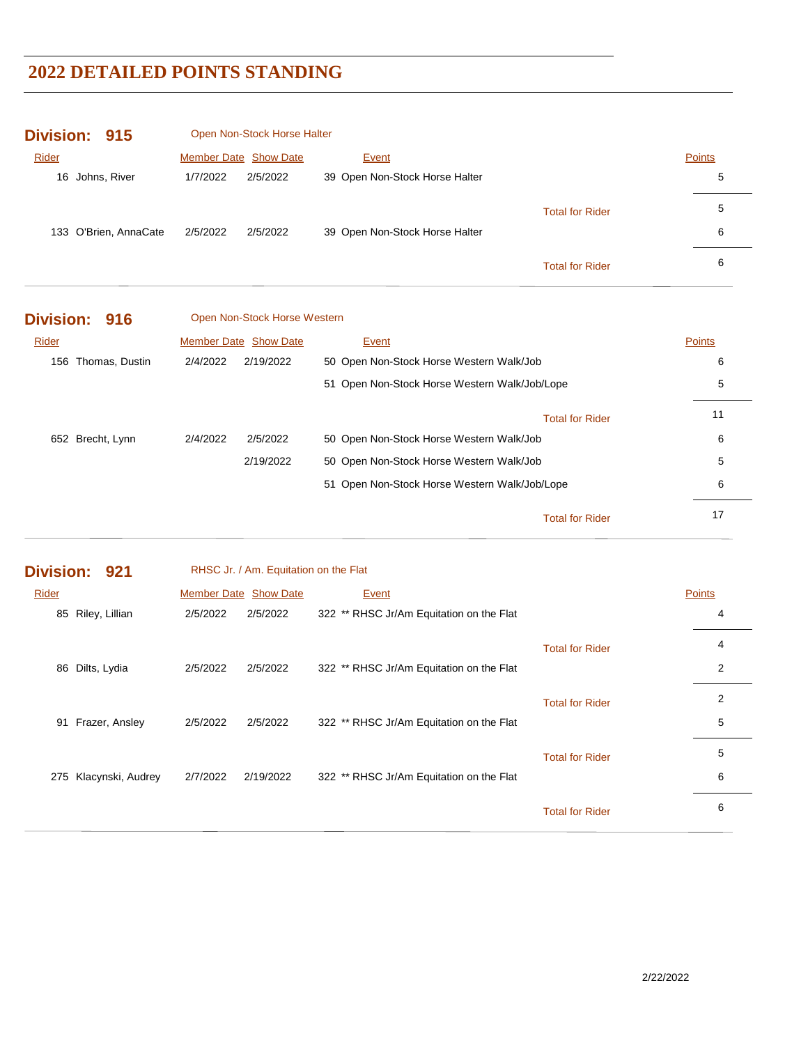| Division: 915         |                       | Open Non-Stock Horse Halter |                                |                        |        |
|-----------------------|-----------------------|-----------------------------|--------------------------------|------------------------|--------|
| Rider                 | Member Date Show Date |                             | Event                          |                        | Points |
| Johns, River<br>16    | 1/7/2022              | 2/5/2022                    | 39 Open Non-Stock Horse Halter |                        | 5      |
|                       |                       |                             |                                | <b>Total for Rider</b> | 5      |
| 133 O'Brien, AnnaCate | 2/5/2022              | 2/5/2022                    | 39 Open Non-Stock Horse Halter |                        | 6      |
|                       |                       |                             |                                | <b>Total for Rider</b> | 6      |

| Division: 916      | Open Non-Stock Horse Western |                                               |               |
|--------------------|------------------------------|-----------------------------------------------|---------------|
| Rider              | <b>Member Date Show Date</b> | <b>Event</b>                                  | <b>Points</b> |
| 156 Thomas, Dustin | 2/4/2022<br>2/19/2022        | 50 Open Non-Stock Horse Western Walk/Job      | 6             |
|                    |                              | 51 Open Non-Stock Horse Western Walk/Job/Lope | 5             |
|                    |                              | <b>Total for Rider</b>                        | 11            |
| 652 Brecht, Lynn   | 2/4/2022<br>2/5/2022         | 50 Open Non-Stock Horse Western Walk/Job      | 6             |
|                    | 2/19/2022                    | 50 Open Non-Stock Horse Western Walk/Job      | 5             |
|                    |                              | 51 Open Non-Stock Horse Western Walk/Job/Lope | 6             |
|                    |                              | <b>Total for Rider</b>                        | 17            |

|       | Division: 921     |                       | RHSC Jr. / Am. Equitation on the Flat |                                          |                        |               |
|-------|-------------------|-----------------------|---------------------------------------|------------------------------------------|------------------------|---------------|
| Rider |                   | Member Date Show Date |                                       | Event                                    |                        | <b>Points</b> |
| 85    | Riley, Lillian    | 2/5/2022              | 2/5/2022                              | 322 ** RHSC Jr/Am Equitation on the Flat |                        | 4             |
|       |                   |                       |                                       |                                          | <b>Total for Rider</b> | 4             |
|       | 86 Dilts, Lydia   | 2/5/2022              | 2/5/2022                              | 322 ** RHSC Jr/Am Equitation on the Flat |                        | 2             |
|       |                   |                       |                                       |                                          | <b>Total for Rider</b> | 2             |
| 91    | Frazer, Ansley    | 2/5/2022              | 2/5/2022                              | 322 ** RHSC Jr/Am Equitation on the Flat |                        | 5             |
|       |                   |                       |                                       |                                          | <b>Total for Rider</b> | 5             |
| 275   | Klacynski, Audrey | 2/7/2022              | 2/19/2022                             | 322 ** RHSC Jr/Am Equitation on the Flat |                        | 6             |
|       |                   |                       |                                       |                                          | <b>Total for Rider</b> | 6             |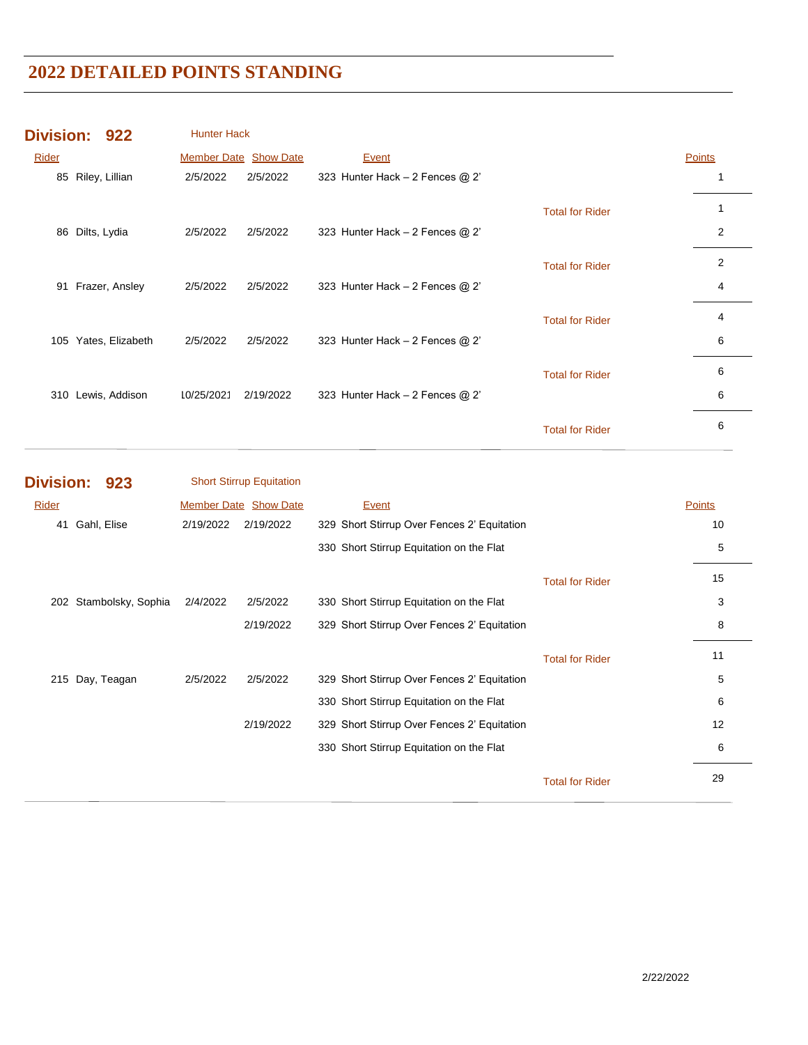| Division: 922 |                |                  | <b>Hunter Hack</b>           |           |                                   |                        |                |
|---------------|----------------|------------------|------------------------------|-----------|-----------------------------------|------------------------|----------------|
| Rider         |                |                  | <b>Member Date Show Date</b> |           | Event                             |                        | <b>Points</b>  |
| 85            | Riley, Lillian |                  | 2/5/2022                     | 2/5/2022  | 323 Hunter Hack $-2$ Fences $@2'$ |                        |                |
|               |                |                  |                              |           |                                   | <b>Total for Rider</b> |                |
| 86            | Dilts, Lydia   |                  | 2/5/2022                     | 2/5/2022  | 323 Hunter Hack $-2$ Fences $@2'$ |                        | $\overline{2}$ |
|               |                |                  |                              |           |                                   | <b>Total for Rider</b> | 2              |
| 91            |                | Frazer, Ansley   | 2/5/2022                     | 2/5/2022  | 323 Hunter Hack $-2$ Fences $@2'$ |                        | 4              |
|               |                |                  |                              |           |                                   | <b>Total for Rider</b> | 4              |
| 105           |                | Yates, Elizabeth | 2/5/2022                     | 2/5/2022  | 323 Hunter Hack $-2$ Fences $@2'$ |                        | 6              |
|               |                |                  |                              |           |                                   | <b>Total for Rider</b> | 6              |
| 310           |                | Lewis, Addison   | 10/25/2021                   | 2/19/2022 | 323 Hunter Hack $-2$ Fences $@2'$ |                        | 6              |
|               |                |                  |                              |           |                                   | <b>Total for Rider</b> | 6              |

|       | Division: 923          |           | <b>Short Stirrup Equitation</b> |                                             |                        |               |
|-------|------------------------|-----------|---------------------------------|---------------------------------------------|------------------------|---------------|
| Rider |                        |           | <b>Member Date Show Date</b>    | Event                                       |                        | <b>Points</b> |
| 41    | Gahl, Elise            | 2/19/2022 | 2/19/2022                       | 329 Short Stirrup Over Fences 2' Equitation |                        | 10            |
|       |                        |           |                                 | 330 Short Stirrup Equitation on the Flat    |                        | 5             |
|       |                        |           |                                 |                                             | <b>Total for Rider</b> | 15            |
|       | 202 Stambolsky, Sophia | 2/4/2022  | 2/5/2022                        | 330 Short Stirrup Equitation on the Flat    |                        | 3             |
|       |                        |           | 2/19/2022                       | 329 Short Stirrup Over Fences 2' Equitation |                        | 8             |
|       |                        |           |                                 |                                             | <b>Total for Rider</b> | 11            |
| 215   | Day, Teagan            | 2/5/2022  | 2/5/2022                        | 329 Short Stirrup Over Fences 2' Equitation |                        | 5             |
|       |                        |           |                                 | 330 Short Stirrup Equitation on the Flat    |                        | 6             |
|       |                        |           | 2/19/2022                       | 329 Short Stirrup Over Fences 2' Equitation |                        | 12            |
|       |                        |           |                                 | 330 Short Stirrup Equitation on the Flat    |                        | 6             |
|       |                        |           |                                 |                                             | <b>Total for Rider</b> | 29            |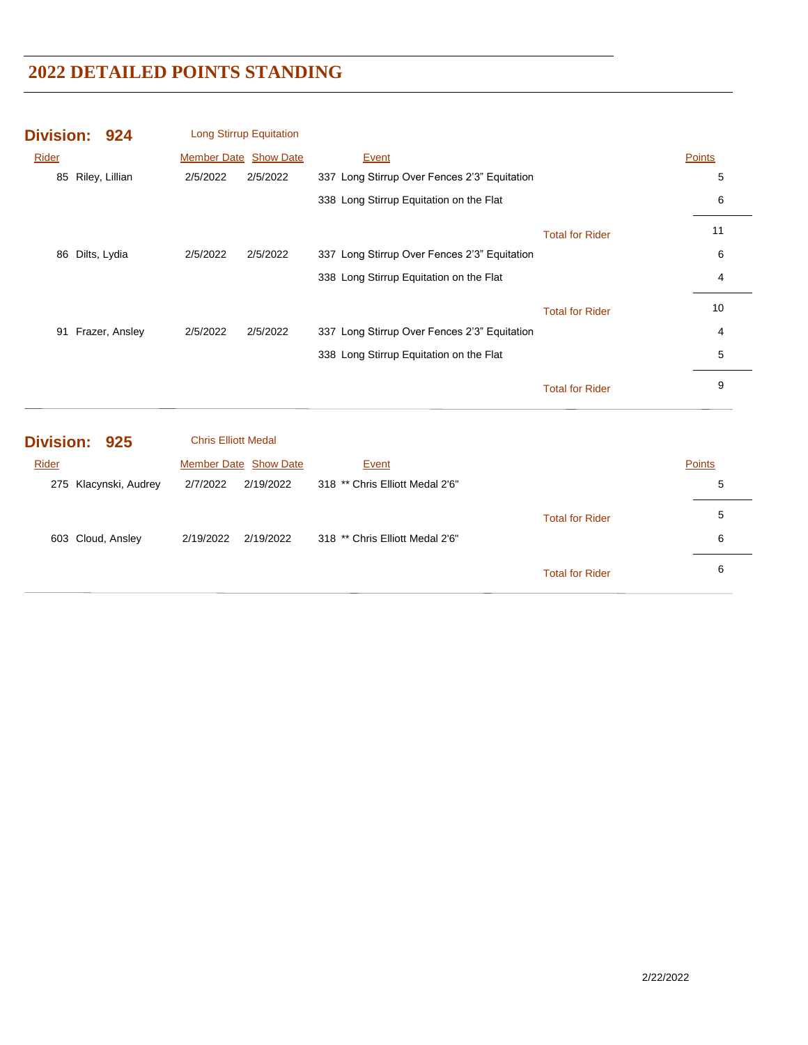|       | Division: 924  |          | <b>Long Stirrup Equitation</b> |                                              |                        |        |
|-------|----------------|----------|--------------------------------|----------------------------------------------|------------------------|--------|
| Rider |                |          | <b>Member Date Show Date</b>   | <b>Event</b>                                 |                        | Points |
| 85    | Riley, Lillian | 2/5/2022 | 2/5/2022                       | 337 Long Stirrup Over Fences 2'3" Equitation |                        | 5      |
|       |                |          |                                | 338 Long Stirrup Equitation on the Flat      |                        | 6      |
|       |                |          |                                |                                              | <b>Total for Rider</b> | 11     |
| 86    | Dilts, Lydia   | 2/5/2022 | 2/5/2022                       | 337 Long Stirrup Over Fences 2'3" Equitation |                        | 6      |
|       |                |          |                                | 338 Long Stirrup Equitation on the Flat      |                        | 4      |
|       |                |          |                                |                                              | <b>Total for Rider</b> | 10     |
| 91    | Frazer, Ansley | 2/5/2022 | 2/5/2022                       | 337 Long Stirrup Over Fences 2'3" Equitation |                        | 4      |
|       |                |          |                                | 338 Long Stirrup Equitation on the Flat      |                        | 5      |
|       |                |          |                                |                                              | <b>Total for Rider</b> | 9      |

| Division: 925         | <b>Chris Elliott Medal</b> |                                 |                        |        |
|-----------------------|----------------------------|---------------------------------|------------------------|--------|
| Rider                 | Member Date Show Date      | Event                           |                        | Points |
| 275 Klacynski, Audrey | 2/7/2022<br>2/19/2022      | 318 ** Chris Elliott Medal 2'6" |                        | 5      |
|                       |                            |                                 | <b>Total for Rider</b> | 5      |
| 603 Cloud, Ansley     | 2/19/2022<br>2/19/2022     | 318 ** Chris Elliott Medal 2'6" |                        | 6      |
|                       |                            |                                 | <b>Total for Rider</b> | 6      |